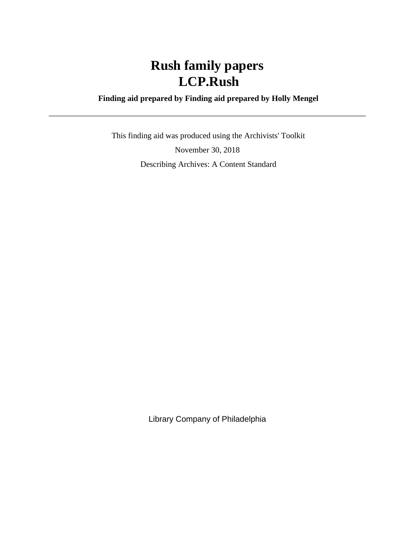### **Finding aid prepared by Finding aid prepared by Holly Mengel**

 This finding aid was produced using the Archivists' Toolkit November 30, 2018 Describing Archives: A Content Standard

Library Company of Philadelphia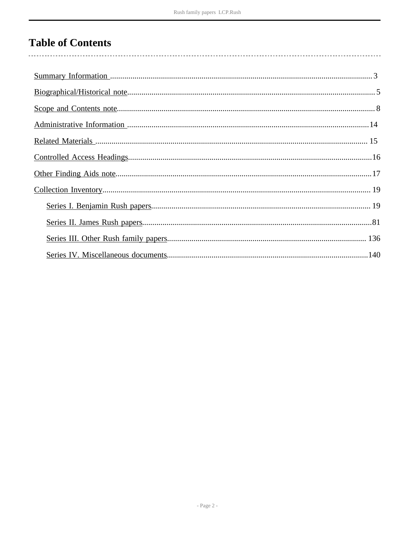# **Table of Contents**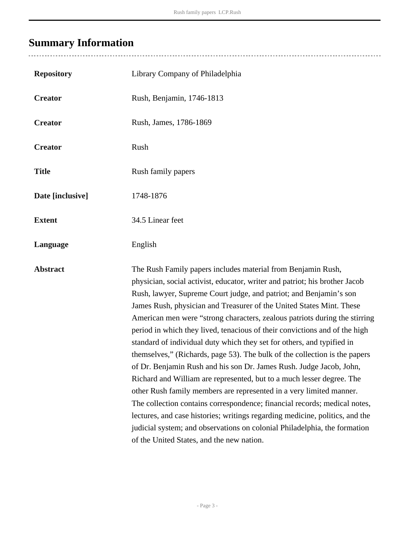# <span id="page-2-0"></span>**Summary Information**

| <b>Repository</b> | Library Company of Philadelphia                                                                                                                                                                                                                                                                                                                                                                                                                                                                                                                                                                                                                                                                                                                                                                                                                                                                                                                                                                                                                                                                                             |
|-------------------|-----------------------------------------------------------------------------------------------------------------------------------------------------------------------------------------------------------------------------------------------------------------------------------------------------------------------------------------------------------------------------------------------------------------------------------------------------------------------------------------------------------------------------------------------------------------------------------------------------------------------------------------------------------------------------------------------------------------------------------------------------------------------------------------------------------------------------------------------------------------------------------------------------------------------------------------------------------------------------------------------------------------------------------------------------------------------------------------------------------------------------|
| <b>Creator</b>    | Rush, Benjamin, 1746-1813                                                                                                                                                                                                                                                                                                                                                                                                                                                                                                                                                                                                                                                                                                                                                                                                                                                                                                                                                                                                                                                                                                   |
| <b>Creator</b>    | Rush, James, 1786-1869                                                                                                                                                                                                                                                                                                                                                                                                                                                                                                                                                                                                                                                                                                                                                                                                                                                                                                                                                                                                                                                                                                      |
| <b>Creator</b>    | Rush                                                                                                                                                                                                                                                                                                                                                                                                                                                                                                                                                                                                                                                                                                                                                                                                                                                                                                                                                                                                                                                                                                                        |
| <b>Title</b>      | Rush family papers                                                                                                                                                                                                                                                                                                                                                                                                                                                                                                                                                                                                                                                                                                                                                                                                                                                                                                                                                                                                                                                                                                          |
| Date [inclusive]  | 1748-1876                                                                                                                                                                                                                                                                                                                                                                                                                                                                                                                                                                                                                                                                                                                                                                                                                                                                                                                                                                                                                                                                                                                   |
| <b>Extent</b>     | 34.5 Linear feet                                                                                                                                                                                                                                                                                                                                                                                                                                                                                                                                                                                                                                                                                                                                                                                                                                                                                                                                                                                                                                                                                                            |
| Language          | English                                                                                                                                                                                                                                                                                                                                                                                                                                                                                                                                                                                                                                                                                                                                                                                                                                                                                                                                                                                                                                                                                                                     |
| <b>Abstract</b>   | The Rush Family papers includes material from Benjamin Rush,<br>physician, social activist, educator, writer and patriot; his brother Jacob<br>Rush, lawyer, Supreme Court judge, and patriot; and Benjamin's son<br>James Rush, physician and Treasurer of the United States Mint. These<br>American men were "strong characters, zealous patriots during the stirring<br>period in which they lived, tenacious of their convictions and of the high<br>standard of individual duty which they set for others, and typified in<br>themselves," (Richards, page 53). The bulk of the collection is the papers<br>of Dr. Benjamin Rush and his son Dr. James Rush. Judge Jacob, John,<br>Richard and William are represented, but to a much lesser degree. The<br>other Rush family members are represented in a very limited manner.<br>The collection contains correspondence; financial records; medical notes,<br>lectures, and case histories; writings regarding medicine, politics, and the<br>judicial system; and observations on colonial Philadelphia, the formation<br>of the United States, and the new nation. |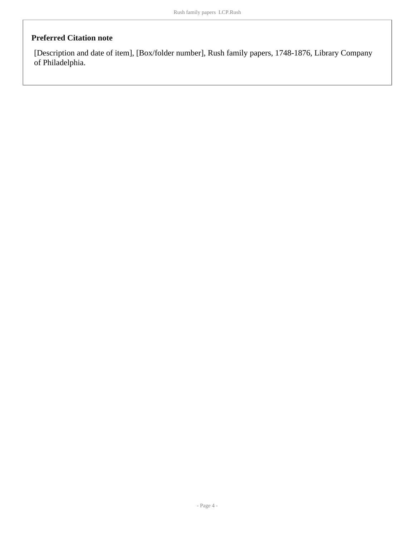### **Preferred Citation note**

[Description and date of item], [Box/folder number], Rush family papers, 1748-1876, Library Company of Philadelphia.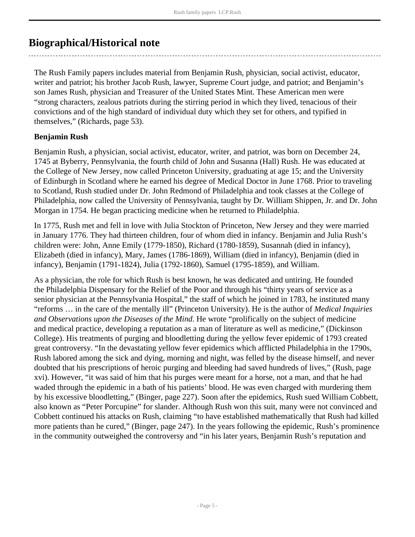## <span id="page-4-0"></span>**Biographical/Historical note**

The Rush Family papers includes material from Benjamin Rush, physician, social activist, educator, writer and patriot; his brother Jacob Rush, lawyer, Supreme Court judge, and patriot; and Benjamin's son James Rush, physician and Treasurer of the United States Mint. These American men were "strong characters, zealous patriots during the stirring period in which they lived, tenacious of their convictions and of the high standard of individual duty which they set for others, and typified in themselves," (Richards, page 53).

#### **Benjamin Rush**

Benjamin Rush, a physician, social activist, educator, writer, and patriot, was born on December 24, 1745 at Byberry, Pennsylvania, the fourth child of John and Susanna (Hall) Rush. He was educated at the College of New Jersey, now called Princeton University, graduating at age 15; and the University of Edinburgh in Scotland where he earned his degree of Medical Doctor in June 1768. Prior to traveling to Scotland, Rush studied under Dr. John Redmond of Philadelphia and took classes at the College of Philadelphia, now called the University of Pennsylvania, taught by Dr. William Shippen, Jr. and Dr. John Morgan in 1754. He began practicing medicine when he returned to Philadelphia.

In 1775, Rush met and fell in love with Julia Stockton of Princeton, New Jersey and they were married in January 1776. They had thirteen children, four of whom died in infancy. Benjamin and Julia Rush's children were: John, Anne Emily (1779-1850), Richard (1780-1859), Susannah (died in infancy), Elizabeth (died in infancy), Mary, James (1786-1869), William (died in infancy), Benjamin (died in infancy), Benjamin (1791-1824), Julia (1792-1860), Samuel (1795-1859), and William.

As a physician, the role for which Rush is best known, he was dedicated and untiring. He founded the Philadelphia Dispensary for the Relief of the Poor and through his "thirty years of service as a senior physician at the Pennsylvania Hospital," the staff of which he joined in 1783, he instituted many "reforms … in the care of the mentally ill" (Princeton University). He is the author of *Medical Inquiries and Observations upon the Diseases of the Mind*. He wrote "prolifically on the subject of medicine and medical practice, developing a reputation as a man of literature as well as medicine," (Dickinson College). His treatments of purging and bloodletting during the yellow fever epidemic of 1793 created great controversy. "In the devastating yellow fever epidemics which afflicted Philadelphia in the 1790s, Rush labored among the sick and dying, morning and night, was felled by the disease himself, and never doubted that his prescriptions of heroic purging and bleeding had saved hundreds of lives," (Rush, page xvi). However, "it was said of him that his purges were meant for a horse, not a man, and that he had waded through the epidemic in a bath of his patients' blood. He was even charged with murdering them by his excessive bloodletting," (Binger, page 227). Soon after the epidemics, Rush sued William Cobbett, also known as "Peter Porcupine" for slander. Although Rush won this suit, many were not convinced and Cobbett continued his attacks on Rush, claiming "to have established mathematically that Rush had killed more patients than he cured," (Binger, page 247). In the years following the epidemic, Rush's prominence in the community outweighed the controversy and "in his later years, Benjamin Rush's reputation and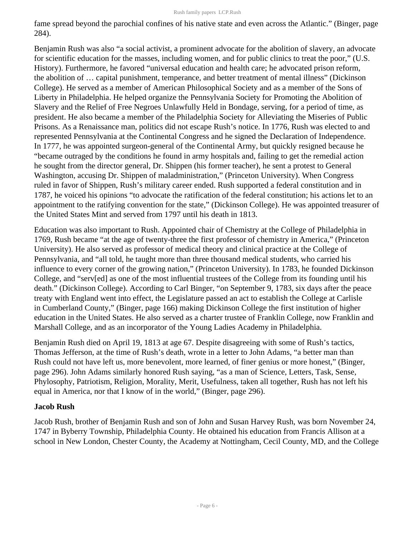fame spread beyond the parochial confines of his native state and even across the Atlantic." (Binger, page 284).

Benjamin Rush was also "a social activist, a prominent advocate for the abolition of slavery, an advocate for scientific education for the masses, including women, and for public clinics to treat the poor," (U.S. History). Furthermore, he favored "universal education and health care; he advocated prison reform, the abolition of … capital punishment, temperance, and better treatment of mental illness" (Dickinson College). He served as a member of American Philosophical Society and as a member of the Sons of Liberty in Philadelphia. He helped organize the Pennsylvania Society for Promoting the Abolition of Slavery and the Relief of Free Negroes Unlawfully Held in Bondage, serving, for a period of time, as president. He also became a member of the Philadelphia Society for Alleviating the Miseries of Public Prisons. As a Renaissance man, politics did not escape Rush's notice. In 1776, Rush was elected to and represented Pennsylvania at the Continental Congress and he signed the Declaration of Independence. In 1777, he was appointed surgeon-general of the Continental Army, but quickly resigned because he "became outraged by the conditions he found in army hospitals and, failing to get the remedial action he sought from the director general, Dr. Shippen (his former teacher), he sent a protest to General Washington, accusing Dr. Shippen of maladministration," (Princeton University). When Congress ruled in favor of Shippen, Rush's military career ended. Rush supported a federal constitution and in 1787, he voiced his opinions "to advocate the ratification of the federal constitution; his actions let to an appointment to the ratifying convention for the state," (Dickinson College). He was appointed treasurer of the United States Mint and served from 1797 until his death in 1813.

Education was also important to Rush. Appointed chair of Chemistry at the College of Philadelphia in 1769, Rush became "at the age of twenty-three the first professor of chemistry in America," (Princeton University). He also served as professor of medical theory and clinical practice at the College of Pennsylvania, and "all told, he taught more than three thousand medical students, who carried his influence to every corner of the growing nation," (Princeton University). In 1783, he founded Dickinson College, and "serv[ed] as one of the most influential trustees of the College from its founding until his death." (Dickinson College). According to Carl Binger, "on September 9, 1783, six days after the peace treaty with England went into effect, the Legislature passed an act to establish the College at Carlisle in Cumberland County," (Binger, page 166) making Dickinson College the first institution of higher education in the United States. He also served as a charter trustee of Franklin College, now Franklin and Marshall College, and as an incorporator of the Young Ladies Academy in Philadelphia.

Benjamin Rush died on April 19, 1813 at age 67. Despite disagreeing with some of Rush's tactics, Thomas Jefferson, at the time of Rush's death, wrote in a letter to John Adams, "a better man than Rush could not have left us, more benevolent, more learned, of finer genius or more honest," (Binger, page 296). John Adams similarly honored Rush saying, "as a man of Science, Letters, Task, Sense, Phylosophy, Patriotism, Religion, Morality, Merit, Usefulness, taken all together, Rush has not left his equal in America, nor that I know of in the world," (Binger, page 296).

### **Jacob Rush**

Jacob Rush, brother of Benjamin Rush and son of John and Susan Harvey Rush, was born November 24, 1747 in Byberry Township, Philadelphia County. He obtained his education from Francis Allison at a school in New London, Chester County, the Academy at Nottingham, Cecil County, MD, and the College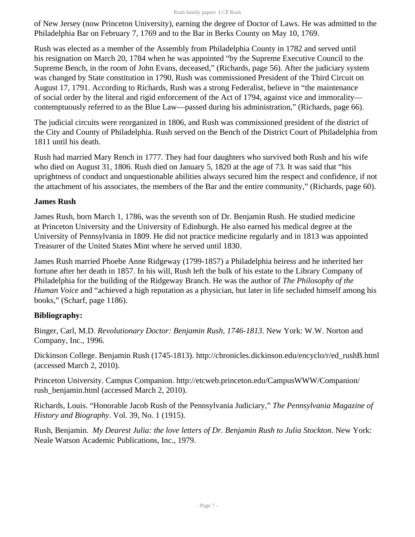of New Jersey (now Princeton University), earning the degree of Doctor of Laws. He was admitted to the Philadelphia Bar on February 7, 1769 and to the Bar in Berks County on May 10, 1769.

Rush was elected as a member of the Assembly from Philadelphia County in 1782 and served until his resignation on March 20, 1784 when he was appointed "by the Supreme Executive Council to the Supreme Bench, in the room of John Evans, deceased," (Richards, page 56). After the judiciary system was changed by State constitution in 1790, Rush was commissioned President of the Third Circuit on August 17, 1791. According to Richards, Rush was a strong Federalist, believe in "the maintenance of social order by the literal and rigid enforcement of the Act of 1794, against vice and immorality contemptuously referred to as the Blue Law—passed during his administration," (Richards, page 66).

The judicial circuits were reorganized in 1806, and Rush was commissioned president of the district of the City and County of Philadelphia. Rush served on the Bench of the District Court of Philadelphia from 1811 until his death.

Rush had married Mary Rench in 1777. They had four daughters who survived both Rush and his wife who died on August 31, 1806. Rush died on January 5, 1820 at the age of 73. It was said that "his uprightness of conduct and unquestionable abilities always secured him the respect and confidence, if not the attachment of his associates, the members of the Bar and the entire community," (Richards, page 60).

### **James Rush**

James Rush, born March 1, 1786, was the seventh son of Dr. Benjamin Rush. He studied medicine at Princeton University and the University of Edinburgh. He also earned his medical degree at the University of Pennsylvania in 1809. He did not practice medicine regularly and in 1813 was appointed Treasurer of the United States Mint where he served until 1830.

James Rush married Phoebe Anne Ridgeway (1799-1857) a Philadelphia heiress and he inherited her fortune after her death in 1857. In his will, Rush left the bulk of his estate to the Library Company of Philadelphia for the building of the Ridgeway Branch. He was the author of *The Philosophy of the Human Voice* and "achieved a high reputation as a physician, but later in life secluded himself among his books," (Scharf, page 1186).

### **Bibliography:**

Binger, Carl, M.D. *Revolutionary Doctor: Benjamin Rush, 1746-1813*. New York: W.W. Norton and Company, Inc., 1996.

Dickinson College. Benjamin Rush (1745-1813). http://chronicles.dickinson.edu/encyclo/r/ed\_rushB.html (accessed March 2, 2010).

Princeton University. Campus Companion. http://etcweb.princeton.edu/CampusWWW/Companion/ rush benjamin.html (accessed March 2, 2010).

Richards, Louis. "Honorable Jacob Rush of the Pennsylvania Judiciary," *The Pennsylvania Magazine of History and Biography*. Vol. 39, No. 1 (1915).

Rush, Benjamin. *My Dearest Julia: the love letters of Dr. Benjamin Rush to Julia Stockton*. New York: Neale Watson Academic Publications, Inc., 1979.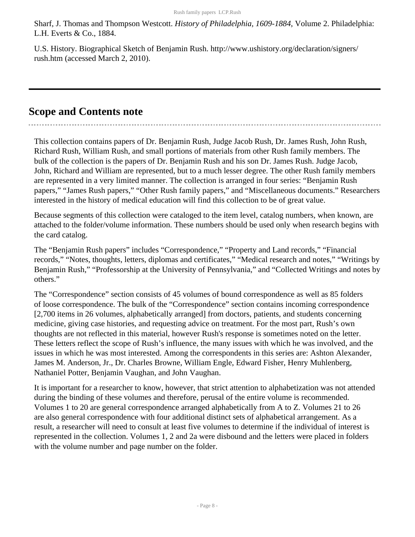Sharf, J. Thomas and Thompson Westcott. *History of Philadelphia, 1609-1884*, Volume 2. Philadelphia: L.H. Everts & Co., 1884.

U.S. History. Biographical Sketch of Benjamin Rush. http://www.ushistory.org/declaration/signers/ rush.htm (accessed March 2, 2010).

### <span id="page-7-0"></span>**Scope and Contents note**

This collection contains papers of Dr. Benjamin Rush, Judge Jacob Rush, Dr. James Rush, John Rush, Richard Rush, William Rush, and small portions of materials from other Rush family members. The bulk of the collection is the papers of Dr. Benjamin Rush and his son Dr. James Rush. Judge Jacob, John, Richard and William are represented, but to a much lesser degree. The other Rush family members are represented in a very limited manner. The collection is arranged in four series: "Benjamin Rush papers," "James Rush papers," "Other Rush family papers," and "Miscellaneous documents." Researchers interested in the history of medical education will find this collection to be of great value.

Because segments of this collection were cataloged to the item level, catalog numbers, when known, are attached to the folder/volume information. These numbers should be used only when research begins with the card catalog.

The "Benjamin Rush papers" includes "Correspondence," "Property and Land records," "Financial records," "Notes, thoughts, letters, diplomas and certificates," "Medical research and notes," "Writings by Benjamin Rush," "Professorship at the University of Pennsylvania," and "Collected Writings and notes by others."

The "Correspondence" section consists of 45 volumes of bound correspondence as well as 85 folders of loose correspondence. The bulk of the "Correspondence" section contains incoming correspondence [2,700 items in 26 volumes, alphabetically arranged] from doctors, patients, and students concerning medicine, giving case histories, and requesting advice on treatment. For the most part, Rush's own thoughts are not reflected in this material, however Rush's response is sometimes noted on the letter. These letters reflect the scope of Rush's influence, the many issues with which he was involved, and the issues in which he was most interested. Among the correspondents in this series are: Ashton Alexander, James M. Anderson, Jr., Dr. Charles Browne, William Engle, Edward Fisher, Henry Muhlenberg, Nathaniel Potter, Benjamin Vaughan, and John Vaughan.

It is important for a researcher to know, however, that strict attention to alphabetization was not attended during the binding of these volumes and therefore, perusal of the entire volume is recommended. Volumes 1 to 20 are general correspondence arranged alphabetically from A to Z. Volumes 21 to 26 are also general correspondence with four additional distinct sets of alphabetical arrangement. As a result, a researcher will need to consult at least five volumes to determine if the individual of interest is represented in the collection. Volumes 1, 2 and 2a were disbound and the letters were placed in folders with the volume number and page number on the folder.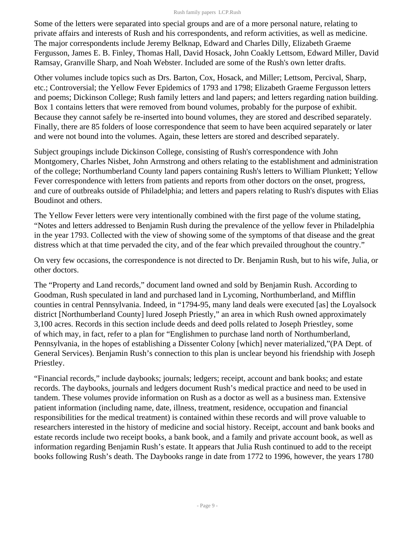Some of the letters were separated into special groups and are of a more personal nature, relating to private affairs and interests of Rush and his correspondents, and reform activities, as well as medicine. The major correspondents include Jeremy Belknap, Edward and Charles Dilly, Elizabeth Graeme Fergusson, James E. B. Finley, Thomas Hall, David Hosack, John Coakly Lettsom, Edward Miller, David Ramsay, Granville Sharp, and Noah Webster. Included are some of the Rush's own letter drafts.

Other volumes include topics such as Drs. Barton, Cox, Hosack, and Miller; Lettsom, Percival, Sharp, etc.; Controversial; the Yellow Fever Epidemics of 1793 and 1798; Elizabeth Graeme Fergusson letters and poems; Dickinson College; Rush family letters and land papers; and letters regarding nation building. Box 1 contains letters that were removed from bound volumes, probably for the purpose of exhibit. Because they cannot safely be re-inserted into bound volumes, they are stored and described separately. Finally, there are 85 folders of loose correspondence that seem to have been acquired separately or later and were not bound into the volumes. Again, these letters are stored and described separately.

Subject groupings include Dickinson College, consisting of Rush's correspondence with John Montgomery, Charles Nisbet, John Armstrong and others relating to the establishment and administration of the college; Northumberland County land papers containing Rush's letters to William Plunkett; Yellow Fever correspondence with letters from patients and reports from other doctors on the onset, progress, and cure of outbreaks outside of Philadelphia; and letters and papers relating to Rush's disputes with Elias Boudinot and others.

The Yellow Fever letters were very intentionally combined with the first page of the volume stating, "Notes and letters addressed to Benjamin Rush during the prevalence of the yellow fever in Philadelphia in the year 1793. Collected with the view of showing some of the symptoms of that disease and the great distress which at that time pervaded the city, and of the fear which prevailed throughout the country."

On very few occasions, the correspondence is not directed to Dr. Benjamin Rush, but to his wife, Julia, or other doctors.

The "Property and Land records," document land owned and sold by Benjamin Rush. According to Goodman, Rush speculated in land and purchased land in Lycoming, Northumberland, and Mifflin counties in central Pennsylvania. Indeed, in "1794-95, many land deals were executed [as] the Loyalsock district [Northumberland County] lured Joseph Priestly," an area in which Rush owned approximately 3,100 acres. Records in this section include deeds and deed polls related to Joseph Priestley, some of which may, in fact, refer to a plan for "Englishmen to purchase land north of Northumberland, Pennsylvania, in the hopes of establishing a Dissenter Colony [which] never materialized,"(PA Dept. of General Services). Benjamin Rush's connection to this plan is unclear beyond his friendship with Joseph Priestley.

"Financial records," include daybooks; journals; ledgers; receipt, account and bank books; and estate records. The daybooks, journals and ledgers document Rush's medical practice and need to be used in tandem. These volumes provide information on Rush as a doctor as well as a business man. Extensive patient information (including name, date, illness, treatment, residence, occupation and financial responsibilities for the medical treatment) is contained within these records and will prove valuable to researchers interested in the history of medicine and social history. Receipt, account and bank books and estate records include two receipt books, a bank book, and a family and private account book, as well as information regarding Benjamin Rush's estate. It appears that Julia Rush continued to add to the receipt books following Rush's death. The Daybooks range in date from 1772 to 1996, however, the years 1780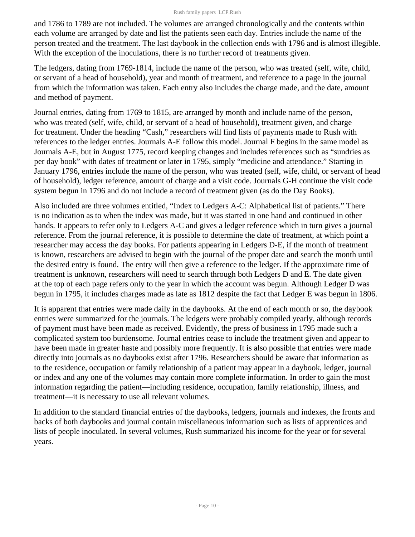and 1786 to 1789 are not included. The volumes are arranged chronologically and the contents within each volume are arranged by date and list the patients seen each day. Entries include the name of the person treated and the treatment. The last daybook in the collection ends with 1796 and is almost illegible. With the exception of the inoculations, there is no further record of treatments given.

The ledgers, dating from 1769-1814, include the name of the person, who was treated (self, wife, child, or servant of a head of household), year and month of treatment, and reference to a page in the journal from which the information was taken. Each entry also includes the charge made, and the date, amount and method of payment.

Journal entries, dating from 1769 to 1815, are arranged by month and include name of the person, who was treated (self, wife, child, or servant of a head of household), treatment given, and charge for treatment. Under the heading "Cash," researchers will find lists of payments made to Rush with references to the ledger entries. Journals A-E follow this model. Journal F begins in the same model as Journals A-E, but in August 1775, record keeping changes and includes references such as "sundries as per day book" with dates of treatment or later in 1795, simply "medicine and attendance." Starting in January 1796, entries include the name of the person, who was treated (self, wife, child, or servant of head of household), ledger reference, amount of charge and a visit code. Journals G-H continue the visit code system begun in 1796 and do not include a record of treatment given (as do the Day Books).

Also included are three volumes entitled, "Index to Ledgers A-C: Alphabetical list of patients." There is no indication as to when the index was made, but it was started in one hand and continued in other hands. It appears to refer only to Ledgers A-C and gives a ledger reference which in turn gives a journal reference. From the journal reference, it is possible to determine the date of treatment, at which point a researcher may access the day books. For patients appearing in Ledgers D-E, if the month of treatment is known, researchers are advised to begin with the journal of the proper date and search the month until the desired entry is found. The entry will then give a reference to the ledger. If the approximate time of treatment is unknown, researchers will need to search through both Ledgers D and E. The date given at the top of each page refers only to the year in which the account was begun. Although Ledger D was begun in 1795, it includes charges made as late as 1812 despite the fact that Ledger E was begun in 1806.

It is apparent that entries were made daily in the daybooks. At the end of each month or so, the daybook entries were summarized for the journals. The ledgers were probably compiled yearly, although records of payment must have been made as received. Evidently, the press of business in 1795 made such a complicated system too burdensome. Journal entries cease to include the treatment given and appear to have been made in greater haste and possibly more frequently. It is also possible that entries were made directly into journals as no daybooks exist after 1796. Researchers should be aware that information as to the residence, occupation or family relationship of a patient may appear in a daybook, ledger, journal or index and any one of the volumes may contain more complete information. In order to gain the most information regarding the patient—including residence, occupation, family relationship, illness, and treatment—it is necessary to use all relevant volumes.

In addition to the standard financial entries of the daybooks, ledgers, journals and indexes, the fronts and backs of both daybooks and journal contain miscellaneous information such as lists of apprentices and lists of people inoculated. In several volumes, Rush summarized his income for the year or for several years.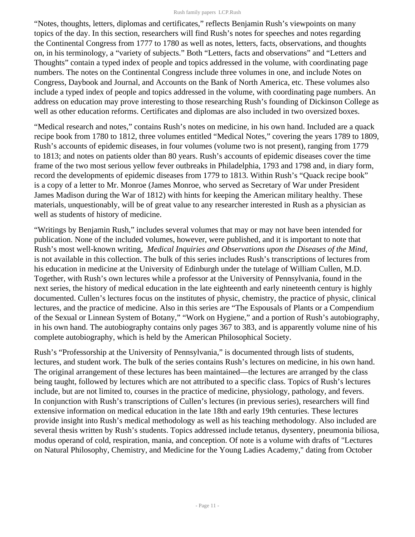"Notes, thoughts, letters, diplomas and certificates," reflects Benjamin Rush's viewpoints on many topics of the day. In this section, researchers will find Rush's notes for speeches and notes regarding the Continental Congress from 1777 to 1780 as well as notes, letters, facts, observations, and thoughts on, in his terminology, a "variety of subjects." Both "Letters, facts and observations" and "Letters and Thoughts" contain a typed index of people and topics addressed in the volume, with coordinating page numbers. The notes on the Continental Congress include three volumes in one, and include Notes on Congress, Daybook and Journal, and Accounts on the Bank of North America, etc. These volumes also include a typed index of people and topics addressed in the volume, with coordinating page numbers. An address on education may prove interesting to those researching Rush's founding of Dickinson College as well as other education reforms. Certificates and diplomas are also included in two oversized boxes.

"Medical research and notes," contains Rush's notes on medicine, in his own hand. Included are a quack recipe book from 1780 to 1812, three volumes entitled "Medical Notes," covering the years 1789 to 1809, Rush's accounts of epidemic diseases, in four volumes (volume two is not present), ranging from 1779 to 1813; and notes on patients older than 80 years. Rush's accounts of epidemic diseases cover the time frame of the two most serious yellow fever outbreaks in Philadelphia, 1793 and 1798 and, in diary form, record the developments of epidemic diseases from 1779 to 1813. Within Rush's "Quack recipe book" is a copy of a letter to Mr. Monroe (James Monroe, who served as Secretary of War under President James Madison during the War of 1812) with hints for keeping the American military healthy. These materials, unquestionably, will be of great value to any researcher interested in Rush as a physician as well as students of history of medicine.

"Writings by Benjamin Rush," includes several volumes that may or may not have been intended for publication. None of the included volumes, however, were published, and it is important to note that Rush's most well-known writing, *Medical Inquiries and Observations upon the Diseases of the Mind*, is not available in this collection. The bulk of this series includes Rush's transcriptions of lectures from his education in medicine at the University of Edinburgh under the tutelage of William Cullen, M.D. Together, with Rush's own lectures while a professor at the University of Pennsylvania, found in the next series, the history of medical education in the late eighteenth and early nineteenth century is highly documented. Cullen's lectures focus on the institutes of physic, chemistry, the practice of physic, clinical lectures, and the practice of medicine. Also in this series are "The Espousals of Plants or a Compendium of the Sexual or Linnean System of Botany," "Work on Hygiene," and a portion of Rush's autobiography, in his own hand. The autobiography contains only pages 367 to 383, and is apparently volume nine of his complete autobiography, which is held by the American Philosophical Society.

Rush's "Professorship at the University of Pennsylvania," is documented through lists of students, lectures, and student work. The bulk of the series contains Rush's lectures on medicine, in his own hand. The original arrangement of these lectures has been maintained—the lectures are arranged by the class being taught, followed by lectures which are not attributed to a specific class. Topics of Rush's lectures include, but are not limited to, courses in the practice of medicine, physiology, pathology, and fevers. In conjunction with Rush's transcriptions of Cullen's lectures (in previous series), researchers will find extensive information on medical education in the late 18th and early 19th centuries. These lectures provide insight into Rush's medical methodology as well as his teaching methodology. Also included are several thesis written by Rush's students. Topics addressed include tetanus, dysentery, pneumonia biliosa, modus operand of cold, respiration, mania, and conception. Of note is a volume with drafts of "Lectures on Natural Philosophy, Chemistry, and Medicine for the Young Ladies Academy," dating from October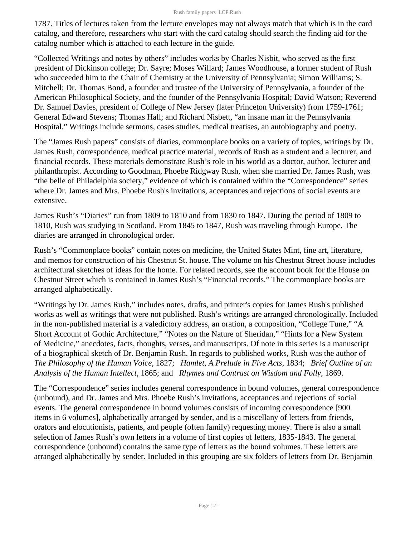1787. Titles of lectures taken from the lecture envelopes may not always match that which is in the card catalog, and therefore, researchers who start with the card catalog should search the finding aid for the catalog number which is attached to each lecture in the guide.

"Collected Writings and notes by others" includes works by Charles Nisbit, who served as the first president of Dickinson college; Dr. Sayre; Moses Willard; James Woodhouse, a former student of Rush who succeeded him to the Chair of Chemistry at the University of Pennsylvania; Simon Williams; S. Mitchell; Dr. Thomas Bond, a founder and trustee of the University of Pennsylvania, a founder of the American Philosophical Society, and the founder of the Pennsylvania Hospital; David Watson; Reverend Dr. Samuel Davies, president of College of New Jersey (later Princeton University) from 1759-1761; General Edward Stevens; Thomas Hall; and Richard Nisbett, "an insane man in the Pennsylvania Hospital." Writings include sermons, cases studies, medical treatises, an autobiography and poetry.

The "James Rush papers" consists of diaries, commonplace books on a variety of topics, writings by Dr. James Rush, correspondence, medical practice material, records of Rush as a student and a lecturer, and financial records. These materials demonstrate Rush's role in his world as a doctor, author, lecturer and philanthropist. According to Goodman, Phoebe Ridgway Rush, when she married Dr. James Rush, was "the belle of Philadelphia society," evidence of which is contained within the "Correspondence" series where Dr. James and Mrs. Phoebe Rush's invitations, acceptances and rejections of social events are extensive.

James Rush's "Diaries" run from 1809 to 1810 and from 1830 to 1847. During the period of 1809 to 1810, Rush was studying in Scotland. From 1845 to 1847, Rush was traveling through Europe. The diaries are arranged in chronological order.

Rush's "Commonplace books" contain notes on medicine, the United States Mint, fine art, literature, and memos for construction of his Chestnut St. house. The volume on his Chestnut Street house includes architectural sketches of ideas for the home. For related records, see the account book for the House on Chestnut Street which is contained in James Rush's "Financial records." The commonplace books are arranged alphabetically.

"Writings by Dr. James Rush," includes notes, drafts, and printer's copies for James Rush's published works as well as writings that were not published. Rush's writings are arranged chronologically. Included in the non-published material is a valedictory address, an oration, a composition, "College Tune," "A Short Account of Gothic Architecture," "Notes on the Nature of Sheridan," "Hints for a New System of Medicine," anecdotes, facts, thoughts, verses, and manuscripts. Of note in this series is a manuscript of a biographical sketch of Dr. Benjamin Rush. In regards to published works, Rush was the author of *The Philosophy of the Human Voice*, 1827; *Hamlet, A Prelude in Five Acts*, 1834; *Brief Outline of an Analysis of the Human Intellect*, 1865; and *Rhymes and Contrast on Wisdom and Folly*, 1869.

The "Correspondence" series includes general correspondence in bound volumes, general correspondence (unbound), and Dr. James and Mrs. Phoebe Rush's invitations, acceptances and rejections of social events. The general correspondence in bound volumes consists of incoming correspondence [900 items in 6 volumes], alphabetically arranged by sender, and is a miscellany of letters from friends, orators and elocutionists, patients, and people (often family) requesting money. There is also a small selection of James Rush's own letters in a volume of first copies of letters, 1835-1843. The general correspondence (unbound) contains the same type of letters as the bound volumes. These letters are arranged alphabetically by sender. Included in this grouping are six folders of letters from Dr. Benjamin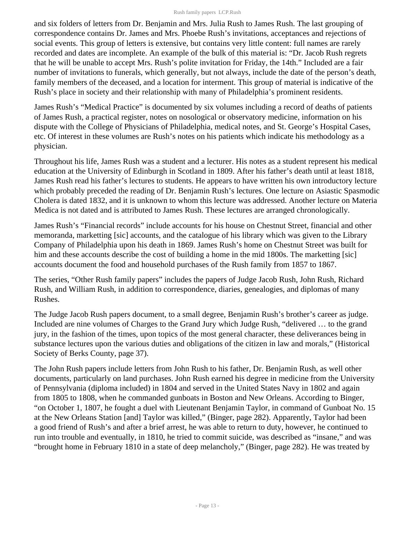and six folders of letters from Dr. Benjamin and Mrs. Julia Rush to James Rush. The last grouping of correspondence contains Dr. James and Mrs. Phoebe Rush's invitations, acceptances and rejections of social events. This group of letters is extensive, but contains very little content: full names are rarely recorded and dates are incomplete. An example of the bulk of this material is: "Dr. Jacob Rush regrets that he will be unable to accept Mrs. Rush's polite invitation for Friday, the 14th." Included are a fair number of invitations to funerals, which generally, but not always, include the date of the person's death, family members of the deceased, and a location for interment. This group of material is indicative of the Rush's place in society and their relationship with many of Philadelphia's prominent residents.

James Rush's "Medical Practice" is documented by six volumes including a record of deaths of patients of James Rush, a practical register, notes on nosological or observatory medicine, information on his dispute with the College of Physicians of Philadelphia, medical notes, and St. George's Hospital Cases, etc. Of interest in these volumes are Rush's notes on his patients which indicate his methodology as a physician.

Throughout his life, James Rush was a student and a lecturer. His notes as a student represent his medical education at the University of Edinburgh in Scotland in 1809. After his father's death until at least 1818, James Rush read his father's lectures to students. He appears to have written his own introductory lecture which probably preceded the reading of Dr. Benjamin Rush's lectures. One lecture on Asiastic Spasmodic Cholera is dated 1832, and it is unknown to whom this lecture was addressed. Another lecture on Materia Medica is not dated and is attributed to James Rush. These lectures are arranged chronologically.

James Rush's "Financial records" include accounts for his house on Chestnut Street, financial and other memoranda, marketting [sic] accounts, and the catalogue of his library which was given to the Library Company of Philadelphia upon his death in 1869. James Rush's home on Chestnut Street was built for him and these accounts describe the cost of building a home in the mid 1800s. The marketting [sic] accounts document the food and household purchases of the Rush family from 1857 to 1867.

The series, "Other Rush family papers" includes the papers of Judge Jacob Rush, John Rush, Richard Rush, and William Rush, in addition to correspondence, diaries, genealogies, and diplomas of many Rushes.

The Judge Jacob Rush papers document, to a small degree, Benjamin Rush's brother's career as judge. Included are nine volumes of Charges to the Grand Jury which Judge Rush, "delivered … to the grand jury, in the fashion of the times, upon topics of the most general character, these deliverances being in substance lectures upon the various duties and obligations of the citizen in law and morals," (Historical Society of Berks County, page 37).

The John Rush papers include letters from John Rush to his father, Dr. Benjamin Rush, as well other documents, particularly on land purchases. John Rush earned his degree in medicine from the University of Pennsylvania (diploma included) in 1804 and served in the United States Navy in 1802 and again from 1805 to 1808, when he commanded gunboats in Boston and New Orleans. According to Binger, "on October 1, 1807, he fought a duel with Lieutenant Benjamin Taylor, in command of Gunboat No. 15 at the New Orleans Station [and] Taylor was killed," (Binger, page 282). Apparently, Taylor had been a good friend of Rush's and after a brief arrest, he was able to return to duty, however, he continued to run into trouble and eventually, in 1810, he tried to commit suicide, was described as "insane," and was "brought home in February 1810 in a state of deep melancholy," (Binger, page 282). He was treated by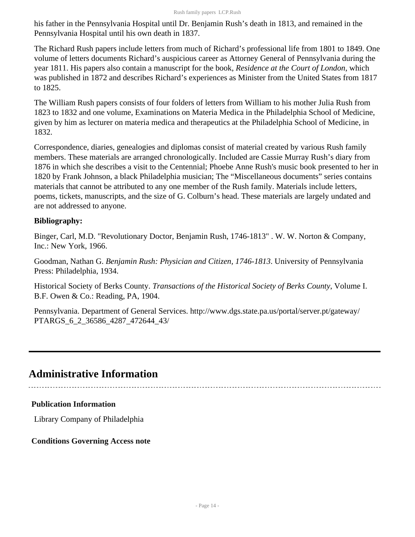his father in the Pennsylvania Hospital until Dr. Benjamin Rush's death in 1813, and remained in the Pennsylvania Hospital until his own death in 1837.

The Richard Rush papers include letters from much of Richard's professional life from 1801 to 1849. One volume of letters documents Richard's auspicious career as Attorney General of Pennsylvania during the year 1811. His papers also contain a manuscript for the book, *Residence at the Court of London*, which was published in 1872 and describes Richard's experiences as Minister from the United States from 1817 to 1825.

The William Rush papers consists of four folders of letters from William to his mother Julia Rush from 1823 to 1832 and one volume, Examinations on Materia Medica in the Philadelphia School of Medicine, given by him as lecturer on materia medica and therapeutics at the Philadelphia School of Medicine, in 1832.

Correspondence, diaries, genealogies and diplomas consist of material created by various Rush family members. These materials are arranged chronologically. Included are Cassie Murray Rush's diary from 1876 in which she describes a visit to the Centennial; Phoebe Anne Rush's music book presented to her in 1820 by Frank Johnson, a black Philadelphia musician; The "Miscellaneous documents" series contains materials that cannot be attributed to any one member of the Rush family. Materials include letters, poems, tickets, manuscripts, and the size of G. Colburn's head. These materials are largely undated and are not addressed to anyone.

#### **Bibliography:**

Binger, Carl, M.D. "Revolutionary Doctor, Benjamin Rush, 1746-1813" . W. W. Norton & Company, Inc.: New York, 1966.

Goodman, Nathan G. *Benjamin Rush: Physician and Citizen, 1746-1813*. University of Pennsylvania Press: Philadelphia, 1934.

Historical Society of Berks County. *Transactions of the Historical Society of Berks County*, Volume I. B.F. Owen & Co.: Reading, PA, 1904.

Pennsylvania. Department of General Services. http://www.dgs.state.pa.us/portal/server.pt/gateway/ PTARGS\_6\_2\_36586\_4287\_472644\_43/

## <span id="page-13-0"></span>**Administrative Information**

### **Publication Information**

Library Company of Philadelphia

### **Conditions Governing Access note**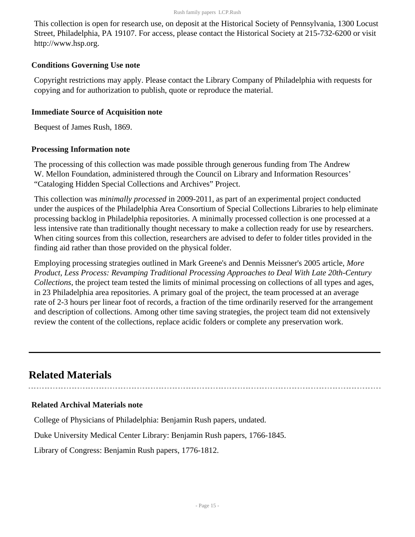This collection is open for research use, on deposit at the Historical Society of Pennsylvania, 1300 Locust Street, Philadelphia, PA 19107. For access, please contact the Historical Society at 215-732-6200 or visit http://www.hsp.org.

#### **Conditions Governing Use note**

Copyright restrictions may apply. Please contact the Library Company of Philadelphia with requests for copying and for authorization to publish, quote or reproduce the material.

#### **Immediate Source of Acquisition note**

Bequest of James Rush, 1869.

#### **Processing Information note**

The processing of this collection was made possible through generous funding from The Andrew W. Mellon Foundation, administered through the Council on Library and Information Resources' "Cataloging Hidden Special Collections and Archives" Project.

This collection was *minimally processed* in 2009-2011, as part of an experimental project conducted under the auspices of the Philadelphia Area Consortium of Special Collections Libraries to help eliminate processing backlog in Philadelphia repositories. A minimally processed collection is one processed at a less intensive rate than traditionally thought necessary to make a collection ready for use by researchers. When citing sources from this collection, researchers are advised to defer to folder titles provided in the finding aid rather than those provided on the physical folder.

Employing processing strategies outlined in Mark Greene's and Dennis Meissner's 2005 article, *More Product, Less Process: Revamping Traditional Processing Approaches to Deal With Late 20th-Century Collections*, the project team tested the limits of minimal processing on collections of all types and ages, in 23 Philadelphia area repositories. A primary goal of the project, the team processed at an average rate of 2-3 hours per linear foot of records, a fraction of the time ordinarily reserved for the arrangement and description of collections. Among other time saving strategies, the project team did not extensively review the content of the collections, replace acidic folders or complete any preservation work.

## <span id="page-14-0"></span>**Related Materials**

#### **Related Archival Materials note**

College of Physicians of Philadelphia: Benjamin Rush papers, undated.

Duke University Medical Center Library: Benjamin Rush papers, 1766-1845.

Library of Congress: Benjamin Rush papers, 1776-1812.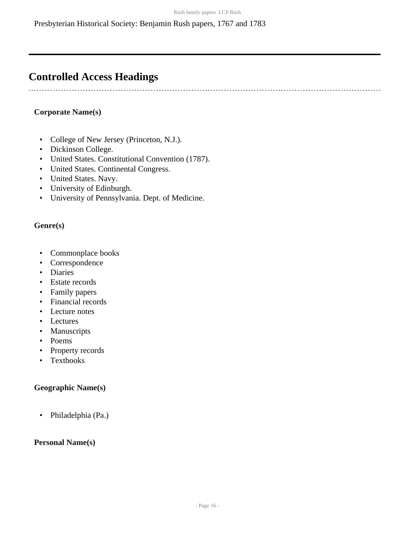## <span id="page-15-0"></span>**Controlled Access Headings**

#### **Corporate Name(s)**

- College of New Jersey (Princeton, N.J.).
- Dickinson College.
- United States. Constitutional Convention (1787).
- United States. Continental Congress.
- United States. Navy.
- University of Edinburgh.
- University of Pennsylvania. Dept. of Medicine.

#### **Genre(s)**

- Commonplace books
- Correspondence
- Diaries
- Estate records
- Family papers
- Financial records
- Lecture notes
- Lectures
- Manuscripts
- Poems
- Property records
- Textbooks

#### **Geographic Name(s)**

• Philadelphia (Pa.)

#### **Personal Name(s)**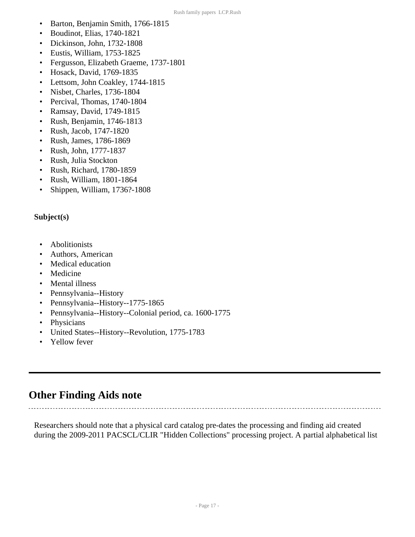- Barton, Benjamin Smith, 1766-1815
- Boudinot, Elias, 1740-1821
- Dickinson, John, 1732-1808
- Eustis, William, 1753-1825
- Fergusson, Elizabeth Graeme, 1737-1801
- Hosack, David, 1769-1835
- Lettsom, John Coakley, 1744-1815
- Nisbet, Charles, 1736-1804
- Percival, Thomas, 1740-1804
- Ramsay, David, 1749-1815
- Rush, Benjamin, 1746-1813
- Rush, Jacob, 1747-1820
- Rush, James, 1786-1869
- Rush, John, 1777-1837
- Rush, Julia Stockton
- Rush, Richard, 1780-1859
- Rush, William, 1801-1864
- Shippen, William, 1736?-1808

#### **Subject(s)**

- Abolitionists
- Authors, American
- Medical education
- Medicine
- Mental illness
- Pennsylvania--History
- Pennsylvania--History--1775-1865
- Pennsylvania--History--Colonial period, ca. 1600-1775
- Physicians
- United States--History--Revolution, 1775-1783
- Yellow fever

### <span id="page-16-0"></span>**Other Finding Aids note**

 $\mathbb{R}^2$ 

Researchers should note that a physical card catalog pre-dates the processing and finding aid created during the 2009-2011 PACSCL/CLIR "Hidden Collections" processing project. A partial alphabetical list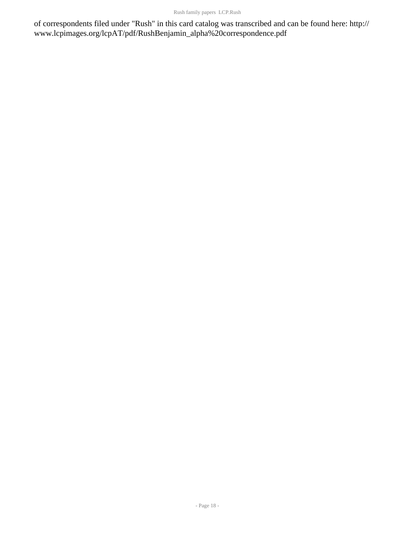of correspondents filed under "Rush" in this card catalog was transcribed and can be found here: http:// www.lcpimages.org/lcpAT/pdf/RushBenjamin\_alpha%20correspondence.pdf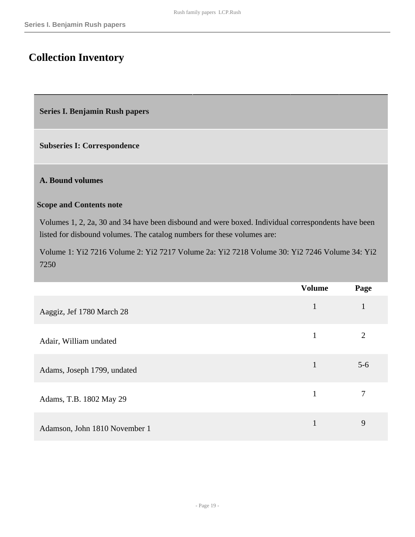## <span id="page-18-0"></span>**Collection Inventory**

<span id="page-18-1"></span>**Series I. Benjamin Rush papers** 

**Subseries I: Correspondence** 

#### **A. Bound volumes**

#### **Scope and Contents note**

Volumes 1, 2, 2a, 30 and 34 have been disbound and were boxed. Individual correspondents have been listed for disbound volumes. The catalog numbers for these volumes are:

Volume 1: Yi2 7216 Volume 2: Yi2 7217 Volume 2a: Yi2 7218 Volume 30: Yi2 7246 Volume 34: Yi2 7250

|                               | <b>Volume</b> | Page  |
|-------------------------------|---------------|-------|
| Aaggiz, Jef 1780 March 28     | $\mathbf{1}$  |       |
| Adair, William undated        | $\mathbf{1}$  | 2     |
| Adams, Joseph 1799, undated   | $\mathbf{1}$  | $5-6$ |
| Adams, T.B. 1802 May 29       | 1             | 7     |
| Adamson, John 1810 November 1 | 1             | 9     |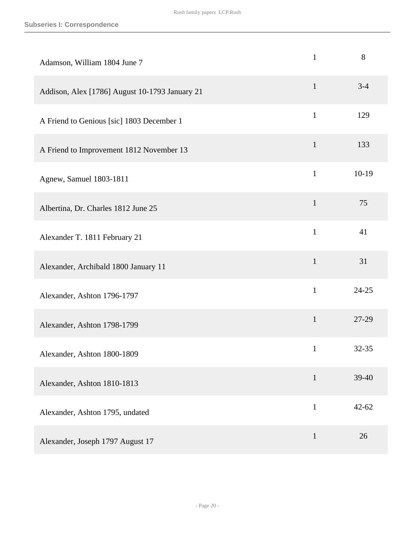| Adamson, William 1804 June 7                   | $\mathbf{1}$ | 8         |
|------------------------------------------------|--------------|-----------|
| Addison, Alex [1786] August 10-1793 January 21 | $\mathbf{1}$ | $3 - 4$   |
| A Friend to Genious [sic] 1803 December 1      | $\mathbf{1}$ | 129       |
| A Friend to Improvement 1812 November 13       | $\mathbf{1}$ | 133       |
| Agnew, Samuel 1803-1811                        | $\mathbf{1}$ | $10-19$   |
| Albertina, Dr. Charles 1812 June 25            | $\mathbf{1}$ | 75        |
| Alexander T. 1811 February 21                  | $\mathbf{1}$ | 41        |
| Alexander, Archibald 1800 January 11           | $\mathbf{1}$ | 31        |
| Alexander, Ashton 1796-1797                    | $\mathbf{1}$ | $24 - 25$ |
| Alexander, Ashton 1798-1799                    | $\mathbf{1}$ | 27-29     |
| Alexander, Ashton 1800-1809                    | $\mathbf{1}$ | 32-35     |
| Alexander, Ashton 1810-1813                    | $\mathbf{1}$ | 39-40     |
| Alexander, Ashton 1795, undated                | $\mathbf{1}$ | $42 - 62$ |
| Alexander, Joseph 1797 August 17               | $\mathbf{1}$ | 26        |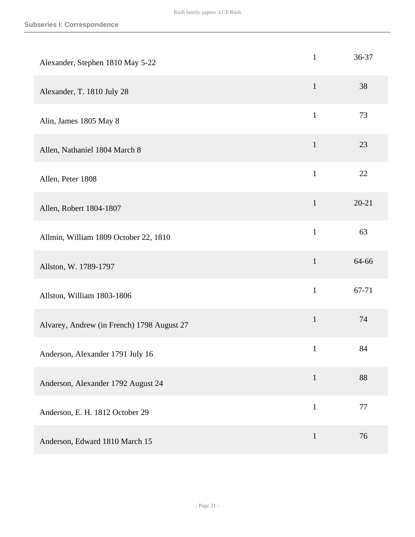| Alexander, Stephen 1810 May 5-22           | $\mathbf{1}$ | 36-37     |
|--------------------------------------------|--------------|-----------|
| Alexander, T. 1810 July 28                 | $\mathbf{1}$ | 38        |
| Alin, James 1805 May 8                     | $\mathbf{1}$ | 73        |
| Allen, Nathaniel 1804 March 8              | $\mathbf{1}$ | 23        |
| Allen, Peter 1808                          | $\mathbf{1}$ | 22        |
| Allen, Robert 1804-1807                    | $\mathbf{1}$ | $20 - 21$ |
| Allmin, William 1809 October 22, 1810      | $\mathbf{1}$ | 63        |
| Allston, W. 1789-1797                      | $\mathbf{1}$ | 64-66     |
| Allston, William 1803-1806                 | $\mathbf{1}$ | 67-71     |
| Alvarey, Andrew (in French) 1798 August 27 | $\mathbf 1$  | 74        |
| Anderson, Alexander 1791 July 16           | $\mathbf{1}$ | 84        |
| Anderson, Alexander 1792 August 24         | $\mathbf{1}$ | 88        |
| Anderson, E. H. 1812 October 29            | $\mathbf{1}$ | 77        |
| Anderson, Edward 1810 March 15             | $\mathbf{1}$ | 76        |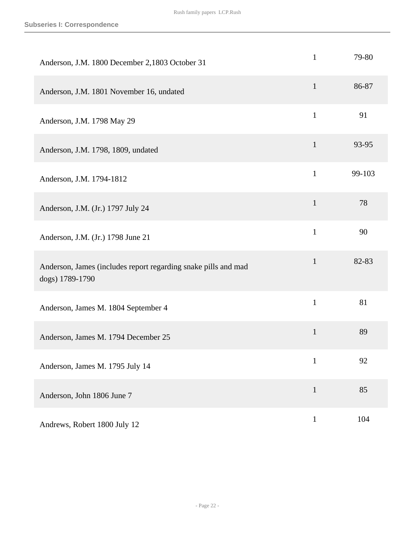| Anderson, J.M. 1800 December 2,1803 October 31                                    | $\mathbf{1}$ | 79-80  |
|-----------------------------------------------------------------------------------|--------------|--------|
| Anderson, J.M. 1801 November 16, undated                                          | $\mathbf{1}$ | 86-87  |
| Anderson, J.M. 1798 May 29                                                        | $\mathbf{1}$ | 91     |
| Anderson, J.M. 1798, 1809, undated                                                | $\mathbf{1}$ | 93-95  |
| Anderson, J.M. 1794-1812                                                          | $\mathbf{1}$ | 99-103 |
| Anderson, J.M. (Jr.) 1797 July 24                                                 | $\mathbf{1}$ | 78     |
| Anderson, J.M. (Jr.) 1798 June 21                                                 | $\mathbf{1}$ | 90     |
| Anderson, James (includes report regarding snake pills and mad<br>dogs) 1789-1790 | $\mathbf{1}$ | 82-83  |
| Anderson, James M. 1804 September 4                                               | $\mathbf{1}$ | 81     |
| Anderson, James M. 1794 December 25                                               | $\mathbf{1}$ | 89     |
| Anderson, James M. 1795 July 14                                                   | $\mathbf{1}$ | 92     |
| Anderson, John 1806 June 7                                                        | $\mathbf{1}$ | 85     |
| Andrews, Robert 1800 July 12                                                      | $\mathbf{1}$ | 104    |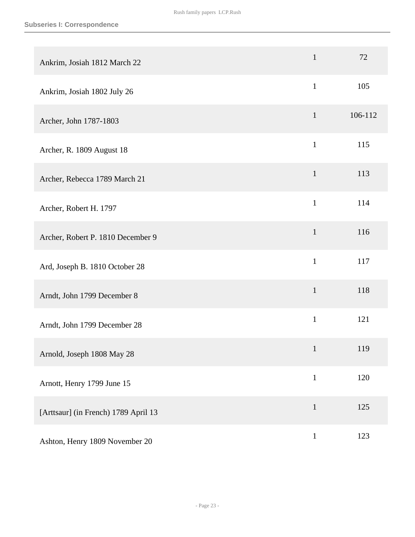| Ankrim, Josiah 1812 March 22         | $\mathbf{1}$ | 72      |
|--------------------------------------|--------------|---------|
| Ankrim, Josiah 1802 July 26          | $\mathbf{1}$ | 105     |
| Archer, John 1787-1803               | $\mathbf{1}$ | 106-112 |
| Archer, R. 1809 August 18            | $\mathbf{1}$ | 115     |
| Archer, Rebecca 1789 March 21        | $\mathbf{1}$ | 113     |
| Archer, Robert H. 1797               | $\mathbf{1}$ | 114     |
| Archer, Robert P. 1810 December 9    | $\mathbf{1}$ | 116     |
| Ard, Joseph B. 1810 October 28       | $\mathbf{1}$ | 117     |
| Arndt, John 1799 December 8          | $\mathbf{1}$ | 118     |
| Arndt, John 1799 December 28         | $\mathbf{1}$ | 121     |
| Arnold, Joseph 1808 May 28           | $\mathbf{1}$ | 119     |
| Arnott, Henry 1799 June 15           | $\,1$        | 120     |
| [Arttsaur] (in French) 1789 April 13 | $\mathbf{1}$ | 125     |
| Ashton, Henry 1809 November 20       | $\mathbf{1}$ | 123     |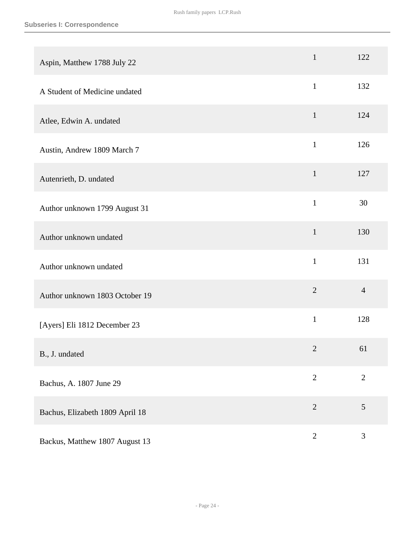| Aspin, Matthew 1788 July 22     | $\mathbf{1}$   | 122            |
|---------------------------------|----------------|----------------|
| A Student of Medicine undated   | $\mathbf{1}$   | 132            |
| Atlee, Edwin A. undated         | $\mathbf{1}$   | 124            |
| Austin, Andrew 1809 March 7     | $\mathbf{1}$   | 126            |
| Autenrieth, D. undated          | $\mathbf{1}$   | 127            |
| Author unknown 1799 August 31   | $\mathbf{1}$   | 30             |
| Author unknown undated          | $\mathbf{1}$   | 130            |
| Author unknown undated          | $\mathbf{1}$   | 131            |
| Author unknown 1803 October 19  | $\overline{2}$ | $\overline{4}$ |
| [Ayers] Eli 1812 December 23    | $\mathbf{1}$   | 128            |
| B., J. undated                  | $\overline{2}$ | 61             |
| Bachus, A. 1807 June 29         | $\mathbf{2}$   | $\mathbf{2}$   |
| Bachus, Elizabeth 1809 April 18 | $\overline{2}$ | 5              |
| Backus, Matthew 1807 August 13  | $\sqrt{2}$     | 3              |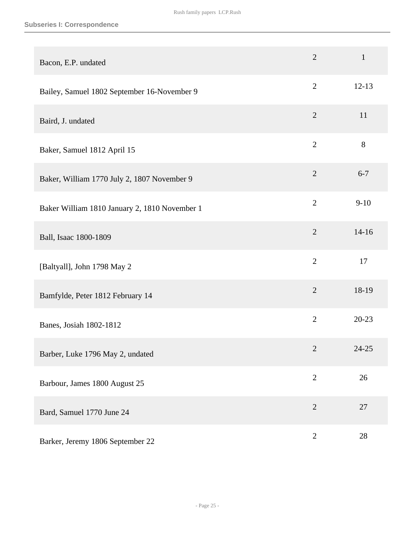| Bacon, E.P. undated                           | $\overline{2}$ | $\mathbf{1}$ |
|-----------------------------------------------|----------------|--------------|
| Bailey, Samuel 1802 September 16-November 9   | $\overline{2}$ | $12 - 13$    |
| Baird, J. undated                             | $\overline{2}$ | 11           |
| Baker, Samuel 1812 April 15                   | $\overline{2}$ | 8            |
| Baker, William 1770 July 2, 1807 November 9   | $\overline{2}$ | $6 - 7$      |
| Baker William 1810 January 2, 1810 November 1 | $\overline{2}$ | $9 - 10$     |
| Ball, Isaac 1800-1809                         | $\overline{2}$ | $14 - 16$    |
| [Baltyall], John 1798 May 2                   | $\overline{2}$ | 17           |
| Bamfylde, Peter 1812 February 14              | $\overline{2}$ | 18-19        |
| Banes, Josiah 1802-1812                       | $\overline{2}$ | $20 - 23$    |
| Barber, Luke 1796 May 2, undated              | $\overline{2}$ | 24-25        |
| Barbour, James 1800 August 25                 | $\overline{2}$ | 26           |
| Bard, Samuel 1770 June 24                     | $\overline{2}$ | $27\,$       |
| Barker, Jeremy 1806 September 22              | $\sqrt{2}$     | 28           |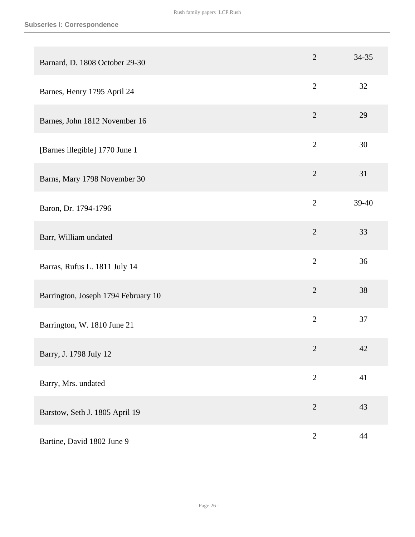| Barnard, D. 1808 October 29-30      | $\overline{2}$ | 34-35 |
|-------------------------------------|----------------|-------|
| Barnes, Henry 1795 April 24         | $\overline{2}$ | 32    |
| Barnes, John 1812 November 16       | $\overline{2}$ | 29    |
| [Barnes illegible] 1770 June 1      | $\overline{2}$ | 30    |
| Barns, Mary 1798 November 30        | $\overline{2}$ | 31    |
| Baron, Dr. 1794-1796                | $\overline{2}$ | 39-40 |
| Barr, William undated               | $\overline{2}$ | 33    |
| Barras, Rufus L. 1811 July 14       | $\overline{2}$ | 36    |
| Barrington, Joseph 1794 February 10 | $\overline{2}$ | 38    |
| Barrington, W. 1810 June 21         | $\overline{2}$ | 37    |
| Barry, J. 1798 July 12              | $\mathbf{2}$   | 42    |
| Barry, Mrs. undated                 | $\overline{2}$ | 41    |
| Barstow, Seth J. 1805 April 19      | $\overline{2}$ | 43    |
| Bartine, David 1802 June 9          | $\sqrt{2}$     | 44    |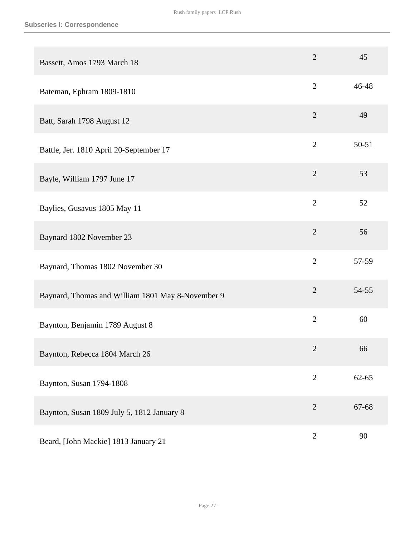| Bassett, Amos 1793 March 18                       | $\overline{2}$ | 45        |
|---------------------------------------------------|----------------|-----------|
| Bateman, Ephram 1809-1810                         | $\overline{2}$ | 46-48     |
| Batt, Sarah 1798 August 12                        | $\overline{2}$ | 49        |
| Battle, Jer. 1810 April 20-September 17           | $\overline{2}$ | $50 - 51$ |
| Bayle, William 1797 June 17                       | $\overline{2}$ | 53        |
| Baylies, Gusavus 1805 May 11                      | $\overline{2}$ | 52        |
| Baynard 1802 November 23                          | $\overline{2}$ | 56        |
| Baynard, Thomas 1802 November 30                  | $\overline{2}$ | 57-59     |
| Baynard, Thomas and William 1801 May 8-November 9 | $\overline{2}$ | 54-55     |
| Baynton, Benjamin 1789 August 8                   | $\overline{2}$ | 60        |
| Baynton, Rebecca 1804 March 26                    | $\overline{2}$ | 66        |
| Baynton, Susan 1794-1808                          | $\mathbf{2}$   | $62 - 65$ |
| Baynton, Susan 1809 July 5, 1812 January 8        | $\overline{2}$ | 67-68     |
| Beard, [John Mackie] 1813 January 21              | $\mathbf{2}$   | 90        |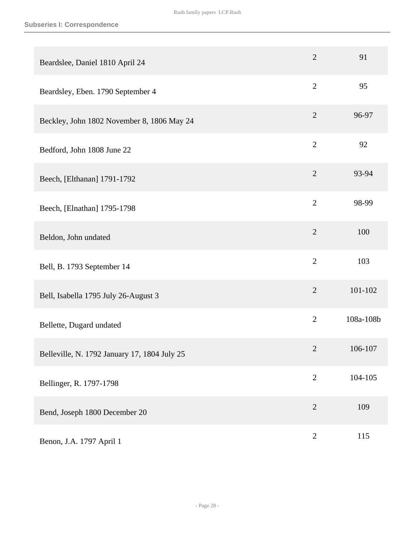| Beardslee, Daniel 1810 April 24              | $\overline{2}$ | 91        |
|----------------------------------------------|----------------|-----------|
| Beardsley, Eben. 1790 September 4            | $\overline{2}$ | 95        |
| Beckley, John 1802 November 8, 1806 May 24   | $\overline{2}$ | 96-97     |
| Bedford, John 1808 June 22                   | $\overline{2}$ | 92        |
| Beech, [Elthanan] 1791-1792                  | $\overline{2}$ | 93-94     |
| Beech, [Elnathan] 1795-1798                  | $\overline{2}$ | 98-99     |
| Beldon, John undated                         | $\overline{2}$ | 100       |
| Bell, B. 1793 September 14                   | $\overline{2}$ | 103       |
| Bell, Isabella 1795 July 26-August 3         | $\overline{2}$ | 101-102   |
| Bellette, Dugard undated                     | $\overline{2}$ | 108a-108b |
| Belleville, N. 1792 January 17, 1804 July 25 | $\overline{2}$ | 106-107   |
| Bellinger, R. 1797-1798                      | $\overline{2}$ | 104-105   |
| Bend, Joseph 1800 December 20                | $\overline{2}$ | 109       |
| Benon, J.A. 1797 April 1                     | $\sqrt{2}$     | 115       |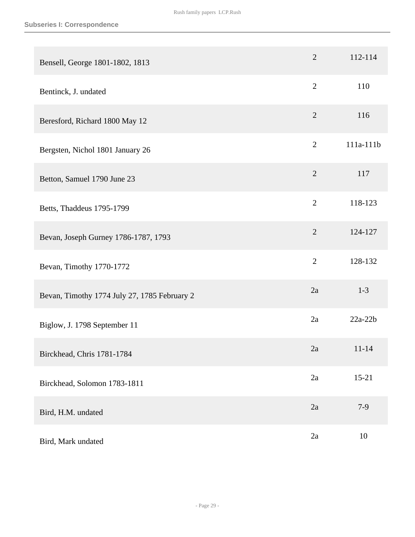| Bensell, George 1801-1802, 1813              | $\overline{2}$ | 112-114   |
|----------------------------------------------|----------------|-----------|
| Bentinck, J. undated                         | $\overline{2}$ | 110       |
| Beresford, Richard 1800 May 12               | $\overline{2}$ | 116       |
| Bergsten, Nichol 1801 January 26             | $\mathbf{2}$   | 111a-111b |
| Betton, Samuel 1790 June 23                  | $\overline{2}$ | 117       |
| Betts, Thaddeus 1795-1799                    | $\overline{2}$ | 118-123   |
| Bevan, Joseph Gurney 1786-1787, 1793         | $\overline{2}$ | 124-127   |
| Bevan, Timothy 1770-1772                     | $\overline{2}$ | 128-132   |
| Bevan, Timothy 1774 July 27, 1785 February 2 | 2a             | $1 - 3$   |
| Biglow, J. 1798 September 11                 | 2a             | $22a-22b$ |
| Birckhead, Chris 1781-1784                   | 2a             | $11 - 14$ |
| Birckhead, Solomon 1783-1811                 | 2a             | $15 - 21$ |
| Bird, H.M. undated                           | 2a             | $7-9$     |
| Bird, Mark undated                           | 2a             | 10        |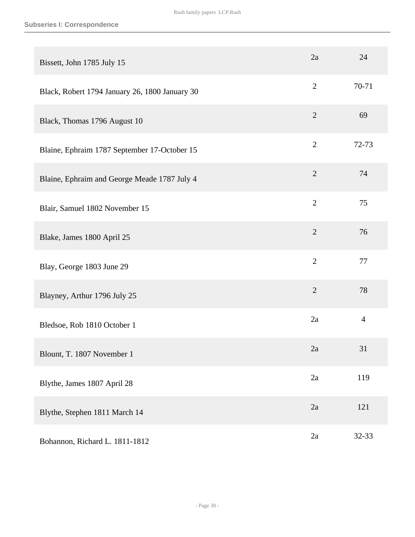| Bissett, John 1785 July 15                     | 2a             | 24             |
|------------------------------------------------|----------------|----------------|
| Black, Robert 1794 January 26, 1800 January 30 | $\mathbf{2}$   | 70-71          |
| Black, Thomas 1796 August 10                   | $\overline{2}$ | 69             |
| Blaine, Ephraim 1787 September 17-October 15   | $\overline{2}$ | 72-73          |
| Blaine, Ephraim and George Meade 1787 July 4   | $\overline{2}$ | 74             |
| Blair, Samuel 1802 November 15                 | $\overline{2}$ | 75             |
| Blake, James 1800 April 25                     | $\overline{2}$ | 76             |
| Blay, George 1803 June 29                      | $\overline{2}$ | 77             |
| Blayney, Arthur 1796 July 25                   | $\overline{2}$ | 78             |
| Bledsoe, Rob 1810 October 1                    | 2a             | $\overline{4}$ |
| Blount, T. 1807 November 1                     | 2a             | 31             |
| Blythe, James 1807 April 28                    | 2a             | 119            |
| Blythe, Stephen 1811 March 14                  | 2a             | 121            |
| Bohannon, Richard L. 1811-1812                 | 2a             | 32-33          |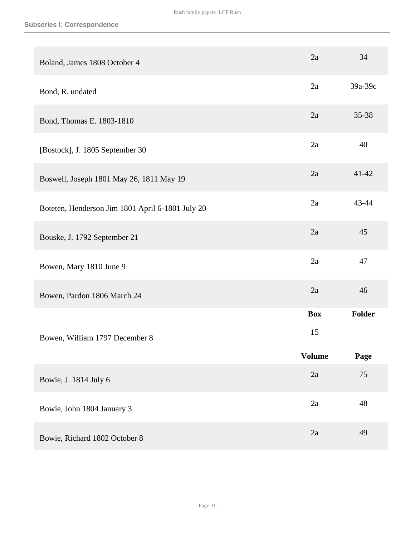| Boland, James 1808 October 4                     | 2a               | 34        |
|--------------------------------------------------|------------------|-----------|
| Bond, R. undated                                 | 2a               | 39a-39c   |
| Bond, Thomas E. 1803-1810                        | 2a               | $35 - 38$ |
| [Bostock], J. 1805 September 30                  | 2a               | 40        |
| Boswell, Joseph 1801 May 26, 1811 May 19         | 2a               | $41 - 42$ |
| Boteten, Henderson Jim 1801 April 6-1801 July 20 | 2a               | 43-44     |
| Bouske, J. 1792 September 21                     | 2a               | 45        |
| Bowen, Mary 1810 June 9                          | 2a               | 47        |
| Bowen, Pardon 1806 March 24                      | 2a               | 46        |
|                                                  | <b>Box</b><br>15 | Folder    |
| Bowen, William 1797 December 8                   | <b>Volume</b>    | Page      |
| Bowie, J. 1814 July 6                            | 2a               | 75        |
| Bowie, John 1804 January 3                       | 2a               | 48        |
| Bowie, Richard 1802 October 8                    | 2a               | 49        |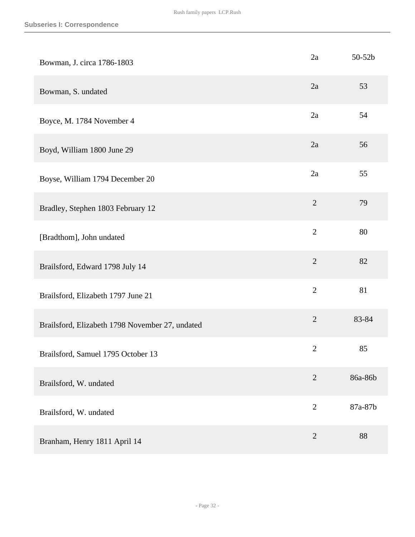| Bowman, J. circa 1786-1803                      | 2a             | 50-52b  |
|-------------------------------------------------|----------------|---------|
| Bowman, S. undated                              | 2a             | 53      |
| Boyce, M. 1784 November 4                       | 2a             | 54      |
| Boyd, William 1800 June 29                      | 2a             | 56      |
| Boyse, William 1794 December 20                 | 2a             | 55      |
| Bradley, Stephen 1803 February 12               | $\overline{2}$ | 79      |
| [Bradthom], John undated                        | $\overline{2}$ | 80      |
| Brailsford, Edward 1798 July 14                 | $\overline{2}$ | 82      |
| Brailsford, Elizabeth 1797 June 21              | $\overline{2}$ | 81      |
| Brailsford, Elizabeth 1798 November 27, undated | $\mathbf{2}$   | 83-84   |
| Brailsford, Samuel 1795 October 13              | $\overline{2}$ | 85      |
| Brailsford, W. undated                          | $\overline{2}$ | 86a-86b |
| Brailsford, W. undated                          | $\overline{2}$ | 87a-87b |
| Branham, Henry 1811 April 14                    | $\overline{2}$ | 88      |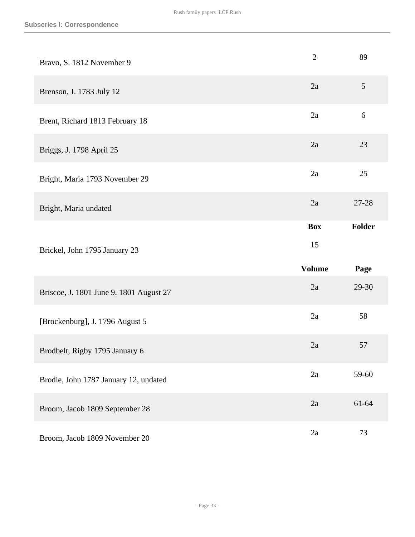| Bravo, S. 1812 November 9               | $\overline{2}$ | 89               |
|-----------------------------------------|----------------|------------------|
| Brenson, J. 1783 July 12                | 2a             | 5                |
| Brent, Richard 1813 February 18         | 2a             | $\boldsymbol{6}$ |
| Briggs, J. 1798 April 25                | 2a             | 23               |
| Bright, Maria 1793 November 29          | 2a             | 25               |
| Bright, Maria undated                   | 2a             | 27-28            |
|                                         | <b>Box</b>     | Folder           |
|                                         | 15             |                  |
| Brickel, John 1795 January 23           | <b>Volume</b>  | Page             |
| Briscoe, J. 1801 June 9, 1801 August 27 | 2a             | 29-30            |
| [Brockenburg], J. 1796 August 5         | 2a             | 58               |
| Brodbelt, Rigby 1795 January 6          | 2a             | 57               |
| Brodie, John 1787 January 12, undated   | 2a             | 59-60            |
| Broom, Jacob 1809 September 28          | 2a             | 61-64            |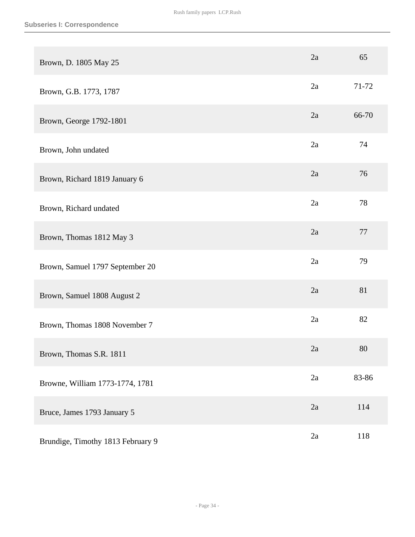| Brown, D. 1805 May 25             | 2a | 65    |
|-----------------------------------|----|-------|
| Brown, G.B. 1773, 1787            | 2a | 71-72 |
| Brown, George 1792-1801           | 2a | 66-70 |
| Brown, John undated               | 2a | 74    |
| Brown, Richard 1819 January 6     | 2a | 76    |
| Brown, Richard undated            | 2a | 78    |
| Brown, Thomas 1812 May 3          | 2a | 77    |
| Brown, Samuel 1797 September 20   | 2a | 79    |
| Brown, Samuel 1808 August 2       | 2a | 81    |
| Brown, Thomas 1808 November 7     | 2a | 82    |
| Brown, Thomas S.R. 1811           | 2a | 80    |
| Browne, William 1773-1774, 1781   | 2a | 83-86 |
| Bruce, James 1793 January 5       | 2a | 114   |
| Brundige, Timothy 1813 February 9 | 2a | 118   |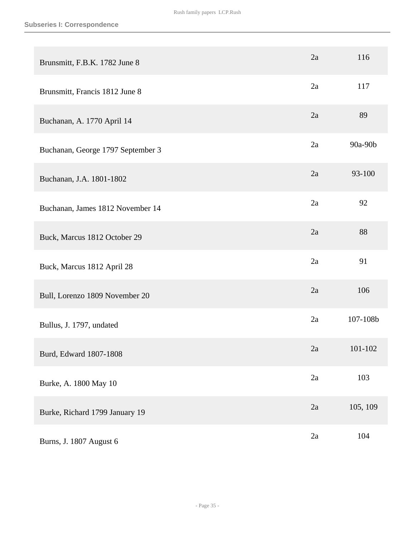| Brunsmitt, F.B.K. 1782 June 8     | 2a | 116      |
|-----------------------------------|----|----------|
| Brunsmitt, Francis 1812 June 8    | 2a | 117      |
| Buchanan, A. 1770 April 14        | 2a | 89       |
| Buchanan, George 1797 September 3 | 2a | 90a-90b  |
| Buchanan, J.A. 1801-1802          | 2a | 93-100   |
| Buchanan, James 1812 November 14  | 2a | 92       |
| Buck, Marcus 1812 October 29      | 2a | 88       |
| Buck, Marcus 1812 April 28        | 2a | 91       |
| Bull, Lorenzo 1809 November 20    | 2a | 106      |
| Bullus, J. 1797, undated          | 2a | 107-108b |
| Burd, Edward 1807-1808            | 2a | 101-102  |
| Burke, A. 1800 May 10             | 2a | 103      |
| Burke, Richard 1799 January 19    | 2a | 105, 109 |
| Burns, J. 1807 August 6           | 2a | 104      |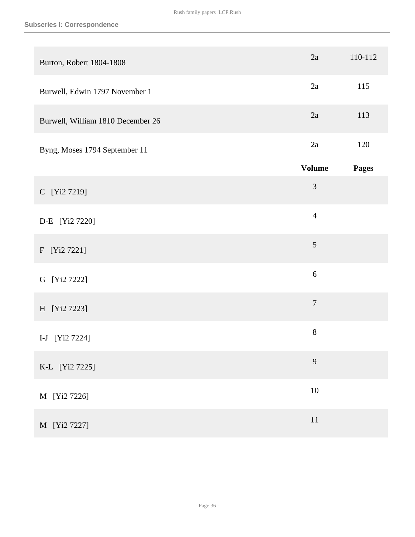| Burton, Robert 1804-1808          | 2a               | 110-112      |
|-----------------------------------|------------------|--------------|
| Burwell, Edwin 1797 November 1    | 2a               | 115          |
| Burwell, William 1810 December 26 | 2a               | 113          |
| Byng, Moses 1794 September 11     | 2a               | 120          |
|                                   | <b>Volume</b>    | <b>Pages</b> |
| C [Yi2 7219]                      | 3                |              |
| D-E [Yi2 7220]                    | $\overline{4}$   |              |
| F [Yi2 7221]                      | 5                |              |
| G [Yi2 7222]                      | $\boldsymbol{6}$ |              |
| H [Yi2 7223]                      | $\overline{7}$   |              |
| I-J [Yi2 7224]                    | $8\,$            |              |
| K-L [Yi2 7225]                    | 9                |              |
| M [Yi2 7226]                      | $10\,$           |              |
| M [Yi2 7227]                      | $11\,$           |              |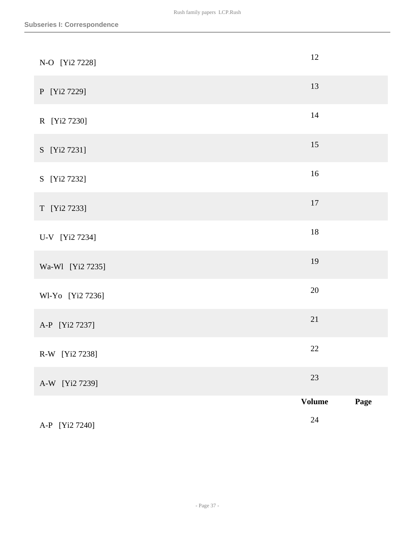| A-P [Yi2 7240]   | $24\,$              |      |
|------------------|---------------------|------|
| A-W [Yi2 7239]   | 23<br><b>Volume</b> | Page |
| R-W [Yi2 7238]   | 22                  |      |
| A-P [Yi2 7237]   | 21                  |      |
| Wl-Yo [Yi2 7236] | $20\,$              |      |
| Wa-Wl [Yi2 7235] | 19                  |      |
| U-V [Yi2 7234]   | $18\,$              |      |
| T [Yi2 7233]     | $17\,$              |      |
| S [Yi2 7232]     | $16\,$              |      |
| S [Yi2 7231]     | 15                  |      |
| R [Yi2 7230]     | $14\,$              |      |
| P [Yi2 7229]     | 13                  |      |
| N-O [Yi2 7228]   | 12                  |      |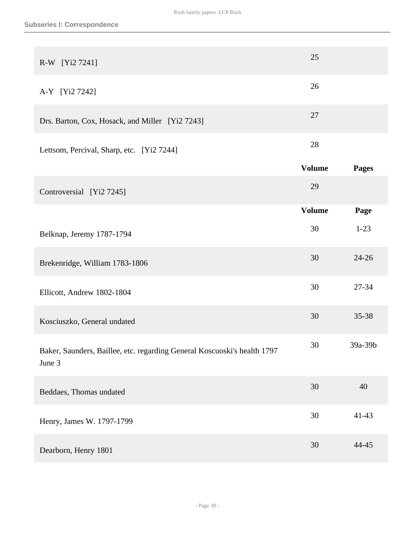| R-W [Yi2 7241]                                                                     | 25            |              |
|------------------------------------------------------------------------------------|---------------|--------------|
| A-Y [Yi2 7242]                                                                     | 26            |              |
| Drs. Barton, Cox, Hosack, and Miller [Yi2 7243]                                    | 27            |              |
| Lettsom, Percival, Sharp, etc. [Yi2 7244]                                          | 28            |              |
|                                                                                    | <b>Volume</b> | <b>Pages</b> |
| Controversial [Yi2 7245]                                                           | 29            |              |
|                                                                                    | <b>Volume</b> | Page         |
| Belknap, Jeremy 1787-1794                                                          | 30            | $1-23$       |
| Brekenridge, William 1783-1806                                                     | 30            | $24 - 26$    |
| Ellicott, Andrew 1802-1804                                                         | 30            | 27-34        |
| Kosciuszko, General undated                                                        | 30            | 35-38        |
| Baker, Saunders, Baillee, etc. regarding General Koscuoski's health 1797<br>June 3 | 30            | 39a-39b      |
| Beddaes, Thomas undated                                                            | 30            | 40           |
| Henry, James W. 1797-1799                                                          | 30            | $41 - 43$    |
| Dearborn, Henry 1801                                                               | 30            | 44-45        |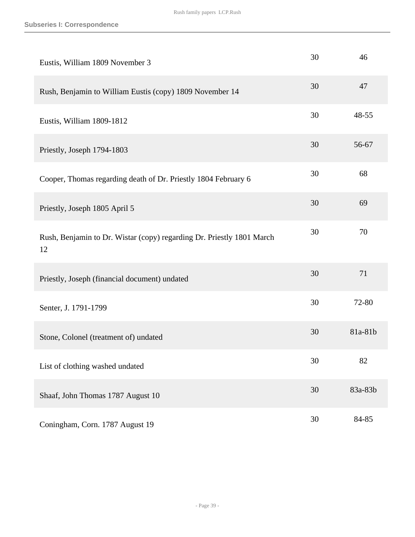| Eustis, William 1809 November 3                                             | 30 | 46      |
|-----------------------------------------------------------------------------|----|---------|
| Rush, Benjamin to William Eustis (copy) 1809 November 14                    | 30 | 47      |
| Eustis, William 1809-1812                                                   | 30 | 48-55   |
| Priestly, Joseph 1794-1803                                                  | 30 | 56-67   |
| Cooper, Thomas regarding death of Dr. Priestly 1804 February 6              | 30 | 68      |
| Priestly, Joseph 1805 April 5                                               | 30 | 69      |
| Rush, Benjamin to Dr. Wistar (copy) regarding Dr. Priestly 1801 March<br>12 | 30 | 70      |
| Priestly, Joseph (financial document) undated                               | 30 | 71      |
| Senter, J. 1791-1799                                                        | 30 | 72-80   |
| Stone, Colonel (treatment of) undated                                       | 30 | 81a-81b |
| List of clothing washed undated                                             | 30 | 82      |
| Shaaf, John Thomas 1787 August 10                                           | 30 | 83a-83b |
| Coningham, Corn. 1787 August 19                                             | 30 | 84-85   |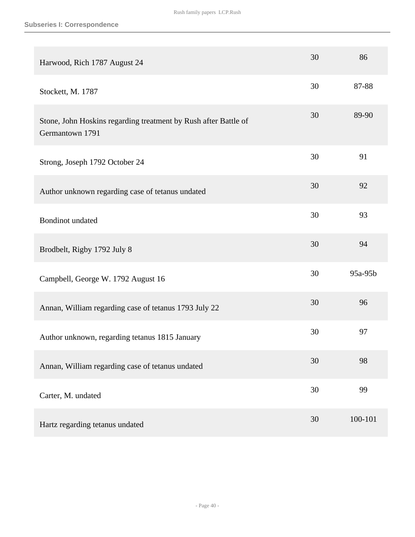| Harwood, Rich 1787 August 24                                                       | 30 | 86      |
|------------------------------------------------------------------------------------|----|---------|
| Stockett, M. 1787                                                                  | 30 | 87-88   |
| Stone, John Hoskins regarding treatment by Rush after Battle of<br>Germantown 1791 | 30 | 89-90   |
| Strong, Joseph 1792 October 24                                                     | 30 | 91      |
| Author unknown regarding case of tetanus undated                                   | 30 | 92      |
| <b>Bondinot</b> undated                                                            | 30 | 93      |
| Brodbelt, Rigby 1792 July 8                                                        | 30 | 94      |
| Campbell, George W. 1792 August 16                                                 | 30 | 95a-95b |
| Annan, William regarding case of tetanus 1793 July 22                              | 30 | 96      |
| Author unknown, regarding tetanus 1815 January                                     | 30 | 97      |
| Annan, William regarding case of tetanus undated                                   | 30 | 98      |
| Carter, M. undated                                                                 | 30 | 99      |
| Hartz regarding tetanus undated                                                    | 30 | 100-101 |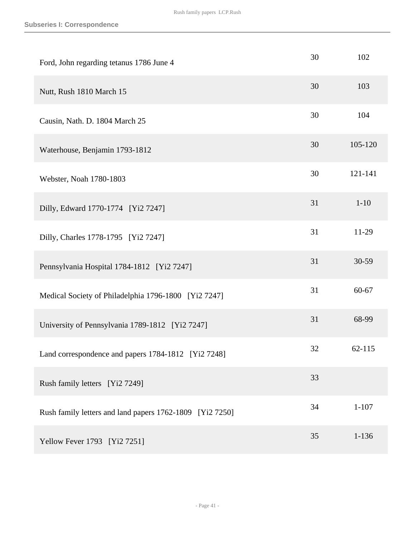| Ford, John regarding tetanus 1786 June 4                 | 30 | 102       |
|----------------------------------------------------------|----|-----------|
| Nutt, Rush 1810 March 15                                 | 30 | 103       |
| Causin, Nath. D. 1804 March 25                           | 30 | 104       |
| Waterhouse, Benjamin 1793-1812                           | 30 | 105-120   |
| Webster, Noah 1780-1803                                  | 30 | 121-141   |
| Dilly, Edward 1770-1774 [Yi2 7247]                       | 31 | $1 - 10$  |
| Dilly, Charles 1778-1795 [Yi2 7247]                      | 31 | 11-29     |
| Pennsylvania Hospital 1784-1812 [Yi2 7247]               | 31 | 30-59     |
| Medical Society of Philadelphia 1796-1800 [Yi2 7247]     | 31 | 60-67     |
| University of Pennsylvania 1789-1812 [Yi2 7247]          | 31 | 68-99     |
| Land correspondence and papers 1784-1812 [Yi2 7248]      | 32 | 62-115    |
| Rush family letters [Yi2 7249]                           | 33 |           |
| Rush family letters and land papers 1762-1809 [Yi2 7250] | 34 | $1 - 107$ |
| Yellow Fever 1793 [Yi2 7251]                             | 35 | $1 - 136$ |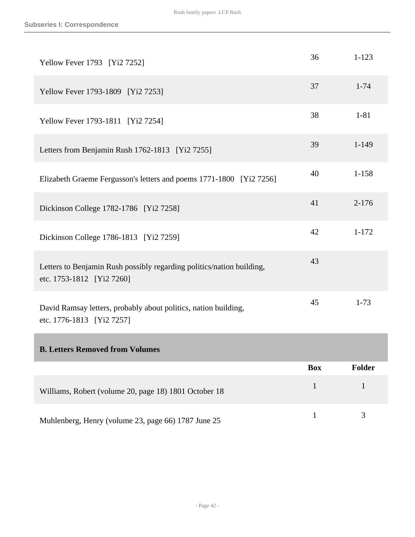| Yellow Fever 1793 [Yi2 7252]                                                                       | 36           | $1 - 123$     |
|----------------------------------------------------------------------------------------------------|--------------|---------------|
| Yellow Fever 1793-1809 [Yi2 7253]                                                                  | 37           | $1 - 74$      |
| Yellow Fever 1793-1811 [Yi2 7254]                                                                  | 38           | $1 - 81$      |
| Letters from Benjamin Rush 1762-1813 [Yi2 7255]                                                    | 39           | $1 - 149$     |
| Elizabeth Graeme Fergusson's letters and poems 1771-1800 [Yi2 7256]                                | 40           | $1 - 158$     |
| Dickinson College 1782-1786 [Yi2 7258]                                                             | 41           | $2 - 176$     |
| Dickinson College 1786-1813 [Yi2 7259]                                                             | 42           | $1 - 172$     |
| Letters to Benjamin Rush possibly regarding politics/nation building,<br>etc. 1753-1812 [Yi2 7260] | 43           |               |
| David Ramsay letters, probably about politics, nation building,<br>etc. 1776-1813 [Yi2 7257]       | 45           | $1 - 73$      |
| <b>B. Letters Removed from Volumes</b>                                                             |              |               |
|                                                                                                    | <b>Box</b>   | <b>Folder</b> |
| Williams, Robert (volume 20, page 18) 1801 October 18                                              | $\mathbf{1}$ | $\mathbf{1}$  |
| Muhlenberg, Henry (volume 23, page 66) 1787 June 25                                                | $\mathbf{1}$ | 3             |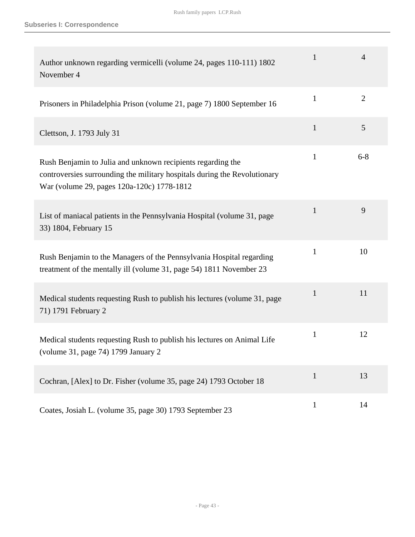| Author unknown regarding vermicelli (volume 24, pages 110-111) 1802<br>November 4                                                                                                      | $\mathbf{1}$ | $\overline{4}$ |
|----------------------------------------------------------------------------------------------------------------------------------------------------------------------------------------|--------------|----------------|
| Prisoners in Philadelphia Prison (volume 21, page 7) 1800 September 16                                                                                                                 | 1            | $\overline{2}$ |
| Clettson, J. 1793 July 31                                                                                                                                                              | $\mathbf{1}$ | 5              |
| Rush Benjamin to Julia and unknown recipients regarding the<br>controversies surrounding the military hospitals during the Revolutionary<br>War (volume 29, pages 120a-120c) 1778-1812 | $\mathbf{1}$ | $6 - 8$        |
| List of maniacal patients in the Pennsylvania Hospital (volume 31, page<br>33) 1804, February 15                                                                                       | $\mathbf{1}$ | 9              |
| Rush Benjamin to the Managers of the Pennsylvania Hospital regarding<br>treatment of the mentally ill (volume 31, page 54) 1811 November 23                                            | 1            | 10             |
| Medical students requesting Rush to publish his lectures (volume 31, page<br>71) 1791 February 2                                                                                       | $\mathbf{1}$ | 11             |
| Medical students requesting Rush to publish his lectures on Animal Life<br>(volume 31, page 74) 1799 January 2                                                                         | 1            | 12             |
| Cochran, [Alex] to Dr. Fisher (volume 35, page 24) 1793 October 18                                                                                                                     | $\mathbf{1}$ | 13             |
| Coates, Josiah L. (volume 35, page 30) 1793 September 23                                                                                                                               | $\mathbf{1}$ | 14             |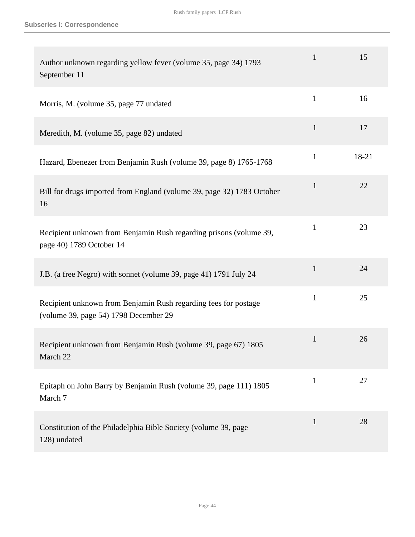| Author unknown regarding yellow fever (volume 35, page 34) 1793<br>September 11                          | 1            | 15    |
|----------------------------------------------------------------------------------------------------------|--------------|-------|
| Morris, M. (volume 35, page 77 undated                                                                   | $\mathbf{1}$ | 16    |
| Meredith, M. (volume 35, page 82) undated                                                                | $\mathbf{1}$ | 17    |
| Hazard, Ebenezer from Benjamin Rush (volume 39, page 8) 1765-1768                                        | $\mathbf{1}$ | 18-21 |
| Bill for drugs imported from England (volume 39, page 32) 1783 October<br>16                             | $\mathbf{1}$ | 22    |
| Recipient unknown from Benjamin Rush regarding prisons (volume 39,<br>page 40) 1789 October 14           | $\mathbf{1}$ | 23    |
| J.B. (a free Negro) with sonnet (volume 39, page 41) 1791 July 24                                        | $\mathbf{1}$ | 24    |
| Recipient unknown from Benjamin Rush regarding fees for postage<br>(volume 39, page 54) 1798 December 29 | $\mathbf{1}$ | 25    |
| Recipient unknown from Benjamin Rush (volume 39, page 67) 1805<br>March 22                               | $\mathbf{1}$ | 26    |
| Epitaph on John Barry by Benjamin Rush (volume 39, page 111) 1805<br>March 7                             | $\mathbf{1}$ | 27    |
| Constitution of the Philadelphia Bible Society (volume 39, page<br>128) undated                          | $\mathbf{1}$ | 28    |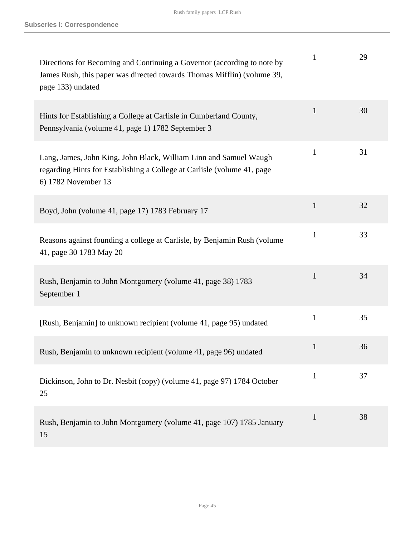| Directions for Becoming and Continuing a Governor (according to note by<br>James Rush, this paper was directed towards Thomas Mifflin) (volume 39,<br>page 133) undated | 1            | 29 |
|-------------------------------------------------------------------------------------------------------------------------------------------------------------------------|--------------|----|
| Hints for Establishing a College at Carlisle in Cumberland County,<br>Pennsylvania (volume 41, page 1) 1782 September 3                                                 | $\mathbf{1}$ | 30 |
| Lang, James, John King, John Black, William Linn and Samuel Waugh<br>regarding Hints for Establishing a College at Carlisle (volume 41, page<br>6) 1782 November 13     | $\mathbf{1}$ | 31 |
| Boyd, John (volume 41, page 17) 1783 February 17                                                                                                                        | $\mathbf{1}$ | 32 |
| Reasons against founding a college at Carlisle, by Benjamin Rush (volume)<br>41, page 30 1783 May 20                                                                    | 1            | 33 |
| Rush, Benjamin to John Montgomery (volume 41, page 38) 1783<br>September 1                                                                                              | $\mathbf{1}$ | 34 |
| [Rush, Benjamin] to unknown recipient (volume 41, page 95) undated                                                                                                      | $\mathbf{1}$ | 35 |
| Rush, Benjamin to unknown recipient (volume 41, page 96) undated                                                                                                        | 1            | 36 |
| Dickinson, John to Dr. Nesbit (copy) (volume 41, page 97) 1784 October<br>25                                                                                            | 1            | 37 |
| Rush, Benjamin to John Montgomery (volume 41, page 107) 1785 January<br>15                                                                                              | $\mathbf{1}$ | 38 |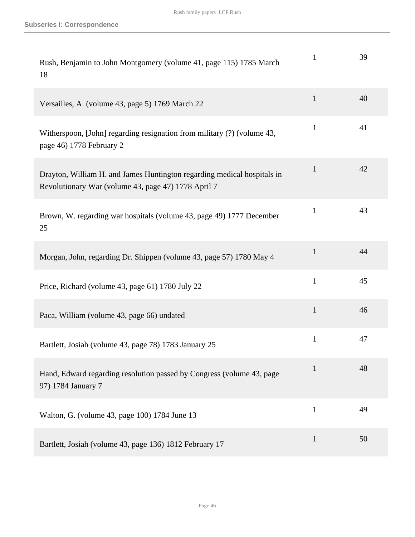| Rush, Benjamin to John Montgomery (volume 41, page 115) 1785 March<br>18                                                       | 1            | 39 |
|--------------------------------------------------------------------------------------------------------------------------------|--------------|----|
| Versailles, A. (volume 43, page 5) 1769 March 22                                                                               | $\mathbf{1}$ | 40 |
| Witherspoon, [John] regarding resignation from military (?) (volume 43,<br>page 46) 1778 February 2                            | $\mathbf{1}$ | 41 |
| Drayton, William H. and James Huntington regarding medical hospitals in<br>Revolutionary War (volume 43, page 47) 1778 April 7 | 1            | 42 |
| Brown, W. regarding war hospitals (volume 43, page 49) 1777 December<br>25                                                     | $\mathbf{1}$ | 43 |
| Morgan, John, regarding Dr. Shippen (volume 43, page 57) 1780 May 4                                                            | $\mathbf{1}$ | 44 |
| Price, Richard (volume 43, page 61) 1780 July 22                                                                               | $\mathbf{1}$ | 45 |
| Paca, William (volume 43, page 66) undated                                                                                     | $\mathbf{1}$ | 46 |
| Bartlett, Josiah (volume 43, page 78) 1783 January 25                                                                          | $\mathbf{1}$ | 47 |
| Hand, Edward regarding resolution passed by Congress (volume 43, page<br>97) 1784 January 7                                    | $\mathbf{1}$ | 48 |
| Walton, G. (volume 43, page 100) 1784 June 13                                                                                  | $\mathbf{1}$ | 49 |
| Bartlett, Josiah (volume 43, page 136) 1812 February 17                                                                        | $\mathbf{1}$ | 50 |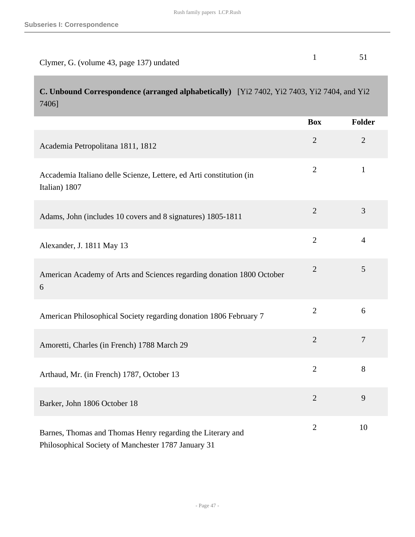| Clymer, G. (volume 43, page 137) undated |  |
|------------------------------------------|--|

**C. Unbound Correspondence (arranged alphabetically)** [Yi2 7402, Yi2 7403, Yi2 7404, and Yi2 7406]

|                                                                                                                   | <b>Box</b>     | <b>Folder</b>  |
|-------------------------------------------------------------------------------------------------------------------|----------------|----------------|
| Academia Petropolitana 1811, 1812                                                                                 | $\overline{2}$ | $\overline{2}$ |
| Accademia Italiano delle Scienze, Lettere, ed Arti constitution (in<br>Italian) 1807                              | $\overline{2}$ | $\mathbf{1}$   |
| Adams, John (includes 10 covers and 8 signatures) 1805-1811                                                       | $\overline{2}$ | 3              |
| Alexander, J. 1811 May 13                                                                                         | $\overline{2}$ | $\overline{4}$ |
| American Academy of Arts and Sciences regarding donation 1800 October<br>6                                        | $\sqrt{2}$     | 5              |
| American Philosophical Society regarding donation 1806 February 7                                                 | $\overline{2}$ | 6              |
| Amoretti, Charles (in French) 1788 March 29                                                                       | $\overline{2}$ | $\overline{7}$ |
| Arthaud, Mr. (in French) 1787, October 13                                                                         | $\overline{2}$ | 8              |
| Barker, John 1806 October 18                                                                                      | $\overline{2}$ | 9              |
| Barnes, Thomas and Thomas Henry regarding the Literary and<br>Philosophical Society of Manchester 1787 January 31 | $\overline{2}$ | 10             |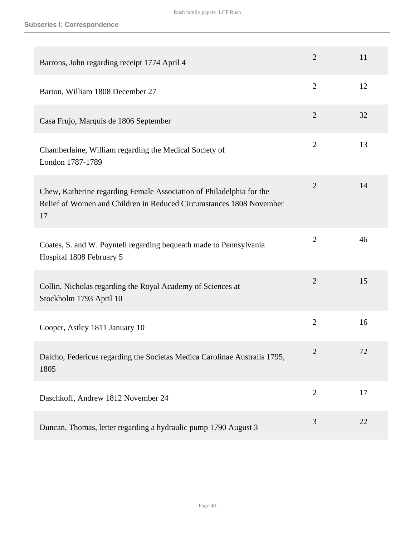| Barrons, John regarding receipt 1774 April 4                                                                                                      | $\overline{2}$ | 11 |
|---------------------------------------------------------------------------------------------------------------------------------------------------|----------------|----|
| Barton, William 1808 December 27                                                                                                                  | $\overline{2}$ | 12 |
| Casa Frujo, Marquis de 1806 September                                                                                                             | $\overline{2}$ | 32 |
| Chamberlaine, William regarding the Medical Society of<br>London 1787-1789                                                                        | $\overline{2}$ | 13 |
| Chew, Katherine regarding Female Association of Philadelphia for the<br>Relief of Women and Children in Reduced Circumstances 1808 November<br>17 | $\overline{2}$ | 14 |
| Coates, S. and W. Poyntell regarding bequeath made to Pennsylvania<br>Hospital 1808 February 5                                                    | $\overline{2}$ | 46 |
| Collin, Nicholas regarding the Royal Academy of Sciences at<br>Stockholm 1793 April 10                                                            | $\overline{2}$ | 15 |
| Cooper, Astley 1811 January 10                                                                                                                    | $\overline{2}$ | 16 |
| Dalcho, Federicus regarding the Societas Medica Carolinae Australis 1795,<br>1805                                                                 | $\mathfrak{2}$ | 72 |
| Daschkoff, Andrew 1812 November 24                                                                                                                | $\overline{2}$ | 17 |
| Duncan, Thomas, letter regarding a hydraulic pump 1790 August 3                                                                                   | 3              | 22 |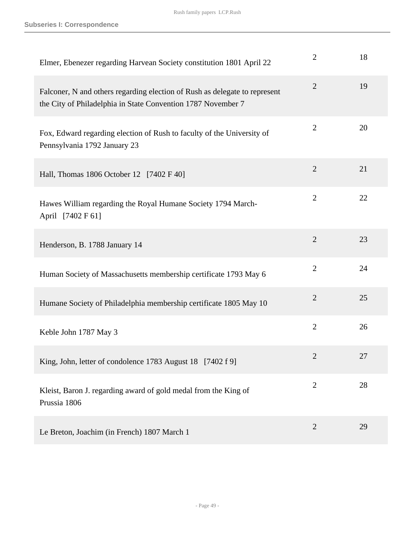| Elmer, Ebenezer regarding Harvean Society constitution 1801 April 22                                                                       | $\overline{2}$ | 18 |
|--------------------------------------------------------------------------------------------------------------------------------------------|----------------|----|
| Falconer, N and others regarding election of Rush as delegate to represent<br>the City of Philadelphia in State Convention 1787 November 7 | $\overline{2}$ | 19 |
| Fox, Edward regarding election of Rush to faculty of the University of<br>Pennsylvania 1792 January 23                                     | $\overline{2}$ | 20 |
| Hall, Thomas 1806 October 12 [7402 F 40]                                                                                                   | $\overline{2}$ | 21 |
| Hawes William regarding the Royal Humane Society 1794 March-<br>April [7402 F 61]                                                          | $\overline{2}$ | 22 |
| Henderson, B. 1788 January 14                                                                                                              | $\overline{2}$ | 23 |
| Human Society of Massachusetts membership certificate 1793 May 6                                                                           | $\overline{2}$ | 24 |
| Humane Society of Philadelphia membership certificate 1805 May 10                                                                          | $\overline{2}$ | 25 |
| Keble John 1787 May 3                                                                                                                      | $\overline{2}$ | 26 |
| King, John, letter of condolence 1783 August 18 [7402 f 9]                                                                                 | 2              | 27 |
| Kleist, Baron J. regarding award of gold medal from the King of<br>Prussia 1806                                                            | $\overline{2}$ | 28 |
| Le Breton, Joachim (in French) 1807 March 1                                                                                                | $\overline{2}$ | 29 |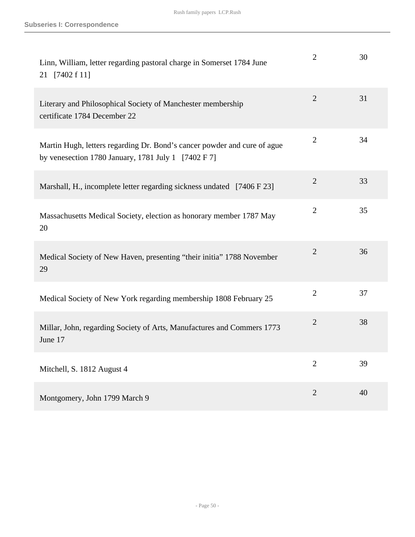| Linn, William, letter regarding pastoral charge in Somerset 1784 June<br>21 [7402 f 11]                                                    | 2              | 30 |
|--------------------------------------------------------------------------------------------------------------------------------------------|----------------|----|
| Literary and Philosophical Society of Manchester membership<br>certificate 1784 December 22                                                | $\overline{2}$ | 31 |
| Martin Hugh, letters regarding Dr. Bond's cancer powder and cure of ague<br>by venesection 1780 January, 1781 July 1 $[7402 \text{ F } 7]$ | $\overline{2}$ | 34 |
| Marshall, H., incomplete letter regarding sickness undated [7406 F 23]                                                                     | $\overline{2}$ | 33 |
| Massachusetts Medical Society, election as honorary member 1787 May<br>20                                                                  | $\overline{2}$ | 35 |
| Medical Society of New Haven, presenting "their initia" 1788 November<br>29                                                                | $\overline{2}$ | 36 |
| Medical Society of New York regarding membership 1808 February 25                                                                          | $\overline{2}$ | 37 |
| Millar, John, regarding Society of Arts, Manufactures and Commers 1773<br>June 17                                                          | $\overline{2}$ | 38 |
| Mitchell, S. 1812 August 4                                                                                                                 | $\overline{2}$ | 39 |
| Montgomery, John 1799 March 9                                                                                                              | $\overline{2}$ | 40 |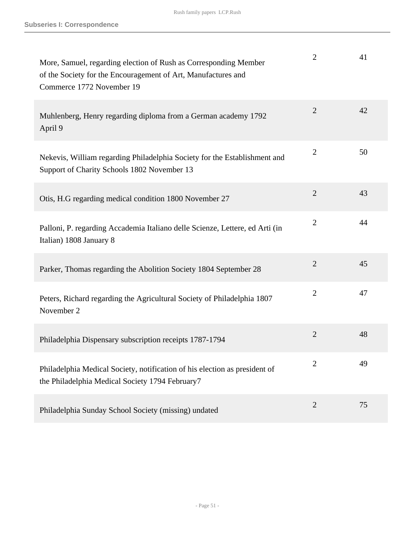| More, Samuel, regarding election of Rush as Corresponding Member<br>of the Society for the Encouragement of Art, Manufactures and<br>Commerce 1772 November 19 | $\overline{2}$ | 41 |
|----------------------------------------------------------------------------------------------------------------------------------------------------------------|----------------|----|
| Muhlenberg, Henry regarding diploma from a German academy 1792<br>April 9                                                                                      | $\overline{2}$ | 42 |
| Nekevis, William regarding Philadelphia Society for the Establishment and<br>Support of Charity Schools 1802 November 13                                       | $\overline{2}$ | 50 |
| Otis, H.G regarding medical condition 1800 November 27                                                                                                         | $\overline{2}$ | 43 |
| Palloni, P. regarding Accademia Italiano delle Scienze, Lettere, ed Arti (in<br>Italian) 1808 January 8                                                        | $\overline{2}$ | 44 |
| Parker, Thomas regarding the Abolition Society 1804 September 28                                                                                               | $\overline{2}$ | 45 |
| Peters, Richard regarding the Agricultural Society of Philadelphia 1807<br>November 2                                                                          | $\overline{2}$ | 47 |
| Philadelphia Dispensary subscription receipts 1787-1794                                                                                                        | $\overline{2}$ | 48 |
| Philadelphia Medical Society, notification of his election as president of<br>the Philadelphia Medical Society 1794 February7                                  | 2              | 49 |
| Philadelphia Sunday School Society (missing) undated                                                                                                           | $\overline{2}$ | 75 |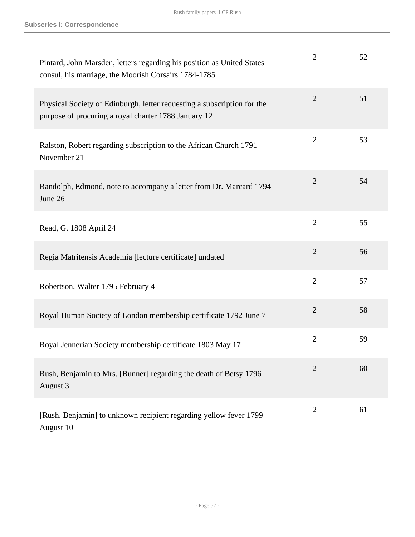| Pintard, John Marsden, letters regarding his position as United States<br>consul, his marriage, the Moorish Corsairs 1784-1785  | $\overline{2}$ | 52 |
|---------------------------------------------------------------------------------------------------------------------------------|----------------|----|
| Physical Society of Edinburgh, letter requesting a subscription for the<br>purpose of procuring a royal charter 1788 January 12 | $\overline{2}$ | 51 |
| Ralston, Robert regarding subscription to the African Church 1791<br>November 21                                                | $\overline{2}$ | 53 |
| Randolph, Edmond, note to accompany a letter from Dr. Marcard 1794<br>June 26                                                   | $\overline{2}$ | 54 |
| Read, G. 1808 April 24                                                                                                          | $\overline{2}$ | 55 |
| Regia Matritensis Academia [lecture certificate] undated                                                                        | $\overline{2}$ | 56 |
| Robertson, Walter 1795 February 4                                                                                               | $\overline{2}$ | 57 |
| Royal Human Society of London membership certificate 1792 June 7                                                                | $\overline{2}$ | 58 |
| Royal Jennerian Society membership certificate 1803 May 17                                                                      | $\overline{2}$ | 59 |
| Rush, Benjamin to Mrs. [Bunner] regarding the death of Betsy 1796<br>August 3                                                   | $\overline{2}$ | 60 |
| [Rush, Benjamin] to unknown recipient regarding yellow fever 1799<br>August 10                                                  | $\overline{2}$ | 61 |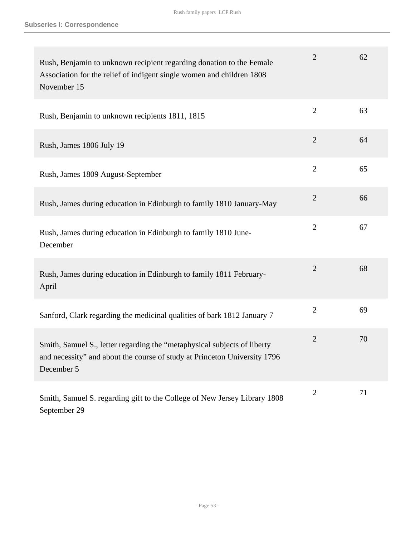| Rush, Benjamin to unknown recipient regarding donation to the Female<br>Association for the relief of indigent single women and children 1808<br>November 15        | $\overline{2}$ | 62 |
|---------------------------------------------------------------------------------------------------------------------------------------------------------------------|----------------|----|
| Rush, Benjamin to unknown recipients 1811, 1815                                                                                                                     | $\overline{2}$ | 63 |
| Rush, James 1806 July 19                                                                                                                                            | $\overline{2}$ | 64 |
| Rush, James 1809 August-September                                                                                                                                   | $\overline{2}$ | 65 |
| Rush, James during education in Edinburgh to family 1810 January-May                                                                                                | $\overline{2}$ | 66 |
| Rush, James during education in Edinburgh to family 1810 June-<br>December                                                                                          | $\overline{2}$ | 67 |
| Rush, James during education in Edinburgh to family 1811 February-<br>April                                                                                         | $\overline{2}$ | 68 |
| Sanford, Clark regarding the medicinal qualities of bark 1812 January 7                                                                                             | $\overline{2}$ | 69 |
| Smith, Samuel S., letter regarding the "metaphysical subjects of liberty<br>and necessity" and about the course of study at Princeton University 1796<br>December 5 | $\overline{2}$ | 70 |
| Smith, Samuel S. regarding gift to the College of New Jersey Library 1808<br>September 29                                                                           | $\mathbf{2}$   | 71 |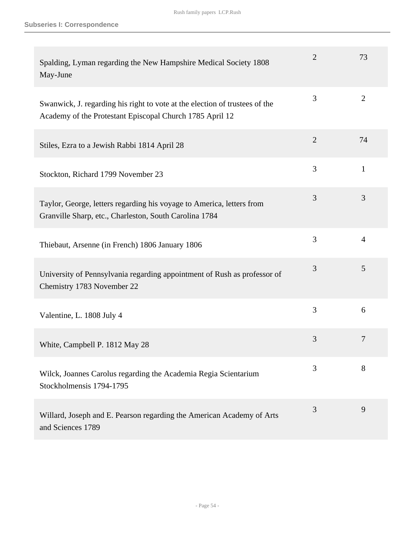| Spalding, Lyman regarding the New Hampshire Medical Society 1808<br>May-June                                                            | $\overline{2}$ | 73             |
|-----------------------------------------------------------------------------------------------------------------------------------------|----------------|----------------|
| Swanwick, J. regarding his right to vote at the election of trustees of the<br>Academy of the Protestant Episcopal Church 1785 April 12 | 3              | $\overline{2}$ |
| Stiles, Ezra to a Jewish Rabbi 1814 April 28                                                                                            | $\overline{2}$ | 74             |
| Stockton, Richard 1799 November 23                                                                                                      | 3              | $\mathbf{1}$   |
| Taylor, George, letters regarding his voyage to America, letters from<br>Granville Sharp, etc., Charleston, South Carolina 1784         | 3              | 3              |
| Thiebaut, Arsenne (in French) 1806 January 1806                                                                                         | 3              | $\overline{4}$ |
| University of Pennsylvania regarding appointment of Rush as professor of<br>Chemistry 1783 November 22                                  | 3              | 5              |
| Valentine, L. 1808 July 4                                                                                                               | 3              | 6              |
| White, Campbell P. 1812 May 28                                                                                                          | 3              | 7              |
| Wilck, Joannes Carolus regarding the Academia Regia Scientarium<br>Stockholmensis 1794-1795                                             | 3              | 8              |
| Willard, Joseph and E. Pearson regarding the American Academy of Arts<br>and Sciences 1789                                              | 3              | 9              |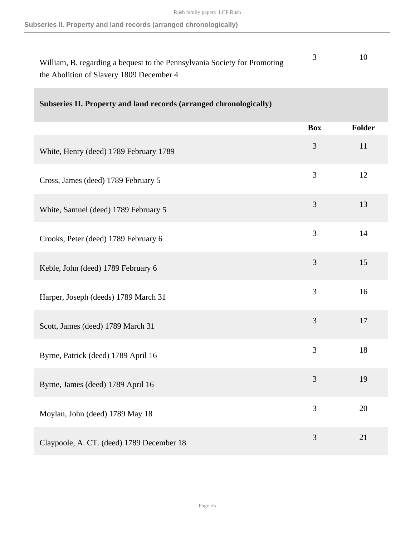| William, B. regarding a bequest to the Pennsylvania Society for Promoting |  |
|---------------------------------------------------------------------------|--|
| the Abolition of Slavery 1809 December 4                                  |  |

| Subseries II. Property and land records (arranged chronologically) |  |
|--------------------------------------------------------------------|--|
|                                                                    |  |

|                                           | <b>Box</b> | Folder |
|-------------------------------------------|------------|--------|
| White, Henry (deed) 1789 February 1789    | 3          | 11     |
| Cross, James (deed) 1789 February 5       | 3          | 12     |
| White, Samuel (deed) 1789 February 5      | 3          | 13     |
| Crooks, Peter (deed) 1789 February 6      | 3          | 14     |
| Keble, John (deed) 1789 February 6        | 3          | 15     |
| Harper, Joseph (deeds) 1789 March 31      | 3          | 16     |
| Scott, James (deed) 1789 March 31         | 3          | 17     |
| Byrne, Patrick (deed) 1789 April 16       | 3          | 18     |
| Byrne, James (deed) 1789 April 16         | 3          | 19     |
| Moylan, John (deed) 1789 May 18           | 3          | 20     |
| Claypoole, A. CT. (deed) 1789 December 18 | 3          | 21     |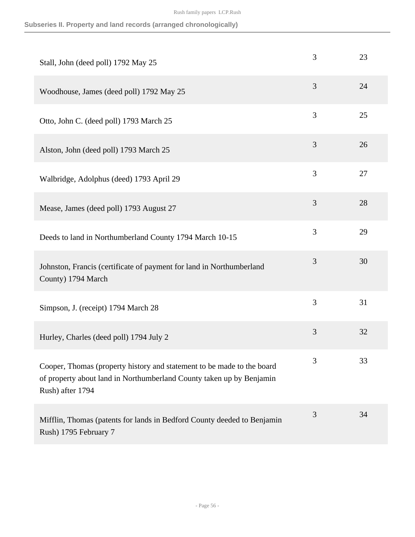|  |  |  |  |  | Subseries II. Property and land records (arranged chronologically) |
|--|--|--|--|--|--------------------------------------------------------------------|
|--|--|--|--|--|--------------------------------------------------------------------|

| Stall, John (deed poll) 1792 May 25                                                                                                                                | 3 | 23 |
|--------------------------------------------------------------------------------------------------------------------------------------------------------------------|---|----|
| Woodhouse, James (deed poll) 1792 May 25                                                                                                                           | 3 | 24 |
| Otto, John C. (deed poll) 1793 March 25                                                                                                                            | 3 | 25 |
| Alston, John (deed poll) 1793 March 25                                                                                                                             | 3 | 26 |
| Walbridge, Adolphus (deed) 1793 April 29                                                                                                                           | 3 | 27 |
| Mease, James (deed poll) 1793 August 27                                                                                                                            | 3 | 28 |
| Deeds to land in Northumberland County 1794 March 10-15                                                                                                            | 3 | 29 |
| Johnston, Francis (certificate of payment for land in Northumberland<br>County) 1794 March                                                                         | 3 | 30 |
| Simpson, J. (receipt) 1794 March 28                                                                                                                                | 3 | 31 |
| Hurley, Charles (deed poll) 1794 July 2                                                                                                                            | 3 | 32 |
| Cooper, Thomas (property history and statement to be made to the board<br>of property about land in Northumberland County taken up by Benjamin<br>Rush) after 1794 | 3 | 33 |
| Mifflin, Thomas (patents for lands in Bedford County deeded to Benjamin<br>Rush) 1795 February 7                                                                   | 3 | 34 |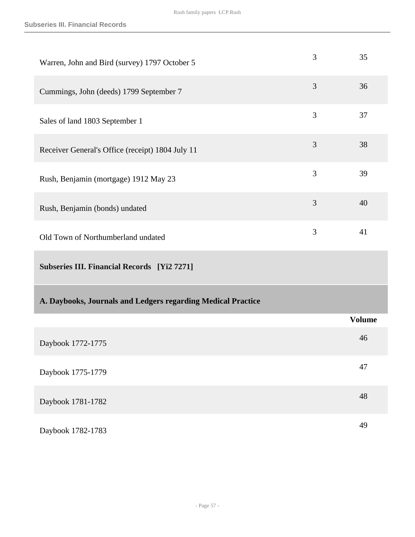| Warren, John and Bird (survey) 1797 October 5                | 3 | 35            |
|--------------------------------------------------------------|---|---------------|
| Cummings, John (deeds) 1799 September 7                      | 3 | 36            |
| Sales of land 1803 September 1                               | 3 | 37            |
| Receiver General's Office (receipt) 1804 July 11             | 3 | 38            |
| Rush, Benjamin (mortgage) 1912 May 23                        | 3 | 39            |
| Rush, Benjamin (bonds) undated                               | 3 | 40            |
| Old Town of Northumberland undated                           | 3 | 41            |
| <b>Subseries III. Financial Records</b> [Yi2 7271]           |   |               |
|                                                              |   |               |
| A. Daybooks, Journals and Ledgers regarding Medical Practice |   |               |
|                                                              |   | <b>Volume</b> |
| Daybook 1772-1775                                            |   | 46            |
| Daybook 1775-1779                                            |   | 47            |
| Daybook 1781-1782                                            |   | 48            |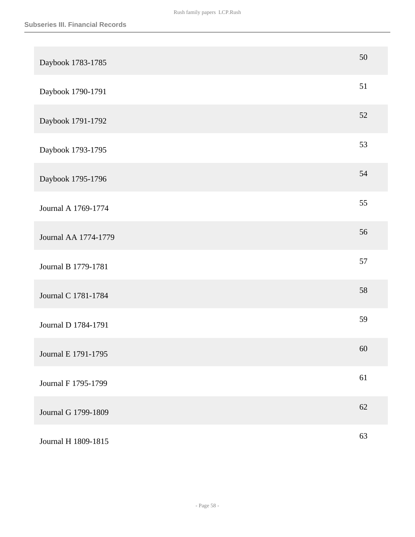| Daybook 1783-1785    | 50     |
|----------------------|--------|
| Daybook 1790-1791    | 51     |
| Daybook 1791-1792    | $52\,$ |
| Daybook 1793-1795    | 53     |
| Daybook 1795-1796    | 54     |
| Journal A 1769-1774  | 55     |
| Journal AA 1774-1779 | 56     |
| Journal B 1779-1781  | 57     |
| Journal C 1781-1784  | 58     |
| Journal D 1784-1791  | 59     |
| Journal E 1791-1795  | 60     |
| Journal F 1795-1799  | 61     |
| Journal G 1799-1809  | 62     |
| Journal H 1809-1815  | 63     |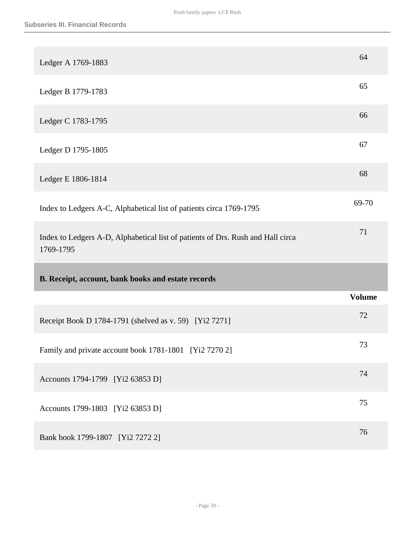| Ledger A 1769-1883                                                              | 64            |
|---------------------------------------------------------------------------------|---------------|
| Ledger B 1779-1783                                                              | 65            |
| Ledger C 1783-1795                                                              | 66            |
| Ledger D 1795-1805                                                              | 67            |
| Ledger E 1806-1814                                                              | 68            |
| Index to Ledgers A-C, Alphabetical list of patients circa 1769-1795             | 69-70         |
| Index to Ledgers A-D, Alphabetical list of patients of Drs. Rush and Hall circa | 71            |
| 1769-1795                                                                       |               |
| B. Receipt, account, bank books and estate records                              |               |
|                                                                                 | <b>Volume</b> |
| Receipt Book D 1784-1791 (shelved as v. 59) [Yi2 7271]                          | 72            |
| Family and private account book 1781-1801 [Yi2 7270 2]                          | 73            |
| Accounts 1794-1799 [Yi2 63853 D]                                                | 74            |
| Accounts 1799-1803 [Yi2 63853 D]                                                | 75            |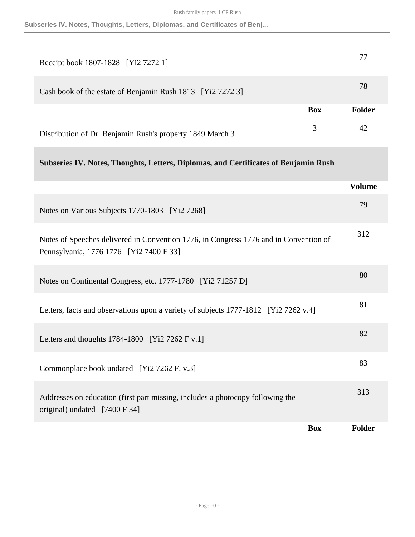**Subseries IV. Notes, Thoughts, Letters, Diplomas, and Certificates of Benj...**

| Receipt book 1807-1828 [Yi2 7272 1]                        |            |        |
|------------------------------------------------------------|------------|--------|
| Cash book of the estate of Benjamin Rush 1813 [Yi2 7272 3] |            | 78     |
|                                                            | <b>Box</b> | Folder |
| Distribution of Dr. Benjamin Rush's property 1849 March 3  | 3          | 42     |

# **Subseries IV. Notes, Thoughts, Letters, Diplomas, and Certificates of Benjamin Rush**

|                                                                                                                                  | <b>Volume</b> |
|----------------------------------------------------------------------------------------------------------------------------------|---------------|
| Notes on Various Subjects 1770-1803 [Yi2 7268]                                                                                   | 79            |
| Notes of Speeches delivered in Convention 1776, in Congress 1776 and in Convention of<br>Pennsylvania, 1776 1776 [Yi2 7400 F 33] | 312           |
| Notes on Continental Congress, etc. 1777-1780 [Yi2 71257 D]                                                                      | 80            |
| Letters, facts and observations upon a variety of subjects 1777-1812 [Yi2 7262 v.4]                                              | 81            |
| Letters and thoughts $1784-1800$ [Yi2 7262 F v.1]                                                                                | 82            |
| Commonplace book undated [Yi2 7262 F. v.3]                                                                                       | 83            |
| Addresses on education (first part missing, includes a photocopy following the<br>original) undated [7400 F 34]                  | 313           |
| <b>Box</b>                                                                                                                       | <b>Folder</b> |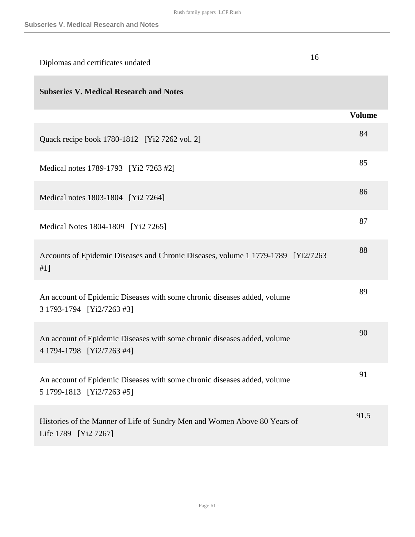| Diplomas and certificates undated                                                                     | 16            |
|-------------------------------------------------------------------------------------------------------|---------------|
| <b>Subseries V. Medical Research and Notes</b>                                                        |               |
|                                                                                                       | <b>Volume</b> |
| Quack recipe book 1780-1812 [Yi2 7262 vol. 2]                                                         | 84            |
| Medical notes 1789-1793 [Yi2 7263 #2]                                                                 | 85            |
| Medical notes 1803-1804 [Yi2 7264]                                                                    | 86            |
| Medical Notes 1804-1809 [Yi2 7265]                                                                    | 87            |
| Accounts of Epidemic Diseases and Chronic Diseases, volume 1 1779-1789 [Yi2/7263]<br>#1]              | 88            |
| An account of Epidemic Diseases with some chronic diseases added, volume<br>3 1793-1794 [Yi2/7263 #3] | 89            |
| An account of Epidemic Diseases with some chronic diseases added, volume<br>4 1794-1798 [Yi2/7263 #4] | 90            |
| An account of Epidemic Diseases with some chronic diseases added, volume<br>5 1799-1813 [Yi2/7263 #5] | 91            |
| Histories of the Manner of Life of Sundry Men and Women Above 80 Years of<br>Life 1789 [Yi2 7267]     | 91.5          |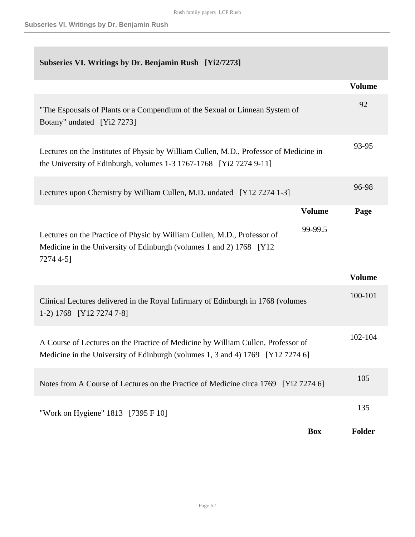# **Subseries VI. Writings by Dr. Benjamin Rush [Yi2/7273]**

|                                                                                                                                                                    |               | <b>Volume</b> |
|--------------------------------------------------------------------------------------------------------------------------------------------------------------------|---------------|---------------|
| "The Espousals of Plants or a Compendium of the Sexual or Linnean System of<br>Botany" undated [Yi2 7273]                                                          |               | 92            |
| Lectures on the Institutes of Physic by William Cullen, M.D., Professor of Medicine in<br>the University of Edinburgh, volumes $1-3$ 1767-1768 [Yi2 7274 9-11]     |               | 93-95         |
| Lectures upon Chemistry by William Cullen, M.D. undated [Y12 7274 1-3]                                                                                             |               | 96-98         |
|                                                                                                                                                                    | <b>Volume</b> | Page          |
| Lectures on the Practice of Physic by William Cullen, M.D., Professor of<br>Medicine in the University of Edinburgh (volumes 1 and 2) 1768 [Y12]<br>7274 4-5]      | 99-99.5       |               |
|                                                                                                                                                                    |               | <b>Volume</b> |
| Clinical Lectures delivered in the Royal Infirmary of Edinburgh in 1768 (volumes<br>1-2) 1768 [Y12 7274 7-8]                                                       |               | 100-101       |
| A Course of Lectures on the Practice of Medicine by William Cullen, Professor of<br>Medicine in the University of Edinburgh (volumes 1, 3 and 4) 1769 [Y12 7274 6] |               | 102-104       |
| Notes from A Course of Lectures on the Practice of Medicine circa 1769 [Yi2 7274 6]                                                                                |               | 105           |
| "Work on Hygiene" 1813 [7395 F 10]                                                                                                                                 |               | 135           |
|                                                                                                                                                                    | <b>Box</b>    | Folder        |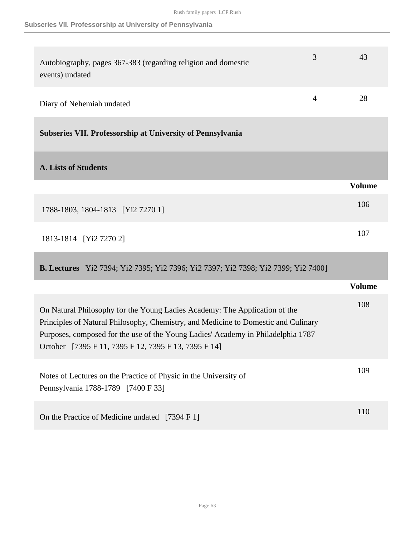### **Subseries VII. Professorship at University of Pennsylvania**

| Autobiography, pages 367-383 (regarding religion and domestic<br>events) undated | 3              | 43            |
|----------------------------------------------------------------------------------|----------------|---------------|
| Diary of Nehemiah undated                                                        | $\overline{4}$ | 28            |
| Subseries VII. Professorship at University of Pennsylvania                       |                |               |
| <b>A. Lists of Students</b>                                                      |                |               |
|                                                                                  |                | <b>Volume</b> |
| 1788-1803, 1804-1813 [Yi2 7270 1]                                                |                | 106           |
| 1813-1814 [Yi2 7270 2]                                                           |                | 107           |

**B. Lectures** Yi2 7394; Yi2 7395; Yi2 7396; Yi2 7397; Yi2 7398; Yi2 7399; Yi2 7400]

|                                                                                                                                                                                                                                                                                                              | Volume |
|--------------------------------------------------------------------------------------------------------------------------------------------------------------------------------------------------------------------------------------------------------------------------------------------------------------|--------|
| On Natural Philosophy for the Young Ladies Academy: The Application of the<br>Principles of Natural Philosophy, Chemistry, and Medicine to Domestic and Culinary<br>Purposes, composed for the use of the Young Ladies' Academy in Philadelphia 1787<br>October [7395 F 11, 7395 F 12, 7395 F 13, 7395 F 14] | 108    |
| Notes of Lectures on the Practice of Physic in the University of<br>Pennsylvania 1788-1789 [7400 F 33]                                                                                                                                                                                                       | 109    |
| On the Practice of Medicine undated [7394 F 1]                                                                                                                                                                                                                                                               | 110    |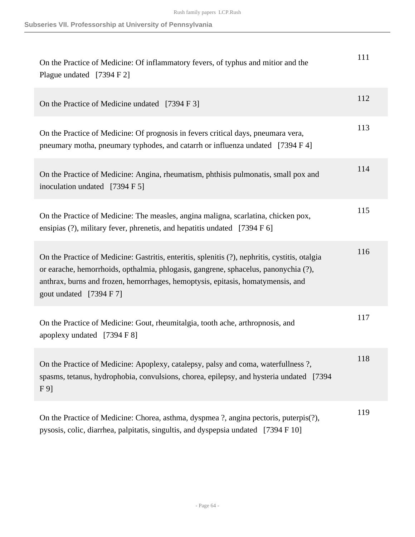| On the Practice of Medicine: Of inflammatory fevers, of typhus and mitior and the<br>Plague undated [7394 F 2]                                                                                                                                                                                      | 111 |
|-----------------------------------------------------------------------------------------------------------------------------------------------------------------------------------------------------------------------------------------------------------------------------------------------------|-----|
| On the Practice of Medicine undated [7394 F 3]                                                                                                                                                                                                                                                      | 112 |
| On the Practice of Medicine: Of prognosis in fevers critical days, pneumara vera,<br>pneumary motha, pneumary typhodes, and catarrh or influenza undated [7394 F 4]                                                                                                                                 | 113 |
| On the Practice of Medicine: Angina, rheumatism, phthisis pulmonatis, small pox and<br>inoculation undated [7394 F 5]                                                                                                                                                                               | 114 |
| On the Practice of Medicine: The measles, angina maligna, scarlatina, chicken pox,<br>ensipias (?), military fever, phrenetis, and hepatitis undated [7394 F 6]                                                                                                                                     | 115 |
| On the Practice of Medicine: Gastritis, enteritis, splenitis (?), nephritis, cystitis, otalgia<br>or earache, hemorrhoids, opthalmia, phlogasis, gangrene, sphacelus, panonychia (?),<br>anthrax, burns and frozen, hemorrhages, hemoptysis, epitasis, homatymensis, and<br>gout undated [7394 F 7] | 116 |
| On the Practice of Medicine: Gout, rheumitalgia, tooth ache, arthropnosis, and<br>apoplexy undated [7394 F 8]                                                                                                                                                                                       | 117 |
| On the Practice of Medicine: Apoplexy, catalepsy, palsy and coma, waterfullness?,<br>spasms, tetanus, hydrophobia, convulsions, chorea, epilepsy, and hysteria undated [7394]<br>F <sub>9</sub>                                                                                                     | 118 |
| On the Practice of Medicine: Chorea, asthma, dyspmea ?, angina pectoris, puterpis(?),<br>pysosis, colic, diarrhea, palpitatis, singultis, and dyspepsia undated [7394 F 10]                                                                                                                         | 119 |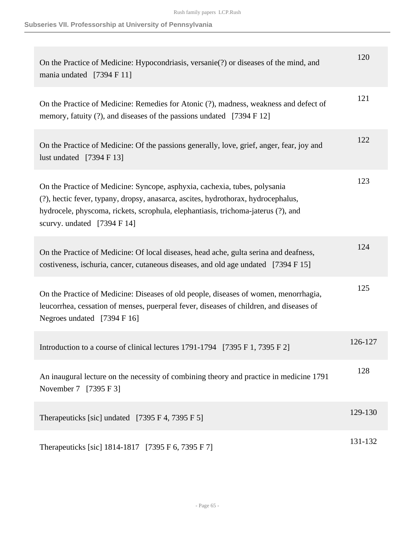| On the Practice of Medicine: Hypocondriasis, versanie(?) or diseases of the mind, and<br>mania undated [7394 F 11]                                                                                                                                                                             | 120     |
|------------------------------------------------------------------------------------------------------------------------------------------------------------------------------------------------------------------------------------------------------------------------------------------------|---------|
| On the Practice of Medicine: Remedies for Atonic (?), madness, weakness and defect of<br>memory, fatuity (?), and diseases of the passions undated [7394 F 12]                                                                                                                                 | 121     |
| On the Practice of Medicine: Of the passions generally, love, grief, anger, fear, joy and<br>lust undated $[7394 \text{ F } 13]$                                                                                                                                                               | 122     |
| On the Practice of Medicine: Syncope, asphyxia, cachexia, tubes, polysania<br>(?), hectic fever, typany, dropsy, anasarca, ascites, hydrothorax, hydrocephalus,<br>hydrocele, physcoma, rickets, scrophula, elephantiasis, trichoma-jaterus (?), and<br>scurvy. undated $[7394 \text{ F } 14]$ | 123     |
| On the Practice of Medicine: Of local diseases, head ache, gulta serina and deafness,<br>costiveness, ischuria, cancer, cutaneous diseases, and old age undated [7394 F 15]                                                                                                                    | 124     |
| On the Practice of Medicine: Diseases of old people, diseases of women, menorrhagia,<br>leucorrhea, cessation of menses, puerperal fever, diseases of children, and diseases of<br>Negroes undated [7394 F 16]                                                                                 | 125     |
| Introduction to a course of clinical lectures 1791-1794 [7395 F 1, 7395 F 2]                                                                                                                                                                                                                   | 126-127 |
| An inaugural lecture on the necessity of combining theory and practice in medicine 1791<br>November 7 [7395 F 3]                                                                                                                                                                               | 128     |
| Therapeuticks [sic] undated [7395 F 4, 7395 F 5]                                                                                                                                                                                                                                               | 129-130 |
| Therapeuticks [sic] 1814-1817 [7395 F 6, 7395 F 7]                                                                                                                                                                                                                                             | 131-132 |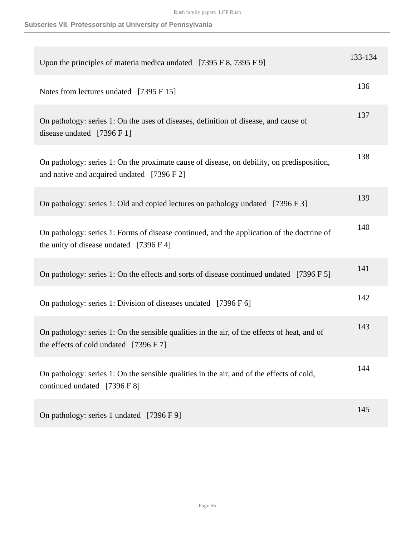| Upon the principles of materia medica undated [7395 F 8, 7395 F 9]                                                                       | 133-134 |
|------------------------------------------------------------------------------------------------------------------------------------------|---------|
| Notes from lectures undated [7395 F 15]                                                                                                  | 136     |
| On pathology: series 1: On the uses of diseases, definition of disease, and cause of<br>disease undated $[7396 F 1]$                     | 137     |
| On pathology: series 1: On the proximate cause of disease, on debility, on predisposition,<br>and native and acquired undated [7396 F 2] | 138     |
| On pathology: series 1: Old and copied lectures on pathology undated [7396 F 3]                                                          | 139     |
| On pathology: series 1: Forms of disease continued, and the application of the doctrine of<br>the unity of disease undated [7396 F 4]    | 140     |
| On pathology: series 1: On the effects and sorts of disease continued undated [7396 F 5]                                                 | 141     |
| On pathology: series 1: Division of diseases undated [7396 F 6]                                                                          | 142     |
| On pathology: series 1: On the sensible qualities in the air, of the effects of heat, and of<br>the effects of cold undated $[7396 F 7]$ | 143     |
| On pathology: series 1: On the sensible qualities in the air, and of the effects of cold,<br>continued undated [7396 F 8]                | 144     |
| On pathology: series 1 undated [7396 F 9]                                                                                                | 145     |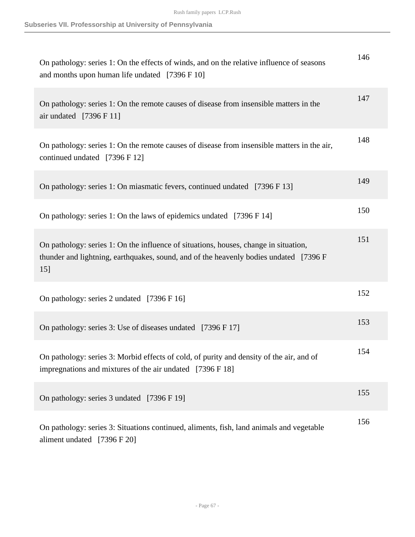| On pathology: series 1: On the effects of winds, and on the relative influence of seasons<br>and months upon human life undated [7396 F 10]                                           | 146 |
|---------------------------------------------------------------------------------------------------------------------------------------------------------------------------------------|-----|
| On pathology: series 1: On the remote causes of disease from insensible matters in the<br>air undated $[7396 F 11]$                                                                   | 147 |
| On pathology: series 1: On the remote causes of disease from insensible matters in the air,<br>continued undated [7396 F 12]                                                          | 148 |
| On pathology: series 1: On miasmatic fevers, continued undated [7396 F 13]                                                                                                            | 149 |
| On pathology: series 1: On the laws of epidemics undated [7396 F 14]                                                                                                                  | 150 |
| On pathology: series 1: On the influence of situations, houses, change in situation,<br>thunder and lightning, earthquakes, sound, and of the heavenly bodies undated [7396 F]<br>15] | 151 |
| On pathology: series 2 undated [7396 F 16]                                                                                                                                            | 152 |
| On pathology: series 3: Use of diseases undated [7396 F 17]                                                                                                                           | 153 |
| On pathology: series 3: Morbid effects of cold, of purity and density of the air, and of<br>impregnations and mixtures of the air undated [7396 F 18]                                 | 154 |
| On pathology: series 3 undated [7396 F 19]                                                                                                                                            | 155 |
| On pathology: series 3: Situations continued, aliments, fish, land animals and vegetable<br>aliment undated [7396 F 20]                                                               | 156 |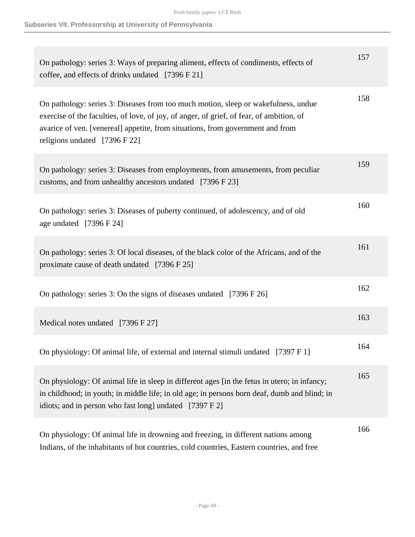| On pathology: series 3: Ways of preparing aliment, effects of condiments, effects of<br>coffee, and effects of drinks undated [7396 F 21]                                                                                                                                                         | 157 |
|---------------------------------------------------------------------------------------------------------------------------------------------------------------------------------------------------------------------------------------------------------------------------------------------------|-----|
| On pathology: series 3: Diseases from too much motion, sleep or wakefulness, undue<br>exercise of the faculties, of love, of joy, of anger, of grief, of fear, of ambition, of<br>avarice of ven. [venereal] appetite, from situations, from government and from<br>religions undated [7396 F 22] | 158 |
| On pathology: series 3: Diseases from employments, from amusements, from peculiar<br>customs, and from unhealthy ancestors undated [7396 F 23]                                                                                                                                                    | 159 |
| On pathology: series 3: Diseases of puberty continued, of adolescency, and of old<br>age undated $[7396 \text{ F } 24]$                                                                                                                                                                           | 160 |
| On pathology: series 3: Of local diseases, of the black color of the Africans, and of the<br>proximate cause of death undated [7396 F 25]                                                                                                                                                         | 161 |
| On pathology: series 3: On the signs of diseases undated [7396 F 26]                                                                                                                                                                                                                              | 162 |
| Medical notes undated [7396 F 27]                                                                                                                                                                                                                                                                 | 163 |
| On physiology: Of animal life, of external and internal stimuli undated [7397 F 1]                                                                                                                                                                                                                | 164 |
| On physiology: Of animal life in sleep in different ages [in the fetus in utero; in infancy;<br>in childhood; in youth; in middle life; in old age; in persons born deaf, dumb and blind; in<br>idiots; and in person who fast long] undated [7397 F 2]                                           | 165 |
| On physiology: Of animal life in drowning and freezing, in different nations among<br>Indians, of the inhabitants of hot countries, cold countries, Eastern countries, and free                                                                                                                   | 166 |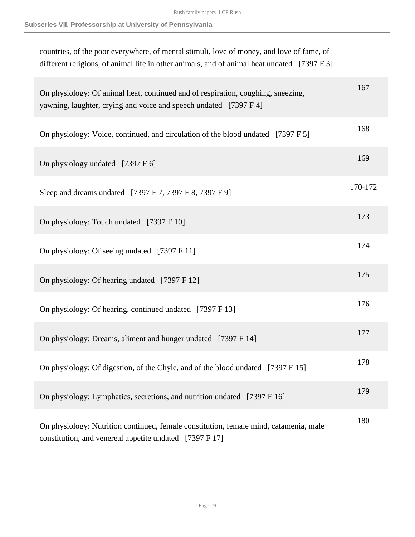| countries, of the poor everywhere, of mental stimuli, love of money, and love of fame, of<br>different religions, of animal life in other animals, and of animal heat undated [7397 F 3] |         |
|------------------------------------------------------------------------------------------------------------------------------------------------------------------------------------------|---------|
| On physiology: Of animal heat, continued and of respiration, coughing, sneezing,<br>yawning, laughter, crying and voice and speech undated [7397 F 4]                                    | 167     |
| On physiology: Voice, continued, and circulation of the blood undated [7397 F 5]                                                                                                         | 168     |
| On physiology undated [7397 F 6]                                                                                                                                                         | 169     |
| Sleep and dreams undated [7397 F 7, 7397 F 8, 7397 F 9]                                                                                                                                  | 170-172 |
| On physiology: Touch undated [7397 F 10]                                                                                                                                                 | 173     |
| On physiology: Of seeing undated [7397 F 11]                                                                                                                                             | 174     |
| On physiology: Of hearing undated [7397 F 12]                                                                                                                                            | 175     |
| On physiology: Of hearing, continued undated [7397 F 13]                                                                                                                                 | 176     |
| On physiology: Dreams, aliment and hunger undated [7397 F 14]                                                                                                                            | 177     |
| On physiology: Of digestion, of the Chyle, and of the blood undated [7397 F 15]                                                                                                          | 178     |
| On physiology: Lymphatics, secretions, and nutrition undated [7397 F 16]                                                                                                                 | 179     |
| On physiology: Nutrition continued, female constitution, female mind, catamenia, male<br>constitution, and venereal appetite undated [7397 F 17]                                         | 180     |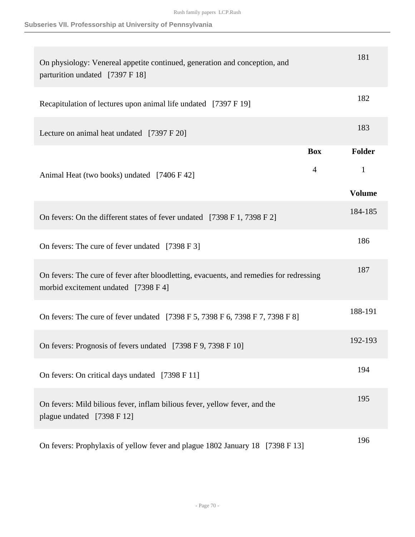## **Subseries VII. Professorship at University of Pennsylvania**

| On physiology: Venereal appetite continued, generation and conception, and<br>parturition undated [7397 F 18]                   |                | 181           |
|---------------------------------------------------------------------------------------------------------------------------------|----------------|---------------|
| Recapitulation of lectures upon animal life undated [7397 F 19]                                                                 |                | 182           |
| Lecture on animal heat undated [7397 F 20]                                                                                      |                | 183           |
|                                                                                                                                 | <b>Box</b>     | Folder        |
| Animal Heat (two books) undated [7406 F 42]                                                                                     | $\overline{4}$ | 1             |
|                                                                                                                                 |                | <b>Volume</b> |
| On fevers: On the different states of fever undated [7398 F 1, 7398 F 2]                                                        |                | 184-185       |
| On fevers: The cure of fever undated [7398 F 3]                                                                                 |                | 186           |
| On fevers: The cure of fever after bloodletting, evacuents, and remedies for redressing<br>morbid excitement undated [7398 F 4] |                | 187           |
| On fevers: The cure of fever undated [7398 F 5, 7398 F 6, 7398 F 7, 7398 F 8]                                                   |                | 188-191       |
| On fevers: Prognosis of fevers undated [7398 F 9, 7398 F 10]                                                                    |                | 192-193       |
| On fevers: On critical days undated [7398 F 11]                                                                                 |                | 194           |
| On fevers: Mild bilious fever, inflam bilious fever, yellow fever, and the<br>plague undated [7398 F 12]                        |                | 195           |
| On fevers: Prophylaxis of yellow fever and plague 1802 January 18 [7398 F 13]                                                   |                | 196           |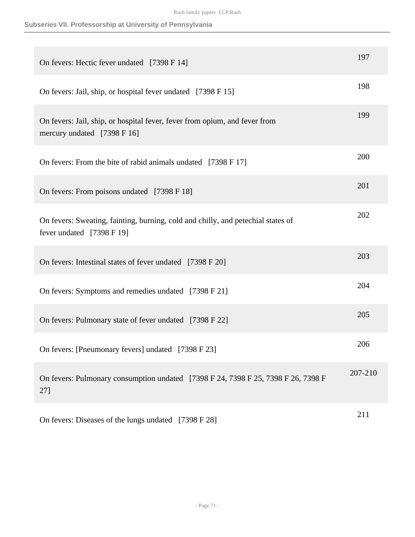## **Subseries VII. Professorship at University of Pennsylvania**

| On fevers: Hectic fever undated [7398 F 14]                                                                   | 197     |
|---------------------------------------------------------------------------------------------------------------|---------|
| On fevers: Jail, ship, or hospital fever undated [7398 F 15]                                                  | 198     |
| On fevers: Jail, ship, or hospital fever, fever from opium, and fever from<br>mercury undated [7398 F 16]     | 199     |
| On fevers: From the bite of rabid animals undated [7398 F 17]                                                 | 200     |
| On fevers: From poisons undated [7398 F 18]                                                                   | 201     |
| On fevers: Sweating, fainting, burning, cold and chilly, and petechial states of<br>fever undated [7398 F 19] | 202     |
| On fevers: Intestinal states of fever undated [7398 F 20]                                                     | 203     |
| On fevers: Symptoms and remedies undated [7398 F 21]                                                          | 204     |
| On fevers: Pulmonary state of fever undated [7398 F 22]                                                       | 205     |
| On fevers: [Pneumonary fevers] undated [7398 F 23]                                                            | 206     |
| On fevers: Pulmonary consumption undated [7398 F 24, 7398 F 25, 7398 F 26, 7398 F<br>27]                      | 207-210 |
| On fevers: Diseases of the lungs undated [7398 F 28]                                                          | 211     |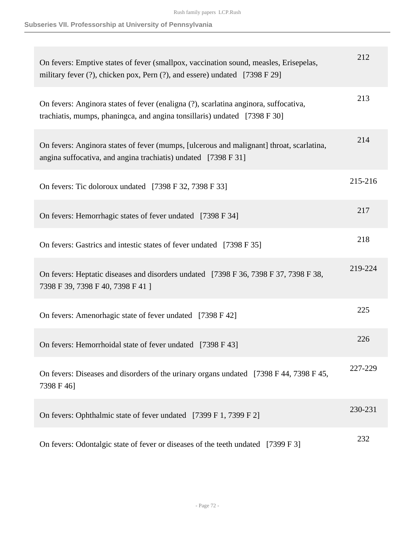| On fevers: Emptive states of fever (smallpox, vaccination sound, measles, Erisepelas,<br>military fever (?), chicken pox, Pern (?), and essere) undated [7398 F 29] | 212     |
|---------------------------------------------------------------------------------------------------------------------------------------------------------------------|---------|
| On fevers: Anginora states of fever (enaligna (?), scarlatina anginora, suffocativa,<br>trachiatis, mumps, phaningca, and angina tonsillaris) undated [7398 F 30]   | 213     |
| On fevers: Anginora states of fever (mumps, [ulcerous and malignant] throat, scarlatina,<br>angina suffocativa, and angina trachiatis) undated [7398 F 31]          | 214     |
| On fevers: Tic doloroux undated [7398 F 32, 7398 F 33]                                                                                                              | 215-216 |
| On fevers: Hemorrhagic states of fever undated [7398 F 34]                                                                                                          | 217     |
| On fevers: Gastrics and intestic states of fever undated [7398 F 35]                                                                                                | 218     |
| On fevers: Heptatic diseases and disorders undated [7398 F 36, 7398 F 37, 7398 F 38,<br>7398 F 39, 7398 F 40, 7398 F 41 ]                                           | 219-224 |
| On fevers: Amenorhagic state of fever undated [7398 F 42]                                                                                                           | 225     |
| On fevers: Hemorrhoidal state of fever undated [7398 F 43]                                                                                                          | 226     |
| On fevers: Diseases and disorders of the urinary organs undated [7398 F 44, 7398 F 45,<br>7398 F 46]                                                                | 227-229 |
| On fevers: Ophthalmic state of fever undated [7399 F 1, 7399 F 2]                                                                                                   | 230-231 |
| On fevers: Odontalgic state of fever or diseases of the teeth undated [7399 F 3]                                                                                    | 232     |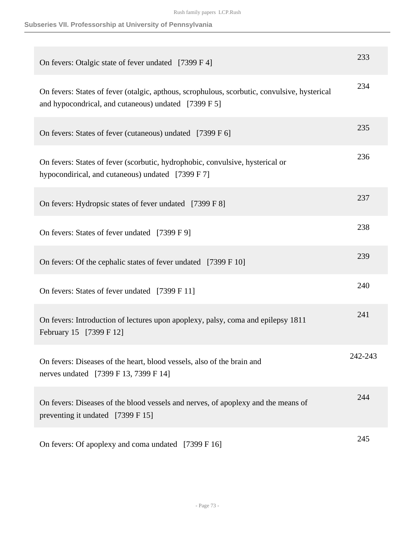| On fevers: Otalgic state of fever undated [7399 F 4]                                                                                                 | 233     |
|------------------------------------------------------------------------------------------------------------------------------------------------------|---------|
| On fevers: States of fever (otalgic, apthous, scrophulous, scorbutic, convulsive, hysterical<br>and hypocondrical, and cutaneous) undated [7399 F 5] | 234     |
| On fevers: States of fever (cutaneous) undated [7399 F 6]                                                                                            | 235     |
| On fevers: States of fever (scorbutic, hydrophobic, convulsive, hysterical or<br>hypocondirical, and cutaneous) undated [7399 F 7]                   | 236     |
| On fevers: Hydropsic states of fever undated [7399 F 8]                                                                                              | 237     |
| On fevers: States of fever undated [7399 F 9]                                                                                                        | 238     |
| On fevers: Of the cephalic states of fever undated [7399 F 10]                                                                                       | 239     |
| On fevers: States of fever undated [7399 F 11]                                                                                                       | 240     |
| On fevers: Introduction of lectures upon apoplexy, palsy, coma and epilepsy 1811<br>February 15 [7399 F 12]                                          | 241     |
| On fevers: Diseases of the heart, blood vessels, also of the brain and<br>nerves undated [7399 F 13, 7399 F 14]                                      | 242-243 |
| On fevers: Diseases of the blood vessels and nerves, of apoplexy and the means of<br>preventing it undated [7399 F 15]                               | 244     |
| On fevers: Of apoplexy and coma undated [7399 F 16]                                                                                                  | 245     |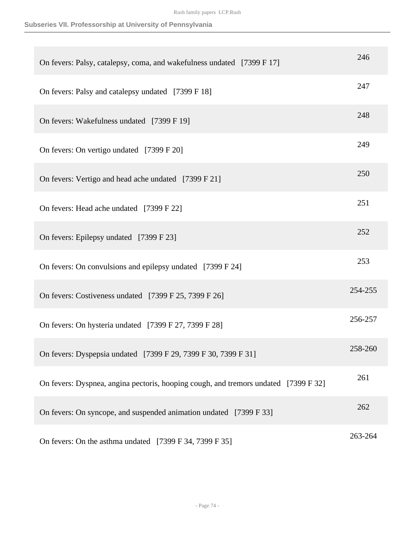| On fevers: Palsy, catalepsy, coma, and wakefulness undated [7399 F 17]              | 246     |
|-------------------------------------------------------------------------------------|---------|
| On fevers: Palsy and catalepsy undated [7399 F 18]                                  | 247     |
| On fevers: Wakefulness undated [7399 F 19]                                          | 248     |
| On fevers: On vertigo undated [7399 F 20]                                           | 249     |
| On fevers: Vertigo and head ache undated [7399 F 21]                                | 250     |
| On fevers: Head ache undated [7399 F 22]                                            | 251     |
| On fevers: Epilepsy undated [7399 F 23]                                             | 252     |
| On fevers: On convulsions and epilepsy undated [7399 F 24]                          | 253     |
| On fevers: Costiveness undated [7399 F 25, 7399 F 26]                               | 254-255 |
| On fevers: On hysteria undated [7399 F 27, 7399 F 28]                               | 256-257 |
| On fevers: Dyspepsia undated [7399 F 29, 7399 F 30, 7399 F 31]                      | 258-260 |
| On fevers: Dyspnea, angina pectoris, hooping cough, and tremors undated [7399 F 32] | 261     |
| On fevers: On syncope, and suspended animation undated [7399 F 33]                  | 262     |
| On fevers: On the asthma undated [7399 F 34, 7399 F 35]                             | 263-264 |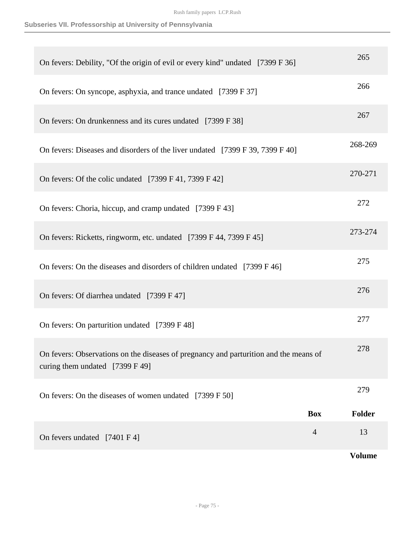| On fevers: Debility, "Of the origin of evil or every kind" undated [7399 F 36]                                           | 265           |
|--------------------------------------------------------------------------------------------------------------------------|---------------|
| On fevers: On syncope, asphyxia, and trance undated [7399 F 37]                                                          | 266           |
| On fevers: On drunkenness and its cures undated [7399 F 38]                                                              | 267           |
| On fevers: Diseases and disorders of the liver undated [7399 F 39, 7399 F 40]                                            | 268-269       |
| On fevers: Of the colic undated [7399 F 41, 7399 F 42]                                                                   | 270-271       |
| On fevers: Choria, hiccup, and cramp undated [7399 F 43]                                                                 | 272           |
| On fevers: Ricketts, ringworm, etc. undated [7399 F 44, 7399 F 45]                                                       | 273-274       |
| On fevers: On the diseases and disorders of children undated [7399 F 46]                                                 | 275           |
| On fevers: Of diarrhea undated [7399 F 47]                                                                               | 276           |
| On fevers: On parturition undated [7399 F 48]                                                                            | 277           |
| On fevers: Observations on the diseases of pregnancy and parturition and the means of<br>curing them undated [7399 F 49] | 278           |
| On fevers: On the diseases of women undated [7399 F 50]                                                                  | 279           |
| <b>Box</b>                                                                                                               | <b>Folder</b> |
| $\overline{4}$<br>On fevers undated [7401 F 4]                                                                           | 13            |
|                                                                                                                          | <b>Volume</b> |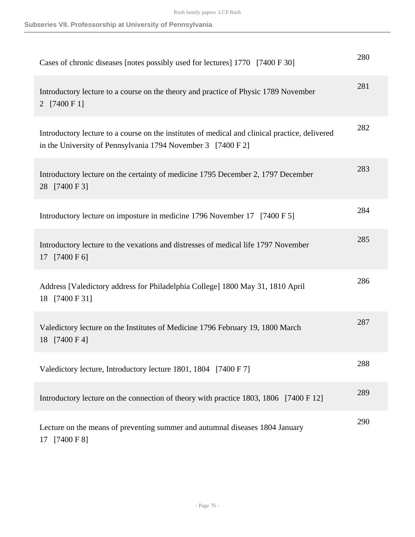| Cases of chronic diseases [notes possibly used for lectures] 1770 [7400 F 30]                                                                                  | 280 |
|----------------------------------------------------------------------------------------------------------------------------------------------------------------|-----|
| Introductory lecture to a course on the theory and practice of Physic 1789 November<br>2 [7400 F 1]                                                            | 281 |
| Introductory lecture to a course on the institutes of medical and clinical practice, delivered<br>in the University of Pennsylvania 1794 November 3 [7400 F 2] | 282 |
| Introductory lecture on the certainty of medicine 1795 December 2, 1797 December<br>28 [7400 F 3]                                                              | 283 |
| Introductory lecture on imposture in medicine 1796 November 17 [7400 F 5]                                                                                      | 284 |
| Introductory lecture to the vexations and distresses of medical life 1797 November<br>17 [7400 F 6]                                                            | 285 |
| Address [Valedictory address for Philadelphia College] 1800 May 31, 1810 April<br>18 [7400 F 31]                                                               | 286 |
| Valedictory lecture on the Institutes of Medicine 1796 February 19, 1800 March<br>18 [7400 F 4]                                                                | 287 |
| Valedictory lecture, Introductory lecture 1801, 1804 [7400 F 7]                                                                                                | 288 |
| Introductory lecture on the connection of theory with practice 1803, 1806 [7400 F 12]                                                                          | 289 |
| Lecture on the means of preventing summer and autumnal diseases 1804 January<br>17 [7400 F 8]                                                                  | 290 |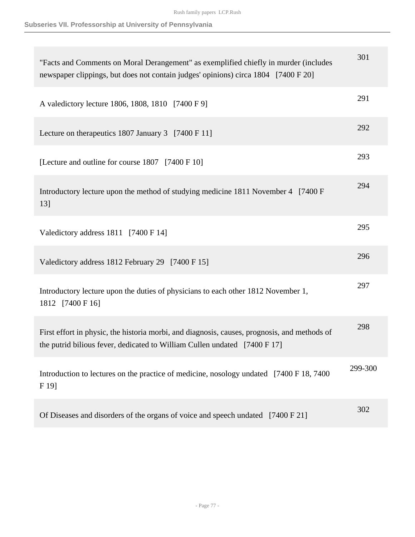| "Facts and Comments on Moral Derangement" as exemplified chiefly in murder (includes<br>newspaper clippings, but does not contain judges' opinions) circa 1804 [7400 F 20] | 301     |
|----------------------------------------------------------------------------------------------------------------------------------------------------------------------------|---------|
| A valedictory lecture 1806, 1808, 1810 [7400 F 9]                                                                                                                          | 291     |
| Lecture on the rapeutics 1807 January 3 [7400 F 11]                                                                                                                        | 292     |
| [Lecture and outline for course 1807 [7400 F 10]                                                                                                                           | 293     |
| Introductory lecture upon the method of studying medicine 1811 November 4 [7400 F<br>13]                                                                                   | 294     |
| Valedictory address 1811 [7400 F 14]                                                                                                                                       | 295     |
| Valedictory address 1812 February 29 [7400 F 15]                                                                                                                           | 296     |
| Introductory lecture upon the duties of physicians to each other 1812 November 1,<br>1812 [7400 F 16]                                                                      | 297     |
| First effort in physic, the historia morbi, and diagnosis, causes, prognosis, and methods of<br>the putrid bilious fever, dedicated to William Cullen undated [7400 F 17]  | 298     |
| Introduction to lectures on the practice of medicine, nosology undated [7400 F 18, 7400<br>F 19]                                                                           | 299-300 |
| Of Diseases and disorders of the organs of voice and speech undated [7400 F 21]                                                                                            | 302     |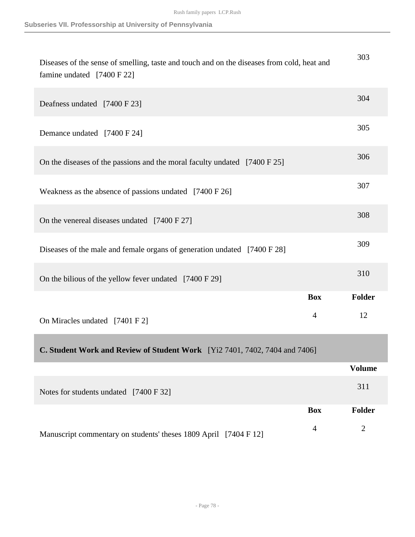| Diseases of the sense of smelling, taste and touch and on the diseases from cold, heat and<br>famine undated [7400 F 22] |                | 303            |
|--------------------------------------------------------------------------------------------------------------------------|----------------|----------------|
| Deafness undated [7400 F 23]                                                                                             |                | 304            |
| Demance undated [7400 F 24]                                                                                              |                | 305            |
| On the diseases of the passions and the moral faculty undated [7400 F 25]                                                |                | 306            |
| Weakness as the absence of passions undated [7400 F 26]                                                                  |                | 307            |
| On the venereal diseases undated [7400 F 27]                                                                             |                | 308            |
| Diseases of the male and female organs of generation undated [7400 F 28]                                                 |                | 309            |
| On the bilious of the yellow fever undated [7400 F 29]                                                                   |                | 310            |
|                                                                                                                          | <b>Box</b>     | Folder         |
| On Miracles undated [7401 F 2]                                                                                           | 4              | 12             |
| <b>C. Student Work and Review of Student Work</b> [Yi2 7401, 7402, 7404 and 7406]                                        |                |                |
|                                                                                                                          |                | <b>Volume</b>  |
| Notes for students undated [7400 F 32]                                                                                   |                | 311            |
|                                                                                                                          | <b>Box</b>     | Folder         |
| Manuscript commentary on students' theses 1809 April [7404 F 12]                                                         | $\overline{4}$ | $\overline{2}$ |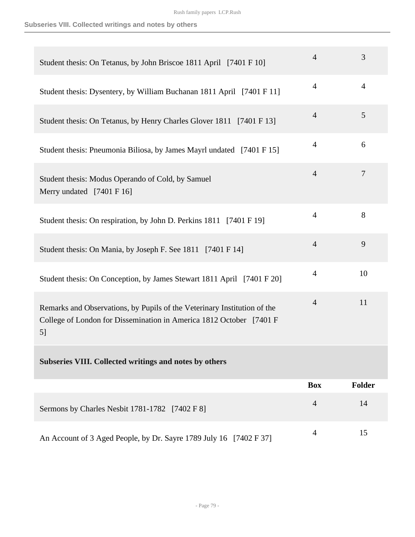## **Subseries VIII. Collected writings and notes by others**

| Student thesis: On Tetanus, by John Briscoe 1811 April [7401 F 10]                                                                                    | $\overline{4}$ | 3      |
|-------------------------------------------------------------------------------------------------------------------------------------------------------|----------------|--------|
| Student thesis: Dysentery, by William Buchanan 1811 April [7401 F 11]                                                                                 | $\overline{4}$ | 4      |
| Student thesis: On Tetanus, by Henry Charles Glover 1811 [7401 F 13]                                                                                  | $\overline{4}$ | 5      |
| Student thesis: Pneumonia Biliosa, by James Mayrl undated [7401 F 15]                                                                                 | $\overline{4}$ | 6      |
| Student thesis: Modus Operando of Cold, by Samuel<br>Merry undated [7401 F 16]                                                                        | $\overline{4}$ | 7      |
| Student thesis: On respiration, by John D. Perkins 1811 [7401 F 19]                                                                                   | $\overline{4}$ | 8      |
| Student thesis: On Mania, by Joseph F. See 1811 [7401 F 14]                                                                                           | $\overline{4}$ | 9      |
| Student thesis: On Conception, by James Stewart 1811 April [7401 F 20]                                                                                | $\overline{4}$ | 10     |
| Remarks and Observations, by Pupils of the Veterinary Institution of the<br>College of London for Dissemination in America 1812 October [7401 F<br>5] | $\overline{4}$ | 11     |
| Subseries VIII. Collected writings and notes by others                                                                                                |                |        |
|                                                                                                                                                       | <b>Box</b>     | Folder |
| Sermons by Charles Nesbit 1781-1782 [7402 F 8]                                                                                                        | $\overline{4}$ | 14     |
| An Account of 3 Aged People, by Dr. Sayre 1789 July 16 [7402 F 37]                                                                                    | $\overline{4}$ | 15     |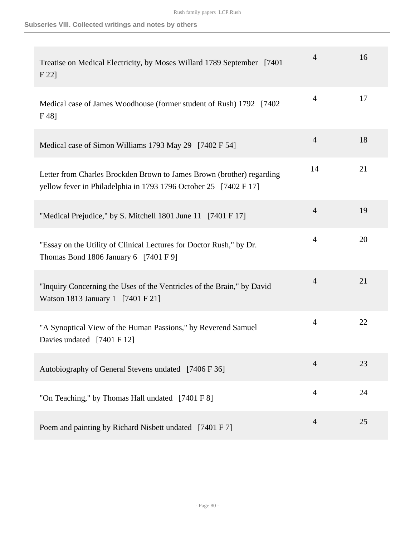| Treatise on Medical Electricity, by Moses Willard 1789 September [7401]<br>F 22                                                           | 4              | 16 |
|-------------------------------------------------------------------------------------------------------------------------------------------|----------------|----|
| Medical case of James Woodhouse (former student of Rush) 1792 [7402]<br>$F48$ ]                                                           | $\overline{4}$ | 17 |
| Medical case of Simon Williams 1793 May 29 [7402 F 54]                                                                                    | $\overline{4}$ | 18 |
| Letter from Charles Brockden Brown to James Brown (brother) regarding<br>yellow fever in Philadelphia in 1793 1796 October 25 [7402 F 17] | 14             | 21 |
| "Medical Prejudice," by S. Mitchell 1801 June 11 [7401 F 17]                                                                              | $\overline{4}$ | 19 |
| "Essay on the Utility of Clinical Lectures for Doctor Rush," by Dr.<br>Thomas Bond 1806 January 6 $[7401 \text{ F} 9]$                    | $\overline{4}$ | 20 |
| "Inquiry Concerning the Uses of the Ventricles of the Brain," by David<br>Watson 1813 January 1 [7401 F 21]                               | $\overline{4}$ | 21 |
| "A Synoptical View of the Human Passions," by Reverend Samuel<br>Davies undated [7401 F 12]                                               | $\overline{4}$ | 22 |
| Autobiography of General Stevens undated [7406 F 36]                                                                                      | 4              | 23 |
| "On Teaching," by Thomas Hall undated [7401 F 8]                                                                                          | $\overline{4}$ | 24 |
| Poem and painting by Richard Nisbett undated [7401 F 7]                                                                                   | $\overline{4}$ | 25 |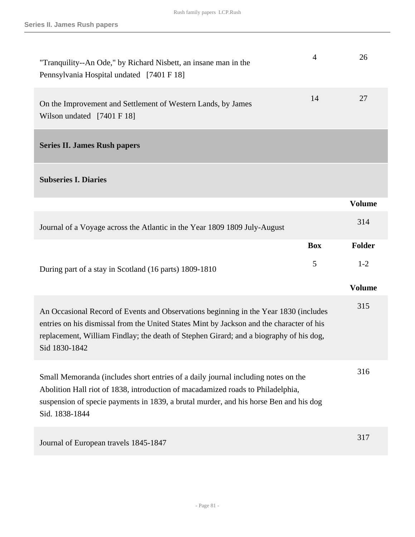| "Tranquility--An Ode," by Richard Nisbett, an insane man in the<br>Pennsylvania Hospital undated [7401 F 18]                                                                                                                                                                                | $\overline{4}$ | 26            |
|---------------------------------------------------------------------------------------------------------------------------------------------------------------------------------------------------------------------------------------------------------------------------------------------|----------------|---------------|
| On the Improvement and Settlement of Western Lands, by James<br>Wilson undated [7401 F 18]                                                                                                                                                                                                  | 14             | 27            |
| <b>Series II. James Rush papers</b>                                                                                                                                                                                                                                                         |                |               |
| <b>Subseries I. Diaries</b>                                                                                                                                                                                                                                                                 |                |               |
|                                                                                                                                                                                                                                                                                             |                | <b>Volume</b> |
| Journal of a Voyage across the Atlantic in the Year 1809 1809 July-August                                                                                                                                                                                                                   |                | 314           |
|                                                                                                                                                                                                                                                                                             | <b>Box</b>     | <b>Folder</b> |
| During part of a stay in Scotland (16 parts) 1809-1810                                                                                                                                                                                                                                      | 5              | $1-2$         |
|                                                                                                                                                                                                                                                                                             |                | <b>Volume</b> |
| An Occasional Record of Events and Observations beginning in the Year 1830 (includes<br>entries on his dismissal from the United States Mint by Jackson and the character of his<br>replacement, William Findlay; the death of Stephen Girard; and a biography of his dog,<br>Sid 1830-1842 |                | 315           |
| Small Memoranda (includes short entries of a daily journal including notes on the<br>Abolition Hall riot of 1838, introduction of macadamized roads to Philadelphia,<br>suspension of specie payments in 1839, a brutal murder, and his horse Ben and his dog<br>Sid. 1838-1844             |                | 316           |
| Journal of European travels 1845-1847                                                                                                                                                                                                                                                       |                | 317           |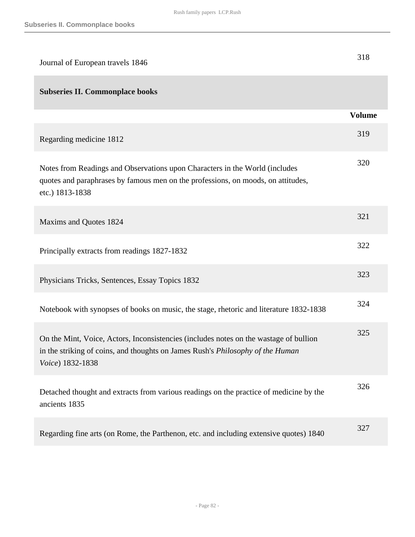| Journal of European travels 1846                                                                                                                                                            | 318           |
|---------------------------------------------------------------------------------------------------------------------------------------------------------------------------------------------|---------------|
| <b>Subseries II. Commonplace books</b>                                                                                                                                                      |               |
|                                                                                                                                                                                             | <b>Volume</b> |
| Regarding medicine 1812                                                                                                                                                                     | 319           |
| Notes from Readings and Observations upon Characters in the World (includes<br>quotes and paraphrases by famous men on the professions, on moods, on attitudes,<br>etc.) 1813-1838          | 320           |
| Maxims and Quotes 1824                                                                                                                                                                      | 321           |
| Principally extracts from readings 1827-1832                                                                                                                                                | 322           |
| Physicians Tricks, Sentences, Essay Topics 1832                                                                                                                                             | 323           |
| Notebook with synopses of books on music, the stage, rhetoric and literature 1832-1838                                                                                                      | 324           |
| On the Mint, Voice, Actors, Inconsistencies (includes notes on the wastage of bullion<br>in the striking of coins, and thoughts on James Rush's Philosophy of the Human<br>Voice) 1832-1838 | 325           |
| Detached thought and extracts from various readings on the practice of medicine by the<br>ancients 1835                                                                                     | 326           |
| Regarding fine arts (on Rome, the Parthenon, etc. and including extensive quotes) 1840                                                                                                      | 327           |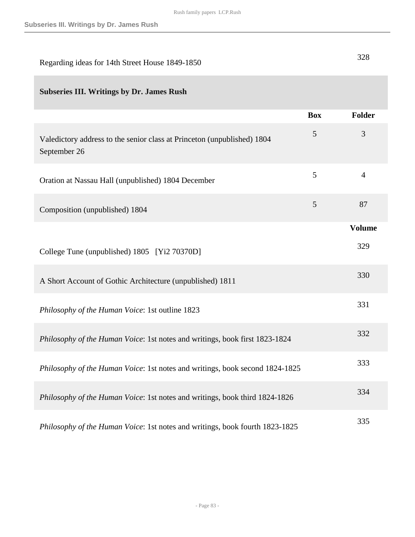| Regarding ideas for 14th Street House 1849-1850 | 328 |
|-------------------------------------------------|-----|
|                                                 |     |

# **Subseries III. Writings by Dr. James Rush**

|                                                                                         | <b>Box</b>     | <b>Folder</b>  |
|-----------------------------------------------------------------------------------------|----------------|----------------|
| Valedictory address to the senior class at Princeton (unpublished) 1804<br>September 26 | 5              | 3              |
| Oration at Nassau Hall (unpublished) 1804 December                                      | 5              | $\overline{4}$ |
| Composition (unpublished) 1804                                                          | $\mathfrak{S}$ | 87             |
|                                                                                         |                | <b>Volume</b>  |
| College Tune (unpublished) 1805 [Yi2 70370D]                                            |                | 329            |
| A Short Account of Gothic Architecture (unpublished) 1811                               |                | 330            |
| Philosophy of the Human Voice: 1st outline 1823                                         |                | 331            |
| Philosophy of the Human Voice: 1st notes and writings, book first 1823-1824             |                | 332            |
| Philosophy of the Human Voice: 1st notes and writings, book second 1824-1825            |                | 333            |
| Philosophy of the Human Voice: 1st notes and writings, book third 1824-1826             |                | 334            |
| Philosophy of the Human Voice: 1st notes and writings, book fourth 1823-1825            |                | 335            |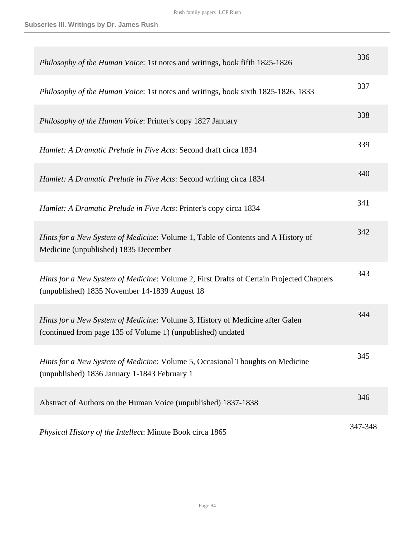| Philosophy of the Human Voice: 1st notes and writings, book fifth 1825-1826                                                                  | 336     |
|----------------------------------------------------------------------------------------------------------------------------------------------|---------|
| Philosophy of the Human Voice: 1st notes and writings, book sixth 1825-1826, 1833                                                            | 337     |
| Philosophy of the Human Voice: Printer's copy 1827 January                                                                                   | 338     |
| Hamlet: A Dramatic Prelude in Five Acts: Second draft circa 1834                                                                             | 339     |
| Hamlet: A Dramatic Prelude in Five Acts: Second writing circa 1834                                                                           | 340     |
| <i>Hamlet: A Dramatic Prelude in Five Acts: Printer's copy circa 1834</i>                                                                    | 341     |
| Hints for a New System of Medicine: Volume 1, Table of Contents and A History of<br>Medicine (unpublished) 1835 December                     | 342     |
| Hints for a New System of Medicine: Volume 2, First Drafts of Certain Projected Chapters<br>(unpublished) 1835 November 14-1839 August 18    | 343     |
| Hints for a New System of Medicine: Volume 3, History of Medicine after Galen<br>(continued from page 135 of Volume 1) (unpublished) undated | 344     |
| <i>Hints for a New System of Medicine:</i> Volume 5, Occasional Thoughts on Medicine<br>(unpublished) 1836 January 1-1843 February 1         | 345     |
| Abstract of Authors on the Human Voice (unpublished) 1837-1838                                                                               | 346     |
| Physical History of the Intellect: Minute Book circa 1865                                                                                    | 347-348 |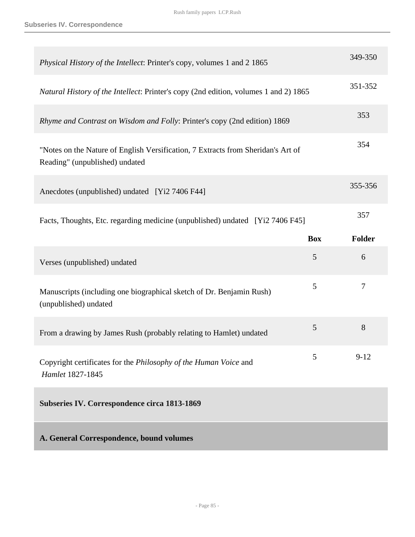| Physical History of the Intellect: Printer's copy, volumes 1 and 2 1865                                            |            | 349-350  |
|--------------------------------------------------------------------------------------------------------------------|------------|----------|
| Natural History of the Intellect: Printer's copy (2nd edition, volumes 1 and 2) 1865                               |            | 351-352  |
| Rhyme and Contrast on Wisdom and Folly: Printer's copy (2nd edition) 1869                                          |            | 353      |
| "Notes on the Nature of English Versification, 7 Extracts from Sheridan's Art of<br>Reading" (unpublished) undated |            | 354      |
| Anecdotes (unpublished) undated [Yi2 7406 F44]                                                                     |            | 355-356  |
| Facts, Thoughts, Etc. regarding medicine (unpublished) undated [Yi2 7406 F45]                                      |            | 357      |
|                                                                                                                    | <b>Box</b> | Folder   |
|                                                                                                                    |            |          |
| Verses (unpublished) undated                                                                                       | 5          | 6        |
| Manuscripts (including one biographical sketch of Dr. Benjamin Rush)<br>(unpublished) undated                      | 5          | $\tau$   |
| From a drawing by James Rush (probably relating to Hamlet) undated                                                 | 5          | 8        |
| Copyright certificates for the Philosophy of the Human Voice and<br>Hamlet 1827-1845                               | 5          | $9 - 12$ |
| Subseries IV. Correspondence circa 1813-1869                                                                       |            |          |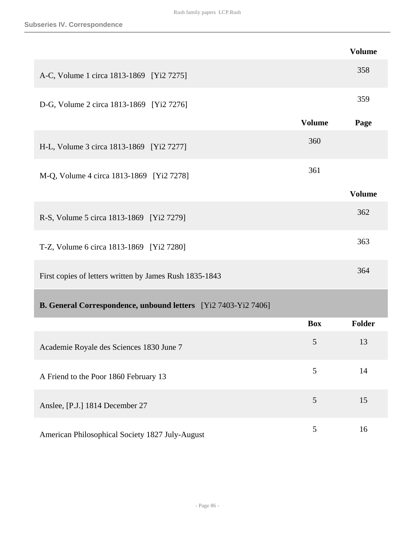|                                                                       |               | <b>Volume</b> |
|-----------------------------------------------------------------------|---------------|---------------|
| A-C, Volume 1 circa 1813-1869 [Yi2 7275]                              |               | 358           |
| D-G, Volume 2 circa 1813-1869 [Yi2 7276]                              |               | 359           |
|                                                                       | <b>Volume</b> | Page          |
| H-L, Volume 3 circa 1813-1869 [Yi2 7277]                              | 360           |               |
| M-Q, Volume 4 circa 1813-1869 [Yi2 7278]                              | 361           |               |
|                                                                       |               | <b>Volume</b> |
| R-S, Volume 5 circa 1813-1869 [Yi2 7279]                              |               | 362           |
| T-Z, Volume 6 circa 1813-1869 [Yi2 7280]                              |               | 363           |
| First copies of letters written by James Rush 1835-1843               |               | 364           |
| <b>B. General Correspondence, unbound letters</b> [Yi2 7403-Yi2 7406] |               |               |
|                                                                       | <b>Box</b>    | Folder        |
| Academie Royale des Sciences 1830 June 7                              | 5             | 13            |
| A Friend to the Poor 1860 February 13                                 | 5             | 14            |
| Anslee, [P.J.] 1814 December 27                                       | 5             | 15            |
| American Philosophical Society 1827 July-August                       | 5             | 16            |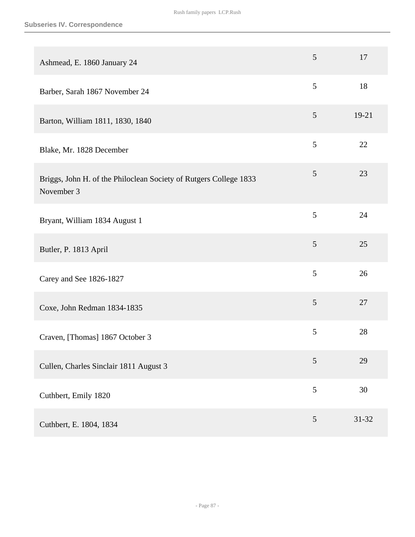| Ashmead, E. 1860 January 24                                                     | 5              | 17        |
|---------------------------------------------------------------------------------|----------------|-----------|
| Barber, Sarah 1867 November 24                                                  | 5              | 18        |
| Barton, William 1811, 1830, 1840                                                | 5              | 19-21     |
| Blake, Mr. 1828 December                                                        | 5              | 22        |
| Briggs, John H. of the Philoclean Society of Rutgers College 1833<br>November 3 | 5              | 23        |
| Bryant, William 1834 August 1                                                   | 5              | 24        |
| Butler, P. 1813 April                                                           | 5              | 25        |
| Carey and See 1826-1827                                                         | 5              | 26        |
| Coxe, John Redman 1834-1835                                                     | 5              | 27        |
| Craven, [Thomas] 1867 October 3                                                 | 5              | 28        |
| Cullen, Charles Sinclair 1811 August 3                                          | 5              | 29        |
| Cuthbert, Emily 1820                                                            | 5              | 30        |
| Cuthbert, E. 1804, 1834                                                         | $\mathfrak{S}$ | $31 - 32$ |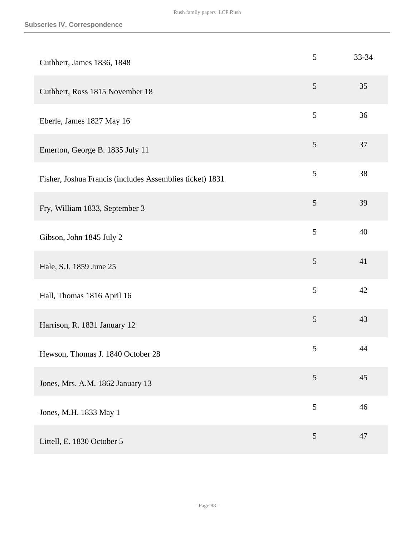| Cuthbert, James 1836, 1848                               | 5              | 33-34 |
|----------------------------------------------------------|----------------|-------|
| Cuthbert, Ross 1815 November 18                          | $\mathfrak{S}$ | 35    |
| Eberle, James 1827 May 16                                | $\mathfrak{S}$ | 36    |
| Emerton, George B. 1835 July 11                          | $\overline{5}$ | 37    |
| Fisher, Joshua Francis (includes Assemblies ticket) 1831 | 5              | 38    |
| Fry, William 1833, September 3                           | $\mathfrak{S}$ | 39    |
| Gibson, John 1845 July 2                                 | 5              | 40    |
| Hale, S.J. 1859 June 25                                  | $\mathfrak{S}$ | 41    |
| Hall, Thomas 1816 April 16                               | $\mathfrak{S}$ | 42    |
| Harrison, R. 1831 January 12                             | $\mathfrak{S}$ | 43    |
| Hewson, Thomas J. 1840 October 28                        | $\sqrt{5}$     | 44    |
| Jones, Mrs. A.M. 1862 January 13                         | 5              | 45    |
| Jones, M.H. 1833 May 1                                   | 5              | 46    |
| Littell, E. 1830 October 5                               | $\overline{5}$ | 47    |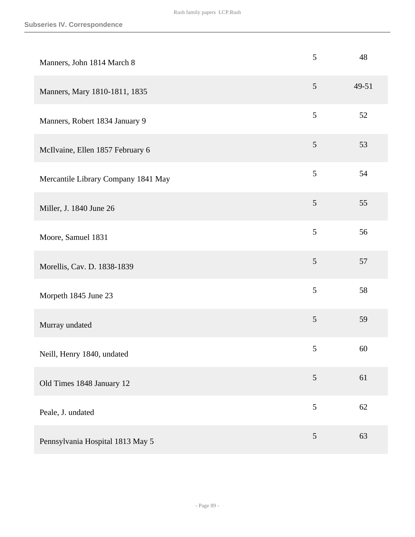| Manners, John 1814 March 8          | 5              | 48    |
|-------------------------------------|----------------|-------|
| Manners, Mary 1810-1811, 1835       | 5              | 49-51 |
| Manners, Robert 1834 January 9      | $\overline{5}$ | 52    |
| McIlvaine, Ellen 1857 February 6    | $\mathfrak{S}$ | 53    |
| Mercantile Library Company 1841 May | $\mathfrak{S}$ | 54    |
| Miller, J. 1840 June 26             | 5              | 55    |
| Moore, Samuel 1831                  | 5              | 56    |
| Morellis, Cav. D. 1838-1839         | 5              | 57    |
| Morpeth 1845 June 23                | 5              | 58    |
| Murray undated                      | $\mathfrak{S}$ | 59    |
| Neill, Henry 1840, undated          | 5              | 60    |
| Old Times 1848 January 12           | 5              | 61    |
| Peale, J. undated                   | $\mathfrak{S}$ | 62    |
| Pennsylvania Hospital 1813 May 5    | $\mathfrak{S}$ | 63    |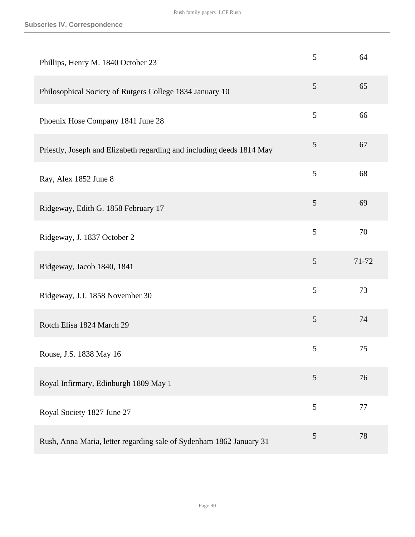| Phillips, Henry M. 1840 October 23                                    | 5 | 64    |
|-----------------------------------------------------------------------|---|-------|
| Philosophical Society of Rutgers College 1834 January 10              | 5 | 65    |
| Phoenix Hose Company 1841 June 28                                     | 5 | 66    |
| Priestly, Joseph and Elizabeth regarding and including deeds 1814 May | 5 | 67    |
| Ray, Alex 1852 June 8                                                 | 5 | 68    |
| Ridgeway, Edith G. 1858 February 17                                   | 5 | 69    |
| Ridgeway, J. 1837 October 2                                           | 5 | 70    |
| Ridgeway, Jacob 1840, 1841                                            | 5 | 71-72 |
| Ridgeway, J.J. 1858 November 30                                       | 5 | 73    |
| Rotch Elisa 1824 March 29                                             | 5 | 74    |
| Rouse, J.S. 1838 May 16                                               | 5 | 75    |
| Royal Infirmary, Edinburgh 1809 May 1                                 | 5 | 76    |
| Royal Society 1827 June 27                                            | 5 | 77    |
| Rush, Anna Maria, letter regarding sale of Sydenham 1862 January 31   | 5 | 78    |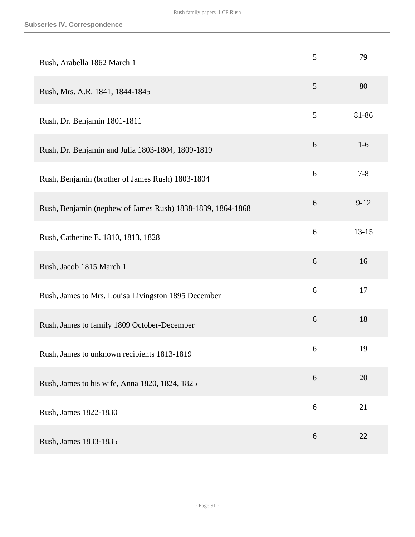| Rush, Arabella 1862 March 1                                | 5     | 79        |
|------------------------------------------------------------|-------|-----------|
| Rush, Mrs. A.R. 1841, 1844-1845                            | 5     | 80        |
| Rush, Dr. Benjamin 1801-1811                               | 5     | 81-86     |
| Rush, Dr. Benjamin and Julia 1803-1804, 1809-1819          | 6     | $1-6$     |
| Rush, Benjamin (brother of James Rush) 1803-1804           | 6     | $7 - 8$   |
| Rush, Benjamin (nephew of James Rush) 1838-1839, 1864-1868 | 6     | $9 - 12$  |
| Rush, Catherine E. 1810, 1813, 1828                        | 6     | $13 - 15$ |
| Rush, Jacob 1815 March 1                                   | 6     | 16        |
| Rush, James to Mrs. Louisa Livingston 1895 December        | 6     | 17        |
| Rush, James to family 1809 October-December                | $6\,$ | 18        |
| Rush, James to unknown recipients 1813-1819                | 6     | 19        |
| Rush, James to his wife, Anna 1820, 1824, 1825             | 6     | 20        |
| Rush, James 1822-1830                                      | 6     | 21        |
| Rush, James 1833-1835                                      | 6     | 22        |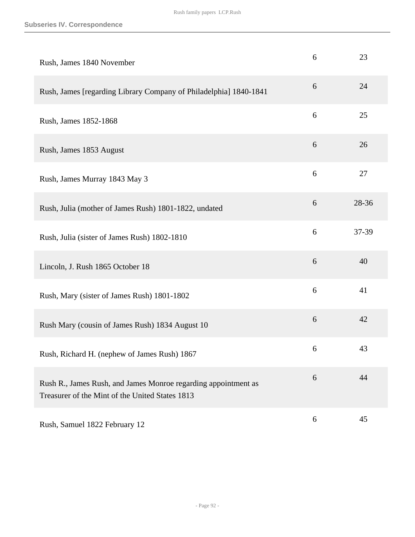| Rush, James 1840 November                                                                                         | 6 | 23    |
|-------------------------------------------------------------------------------------------------------------------|---|-------|
| Rush, James [regarding Library Company of Philadelphia] 1840-1841                                                 | 6 | 24    |
| Rush, James 1852-1868                                                                                             | 6 | 25    |
| Rush, James 1853 August                                                                                           | 6 | 26    |
| Rush, James Murray 1843 May 3                                                                                     | 6 | 27    |
| Rush, Julia (mother of James Rush) 1801-1822, undated                                                             | 6 | 28-36 |
| Rush, Julia (sister of James Rush) 1802-1810                                                                      | 6 | 37-39 |
| Lincoln, J. Rush 1865 October 18                                                                                  | 6 | 40    |
| Rush, Mary (sister of James Rush) 1801-1802                                                                       | 6 | 41    |
| Rush Mary (cousin of James Rush) 1834 August 10                                                                   | 6 | 42    |
| Rush, Richard H. (nephew of James Rush) 1867                                                                      | 6 | 43    |
| Rush R., James Rush, and James Monroe regarding appointment as<br>Treasurer of the Mint of the United States 1813 | 6 | 44    |
| Rush, Samuel 1822 February 12                                                                                     | 6 | 45    |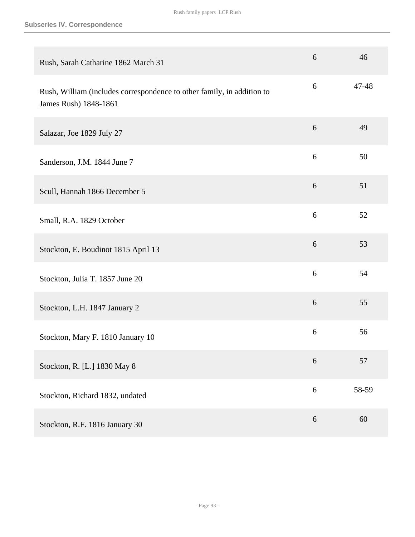| Rush, Sarah Catharine 1862 March 31                                                             | 6 | 46    |
|-------------------------------------------------------------------------------------------------|---|-------|
| Rush, William (includes correspondence to other family, in addition to<br>James Rush) 1848-1861 | 6 | 47-48 |
| Salazar, Joe 1829 July 27                                                                       | 6 | 49    |
| Sanderson, J.M. 1844 June 7                                                                     | 6 | 50    |
| Scull, Hannah 1866 December 5                                                                   | 6 | 51    |
| Small, R.A. 1829 October                                                                        | 6 | 52    |
| Stockton, E. Boudinot 1815 April 13                                                             | 6 | 53    |
| Stockton, Julia T. 1857 June 20                                                                 | 6 | 54    |
| Stockton, L.H. 1847 January 2                                                                   | 6 | 55    |
| Stockton, Mary F. 1810 January 10                                                               | 6 | 56    |
| Stockton, R. [L.] 1830 May 8                                                                    | 6 | 57    |
| Stockton, Richard 1832, undated                                                                 | 6 | 58-59 |
| Stockton, R.F. 1816 January 30                                                                  | 6 | 60    |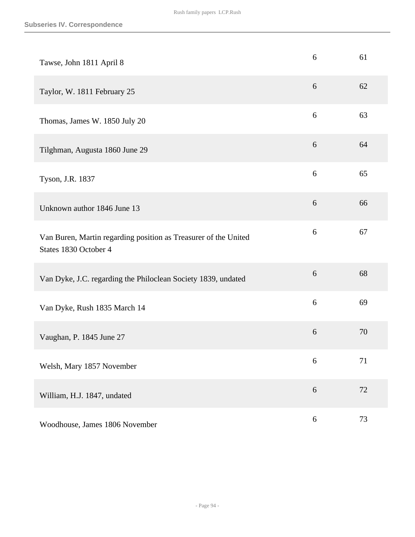| Tawse, John 1811 April 8                                                                 | 6                | 61 |
|------------------------------------------------------------------------------------------|------------------|----|
| Taylor, W. 1811 February 25                                                              | 6                | 62 |
| Thomas, James W. 1850 July 20                                                            | 6                | 63 |
| Tilghman, Augusta 1860 June 29                                                           | 6                | 64 |
| Tyson, J.R. 1837                                                                         | 6                | 65 |
| Unknown author 1846 June 13                                                              | $6\,$            | 66 |
| Van Buren, Martin regarding position as Treasurer of the United<br>States 1830 October 4 | $6\,$            | 67 |
| Van Dyke, J.C. regarding the Philoclean Society 1839, undated                            | 6                | 68 |
| Van Dyke, Rush 1835 March 14                                                             | 6                | 69 |
| Vaughan, P. 1845 June 27                                                                 | 6                | 70 |
| Welsh, Mary 1857 November                                                                | 6                | 71 |
| William, H.J. 1847, undated                                                              | $6\,$            | 72 |
| Woodhouse, James 1806 November                                                           | $\boldsymbol{6}$ | 73 |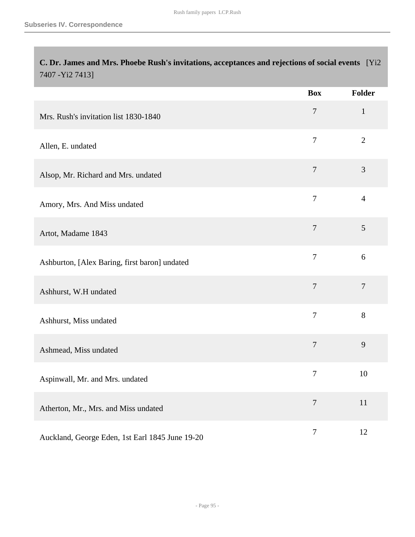| C. Dr. James and Mrs. Phoebe Rush's invitations, acceptances and rejections of social events [Yi2]<br>7407 - Yi2 7413] |                |                |
|------------------------------------------------------------------------------------------------------------------------|----------------|----------------|
|                                                                                                                        | <b>Box</b>     | <b>Folder</b>  |
| Mrs. Rush's invitation list 1830-1840                                                                                  | $\overline{7}$ | $\mathbf{1}$   |
| Allen, E. undated                                                                                                      | $\overline{7}$ | $\overline{2}$ |
| Alsop, Mr. Richard and Mrs. undated                                                                                    | $\overline{7}$ | 3              |
| Amory, Mrs. And Miss undated                                                                                           | $\tau$         | $\overline{4}$ |
| Artot, Madame 1843                                                                                                     | $\overline{7}$ | 5              |
| Ashburton, [Alex Baring, first baron] undated                                                                          | $\overline{7}$ | 6              |
| Ashhurst, W.H undated                                                                                                  | $\tau$         | $\overline{7}$ |
| Ashhurst, Miss undated                                                                                                 | $\tau$         | 8              |
| Ashmead, Miss undated                                                                                                  | $\overline{7}$ | 9              |
| Aspinwall, Mr. and Mrs. undated                                                                                        | 7              | 10             |
| Atherton, Mr., Mrs. and Miss undated                                                                                   | $\tau$         | 11             |
| Auckland, George Eden, 1st Earl 1845 June 19-20                                                                        | $\tau$         | 12             |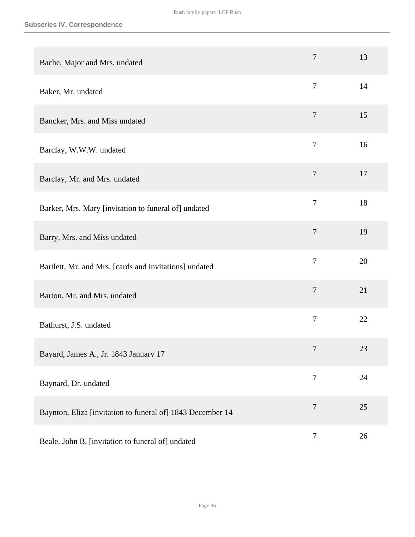| Bache, Major and Mrs. undated                              | $\overline{7}$   | 13 |
|------------------------------------------------------------|------------------|----|
| Baker, Mr. undated                                         | $\overline{7}$   | 14 |
| Bancker, Mrs. and Miss undated                             | $\overline{7}$   | 15 |
| Barclay, W.W.W. undated                                    | $\overline{7}$   | 16 |
| Barclay, Mr. and Mrs. undated                              | $\overline{7}$   | 17 |
| Barker, Mrs. Mary [invitation to funeral of] undated       | $\tau$           | 18 |
| Barry, Mrs. and Miss undated                               | $\overline{7}$   | 19 |
| Bartlett, Mr. and Mrs. [cards and invitations] undated     | $\overline{7}$   | 20 |
| Barton, Mr. and Mrs. undated                               | $\overline{7}$   | 21 |
| Bathurst, J.S. undated                                     | $\tau$           | 22 |
| Bayard, James A., Jr. 1843 January 17                      | $\overline{7}$   | 23 |
| Baynard, Dr. undated                                       | $\overline{7}$   | 24 |
| Baynton, Eliza [invitation to funeral of] 1843 December 14 | $\overline{7}$   | 25 |
| Beale, John B. [invitation to funeral of] undated          | $\boldsymbol{7}$ | 26 |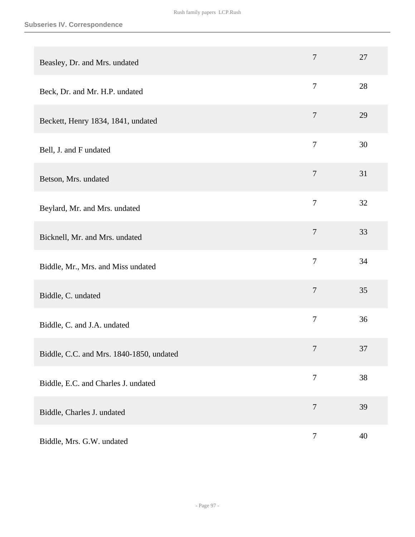| Beasley, Dr. and Mrs. undated            | $\tau$           | 27 |
|------------------------------------------|------------------|----|
| Beck, Dr. and Mr. H.P. undated           | $\overline{7}$   | 28 |
| Beckett, Henry 1834, 1841, undated       | $\overline{7}$   | 29 |
| Bell, J. and F undated                   | $\overline{7}$   | 30 |
| Betson, Mrs. undated                     | $\overline{7}$   | 31 |
| Beylard, Mr. and Mrs. undated            | $\overline{7}$   | 32 |
| Bicknell, Mr. and Mrs. undated           | $\tau$           | 33 |
| Biddle, Mr., Mrs. and Miss undated       | $\overline{7}$   | 34 |
| Biddle, C. undated                       | $\overline{7}$   | 35 |
| Biddle, C. and J.A. undated              | $\overline{7}$   | 36 |
| Biddle, C.C. and Mrs. 1840-1850, undated | $\overline{7}$   | 37 |
| Biddle, E.C. and Charles J. undated      | $\tau$           | 38 |
| Biddle, Charles J. undated               | $\boldsymbol{7}$ | 39 |
| Biddle, Mrs. G.W. undated                | $\boldsymbol{7}$ | 40 |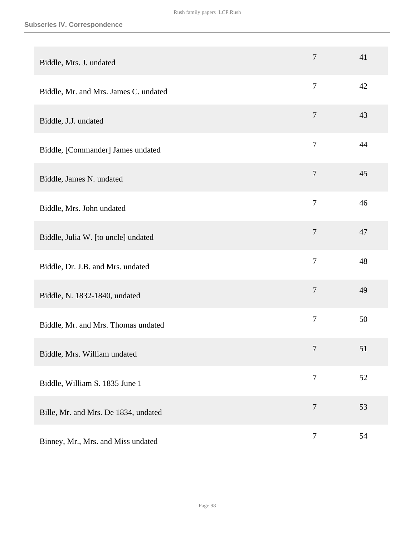| Biddle, Mrs. J. undated               | $\overline{7}$ | 41 |
|---------------------------------------|----------------|----|
| Biddle, Mr. and Mrs. James C. undated | $\overline{7}$ | 42 |
| Biddle, J.J. undated                  | $\overline{7}$ | 43 |
| Biddle, [Commander] James undated     | $\overline{7}$ | 44 |
| Biddle, James N. undated              | $\overline{7}$ | 45 |
| Biddle, Mrs. John undated             | $\overline{7}$ | 46 |
| Biddle, Julia W. [to uncle] undated   | $\tau$         | 47 |
| Biddle, Dr. J.B. and Mrs. undated     | $\overline{7}$ | 48 |
| Biddle, N. 1832-1840, undated         | $\overline{7}$ | 49 |
| Biddle, Mr. and Mrs. Thomas undated   | $\overline{7}$ | 50 |
| Biddle, Mrs. William undated          | $\tau$         | 51 |
| Biddle, William S. 1835 June 1        | $\overline{7}$ | 52 |
| Bille, Mr. and Mrs. De 1834, undated  | $\tau$         | 53 |
| Binney, Mr., Mrs. and Miss undated    | $\tau$         | 54 |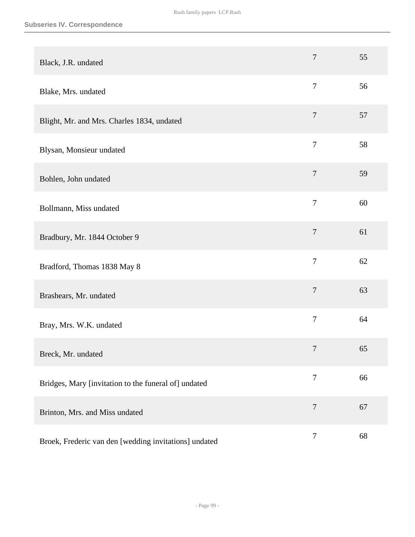| Black, J.R. undated                                   | $\overline{7}$   | 55 |
|-------------------------------------------------------|------------------|----|
| Blake, Mrs. undated                                   | $\overline{7}$   | 56 |
| Blight, Mr. and Mrs. Charles 1834, undated            | $\overline{7}$   | 57 |
| Blysan, Monsieur undated                              | $\overline{7}$   | 58 |
| Bohlen, John undated                                  | $\tau$           | 59 |
| Bollmann, Miss undated                                | $\overline{7}$   | 60 |
| Bradbury, Mr. 1844 October 9                          | $\overline{7}$   | 61 |
| Bradford, Thomas 1838 May 8                           | $\overline{7}$   | 62 |
| Brashears, Mr. undated                                | $\overline{7}$   | 63 |
| Bray, Mrs. W.K. undated                               | $\overline{7}$   | 64 |
| Breck, Mr. undated                                    | $\tau$           | 65 |
| Bridges, Mary [invitation to the funeral of] undated  | $\tau$           | 66 |
| Brinton, Mrs. and Miss undated                        | $\overline{7}$   | 67 |
| Broek, Frederic van den [wedding invitations] undated | $\boldsymbol{7}$ | 68 |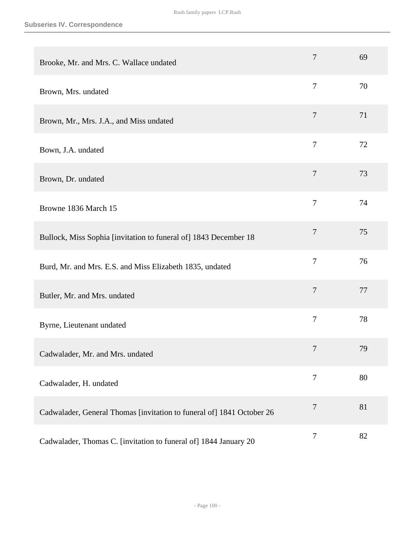| Brooke, Mr. and Mrs. C. Wallace undated                               | 7              | 69 |
|-----------------------------------------------------------------------|----------------|----|
| Brown, Mrs. undated                                                   | $\overline{7}$ | 70 |
| Brown, Mr., Mrs. J.A., and Miss undated                               | $\overline{7}$ | 71 |
| Bown, J.A. undated                                                    | $\overline{7}$ | 72 |
| Brown, Dr. undated                                                    | $\overline{7}$ | 73 |
| Browne 1836 March 15                                                  | $\tau$         | 74 |
| Bullock, Miss Sophia [invitation to funeral of] 1843 December 18      | $\overline{7}$ | 75 |
| Burd, Mr. and Mrs. E.S. and Miss Elizabeth 1835, undated              | $\overline{7}$ | 76 |
| Butler, Mr. and Mrs. undated                                          | $\overline{7}$ | 77 |
| Byrne, Lieutenant undated                                             | $\overline{7}$ | 78 |
| Cadwalader, Mr. and Mrs. undated                                      | 7              | 79 |
| Cadwalader, H. undated                                                | $\tau$         | 80 |
| Cadwalader, General Thomas [invitation to funeral of] 1841 October 26 | $\overline{7}$ | 81 |
| Cadwalader, Thomas C. [invitation to funeral of] 1844 January 20      | $\tau$         | 82 |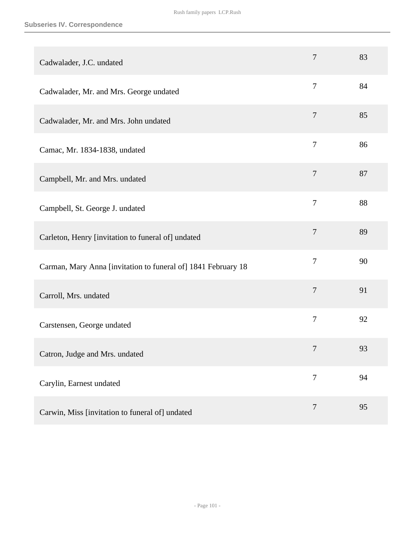| Cadwalader, J.C. undated                                      | $\overline{7}$ | 83 |
|---------------------------------------------------------------|----------------|----|
| Cadwalader, Mr. and Mrs. George undated                       | $\overline{7}$ | 84 |
| Cadwalader, Mr. and Mrs. John undated                         | $\overline{7}$ | 85 |
| Camac, Mr. 1834-1838, undated                                 | $\tau$         | 86 |
| Campbell, Mr. and Mrs. undated                                | $\overline{7}$ | 87 |
| Campbell, St. George J. undated                               | $\overline{7}$ | 88 |
| Carleton, Henry [invitation to funeral of] undated            | $\tau$         | 89 |
| Carman, Mary Anna [invitation to funeral of] 1841 February 18 | $\overline{7}$ | 90 |
| Carroll, Mrs. undated                                         | $\overline{7}$ | 91 |
| Carstensen, George undated                                    | $\tau$         | 92 |
| Catron, Judge and Mrs. undated                                | $\overline{7}$ | 93 |
| Carylin, Earnest undated                                      | $\overline{7}$ | 94 |
| Carwin, Miss [invitation to funeral of] undated               | $\tau$         | 95 |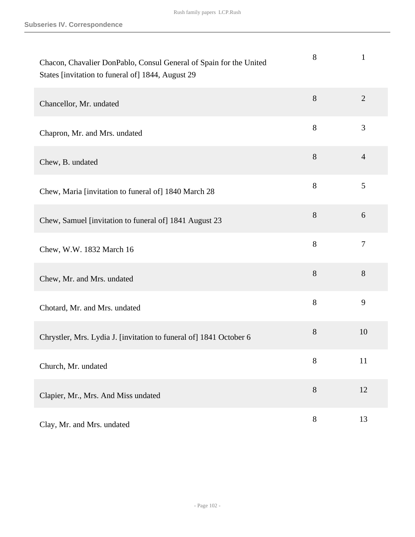| Chacon, Chavalier DonPablo, Consul General of Spain for the United<br>States [invitation to funeral of] 1844, August 29 | 8     | $\mathbf{1}$   |
|-------------------------------------------------------------------------------------------------------------------------|-------|----------------|
| Chancellor, Mr. undated                                                                                                 | 8     | $\overline{2}$ |
| Chapron, Mr. and Mrs. undated                                                                                           | 8     | 3              |
| Chew, B. undated                                                                                                        | 8     | $\overline{4}$ |
| Chew, Maria [invitation to funeral of] 1840 March 28                                                                    | 8     | 5              |
| Chew, Samuel [invitation to funeral of] 1841 August 23                                                                  | 8     | 6              |
| Chew, W.W. 1832 March 16                                                                                                | 8     | $\overline{7}$ |
| Chew, Mr. and Mrs. undated                                                                                              | 8     | 8              |
| Chotard, Mr. and Mrs. undated                                                                                           | $8\,$ | 9              |
| Chrystler, Mrs. Lydia J. [invitation to funeral of] 1841 October 6                                                      | $8\,$ | 10             |
| Church, Mr. undated                                                                                                     | 8     | 11             |
| Clapier, Mr., Mrs. And Miss undated                                                                                     | $8\,$ | 12             |
| Clay, Mr. and Mrs. undated                                                                                              | $8\,$ | 13             |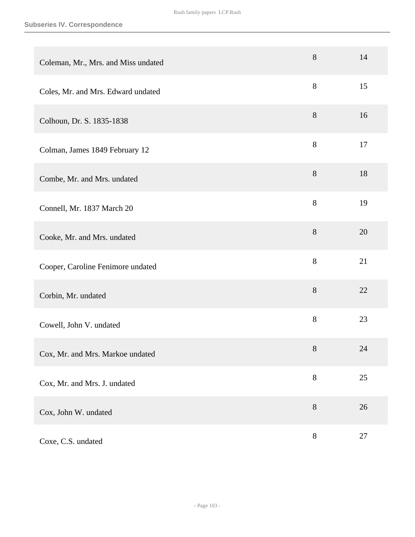| Coleman, Mr., Mrs. and Miss undated | 8     | 14 |
|-------------------------------------|-------|----|
| Coles, Mr. and Mrs. Edward undated  | 8     | 15 |
| Colhoun, Dr. S. 1835-1838           | 8     | 16 |
| Colman, James 1849 February 12      | $8\,$ | 17 |
| Combe, Mr. and Mrs. undated         | 8     | 18 |
| Connell, Mr. 1837 March 20          | 8     | 19 |
| Cooke, Mr. and Mrs. undated         | $8\,$ | 20 |
| Cooper, Caroline Fenimore undated   | 8     | 21 |
| Corbin, Mr. undated                 | 8     | 22 |
| Cowell, John V. undated             | $8\,$ | 23 |
| Cox, Mr. and Mrs. Markoe undated    | 8     | 24 |
| Cox, Mr. and Mrs. J. undated        | $8\,$ | 25 |
| Cox, John W. undated                | $8\,$ | 26 |
| Coxe, C.S. undated                  | $8\,$ | 27 |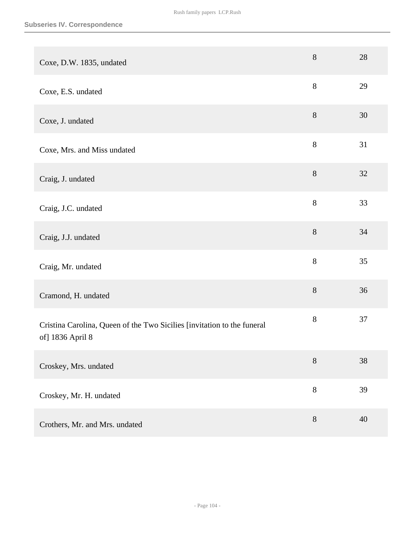| Coxe, D.W. 1835, undated                                                                    | $8\,$ | 28 |
|---------------------------------------------------------------------------------------------|-------|----|
| Coxe, E.S. undated                                                                          | $8\,$ | 29 |
| Coxe, J. undated                                                                            | 8     | 30 |
| Coxe, Mrs. and Miss undated                                                                 | $8\,$ | 31 |
| Craig, J. undated                                                                           | $8\,$ | 32 |
| Craig, J.C. undated                                                                         | 8     | 33 |
| Craig, J.J. undated                                                                         | $8\,$ | 34 |
| Craig, Mr. undated                                                                          | 8     | 35 |
| Cramond, H. undated                                                                         | 8     | 36 |
| Cristina Carolina, Queen of the Two Sicilies [invitation to the funeral<br>of] 1836 April 8 | $8\,$ | 37 |
| Croskey, Mrs. undated                                                                       | $8\,$ | 38 |
| Croskey, Mr. H. undated                                                                     | $8\,$ | 39 |
| Crothers, Mr. and Mrs. undated                                                              | $8\,$ | 40 |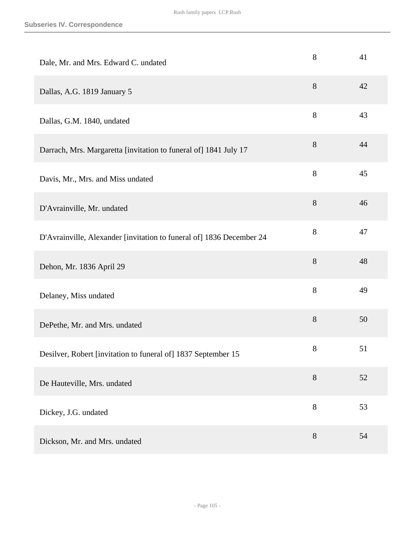| Dale, Mr. and Mrs. Edward C. undated                                 | 8     | 41 |
|----------------------------------------------------------------------|-------|----|
| Dallas, A.G. 1819 January 5                                          | 8     | 42 |
| Dallas, G.M. 1840, undated                                           | $8\,$ | 43 |
| Darrach, Mrs. Margaretta [invitation to funeral of] 1841 July 17     | $8\,$ | 44 |
| Davis, Mr., Mrs. and Miss undated                                    | 8     | 45 |
| D'Avrainville, Mr. undated                                           | $8\,$ | 46 |
| D'Avrainville, Alexander [invitation to funeral of] 1836 December 24 | 8     | 47 |
| Dehon, Mr. 1836 April 29                                             | 8     | 48 |
| Delaney, Miss undated                                                | $8\,$ | 49 |
| DePethe, Mr. and Mrs. undated                                        | $8\,$ | 50 |
| Desilver, Robert [invitation to funeral of] 1837 September 15        | $8\,$ | 51 |
| De Hauteville, Mrs. undated                                          | $8\,$ | 52 |
| Dickey, J.G. undated                                                 | 8     | 53 |
| Dickson, Mr. and Mrs. undated                                        | 8     | 54 |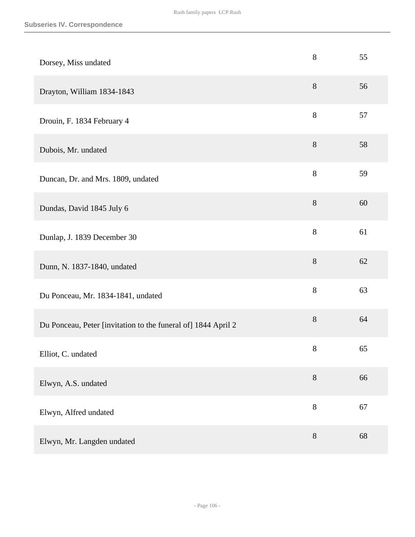| Dorsey, Miss undated                                          | 8     | 55 |
|---------------------------------------------------------------|-------|----|
| Drayton, William 1834-1843                                    | $8\,$ | 56 |
| Drouin, F. 1834 February 4                                    | 8     | 57 |
| Dubois, Mr. undated                                           | $8\,$ | 58 |
| Duncan, Dr. and Mrs. 1809, undated                            | 8     | 59 |
| Dundas, David 1845 July 6                                     | $8\,$ | 60 |
| Dunlap, J. 1839 December 30                                   | $8\,$ | 61 |
| Dunn, N. 1837-1840, undated                                   | $8\,$ | 62 |
| Du Ponceau, Mr. 1834-1841, undated                            | $8\,$ | 63 |
| Du Ponceau, Peter [invitation to the funeral of] 1844 April 2 | $8\,$ | 64 |
| Elliot, C. undated                                            | $8\,$ | 65 |
| Elwyn, A.S. undated                                           | 8     | 66 |
| Elwyn, Alfred undated                                         | $8\,$ | 67 |
| Elwyn, Mr. Langden undated                                    | $8\,$ | 68 |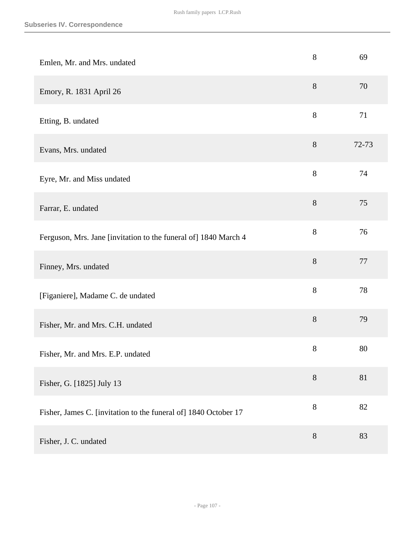| Emlen, Mr. and Mrs. undated                                     | 8     | 69    |
|-----------------------------------------------------------------|-------|-------|
| Emory, R. 1831 April 26                                         | 8     | 70    |
| Etting, B. undated                                              | 8     | 71    |
| Evans, Mrs. undated                                             | 8     | 72-73 |
| Eyre, Mr. and Miss undated                                      | 8     | 74    |
| Farrar, E. undated                                              | $8\,$ | 75    |
| Ferguson, Mrs. Jane [invitation to the funeral of] 1840 March 4 | $8\,$ | 76    |
| Finney, Mrs. undated                                            | 8     | 77    |
| [Figaniere], Madame C. de undated                               | 8     | 78    |
| Fisher, Mr. and Mrs. C.H. undated                               | 8     | 79    |
| Fisher, Mr. and Mrs. E.P. undated                               | $8\,$ | 80    |
| Fisher, G. [1825] July 13                                       | $8\,$ | 81    |
| Fisher, James C. [invitation to the funeral of] 1840 October 17 | $8\,$ | 82    |
| Fisher, J. C. undated                                           | 8     | 83    |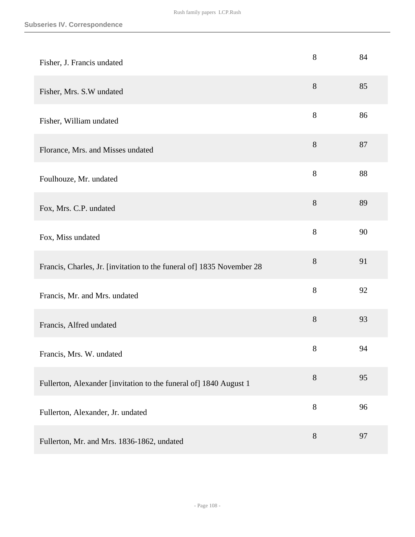| Fisher, J. Francis undated                                            | 8     | 84 |
|-----------------------------------------------------------------------|-------|----|
| Fisher, Mrs. S.W undated                                              | $8\,$ | 85 |
| Fisher, William undated                                               | 8     | 86 |
| Florance, Mrs. and Misses undated                                     | 8     | 87 |
| Foulhouze, Mr. undated                                                | $8\,$ | 88 |
| Fox, Mrs. C.P. undated                                                | $8\,$ | 89 |
| Fox, Miss undated                                                     | 8     | 90 |
| Francis, Charles, Jr. [invitation to the funeral of] 1835 November 28 | 8     | 91 |
| Francis, Mr. and Mrs. undated                                         | 8     | 92 |
| Francis, Alfred undated                                               | 8     | 93 |
| Francis, Mrs. W. undated                                              | $8\,$ | 94 |
| Fullerton, Alexander [invitation to the funeral of] 1840 August 1     | 8     | 95 |
| Fullerton, Alexander, Jr. undated                                     | 8     | 96 |
| Fullerton, Mr. and Mrs. 1836-1862, undated                            | 8     | 97 |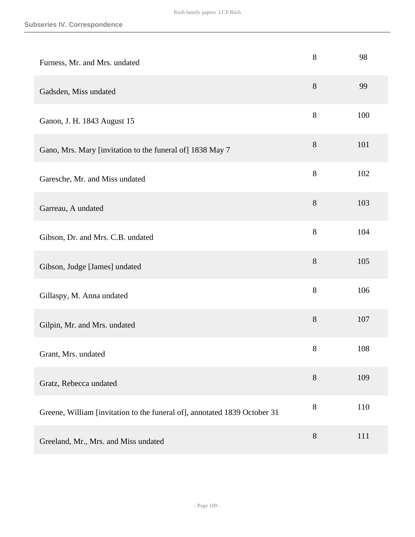| Furness, Mr. and Mrs. undated                                             | 8     | 98  |
|---------------------------------------------------------------------------|-------|-----|
| Gadsden, Miss undated                                                     | 8     | 99  |
| Ganon, J. H. 1843 August 15                                               | 8     | 100 |
| Gano, Mrs. Mary [invitation to the funeral of] 1838 May 7                 | 8     | 101 |
| Garesche, Mr. and Miss undated                                            | $8\,$ | 102 |
| Garreau, A undated                                                        | $8\,$ | 103 |
| Gibson, Dr. and Mrs. C.B. undated                                         | $8\,$ | 104 |
| Gibson, Judge [James] undated                                             | $8\,$ | 105 |
| Gillaspy, M. Anna undated                                                 | $8\,$ | 106 |
| Gilpin, Mr. and Mrs. undated                                              | 8     | 107 |
| Grant, Mrs. undated                                                       | $8\,$ | 108 |
| Gratz, Rebecca undated                                                    | $8\,$ | 109 |
| Greene, William [invitation to the funeral of], annotated 1839 October 31 | $8\,$ | 110 |
| Greeland, Mr., Mrs. and Miss undated                                      | $8\,$ | 111 |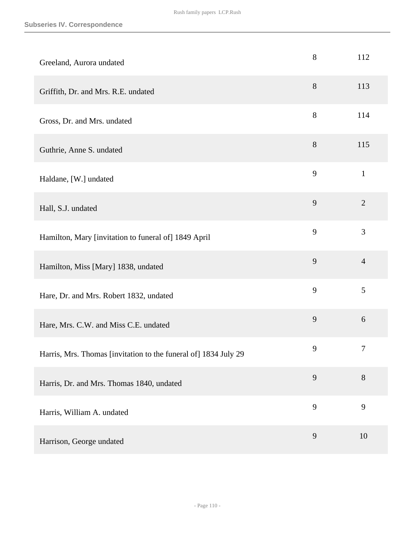| Greeland, Aurora undated                                        | 8     | 112            |
|-----------------------------------------------------------------|-------|----------------|
| Griffith, Dr. and Mrs. R.E. undated                             | 8     | 113            |
| Gross, Dr. and Mrs. undated                                     | 8     | 114            |
| Guthrie, Anne S. undated                                        | $8\,$ | 115            |
| Haldane, [W.] undated                                           | 9     | $\mathbf{1}$   |
| Hall, S.J. undated                                              | 9     | $\overline{2}$ |
| Hamilton, Mary [invitation to funeral of] 1849 April            | 9     | 3              |
| Hamilton, Miss [Mary] 1838, undated                             | 9     | $\overline{4}$ |
| Hare, Dr. and Mrs. Robert 1832, undated                         | 9     | 5              |
| Hare, Mrs. C.W. and Miss C.E. undated                           | 9     | 6              |
| Harris, Mrs. Thomas [invitation to the funeral of] 1834 July 29 | 9     | 7              |
| Harris, Dr. and Mrs. Thomas 1840, undated                       | 9     | 8              |
| Harris, William A. undated                                      | 9     | 9              |
| Harrison, George undated                                        | 9     | 10             |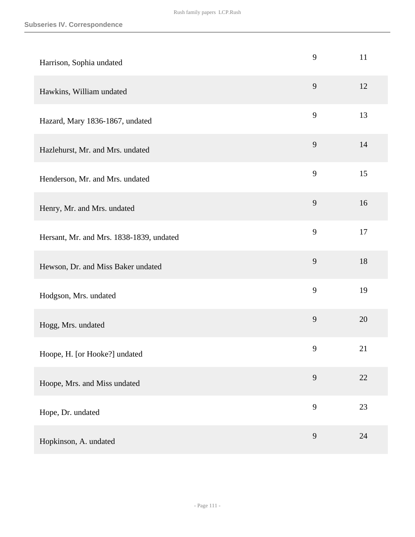| Harrison, Sophia undated                 | 9 | 11 |
|------------------------------------------|---|----|
| Hawkins, William undated                 | 9 | 12 |
| Hazard, Mary 1836-1867, undated          | 9 | 13 |
| Hazlehurst, Mr. and Mrs. undated         | 9 | 14 |
| Henderson, Mr. and Mrs. undated          | 9 | 15 |
| Henry, Mr. and Mrs. undated              | 9 | 16 |
| Hersant, Mr. and Mrs. 1838-1839, undated | 9 | 17 |
| Hewson, Dr. and Miss Baker undated       | 9 | 18 |
| Hodgson, Mrs. undated                    | 9 | 19 |
| Hogg, Mrs. undated                       | 9 | 20 |
| Hoope, H. [or Hooke?] undated            | 9 | 21 |
| Hoope, Mrs. and Miss undated             | 9 | 22 |
| Hope, Dr. undated                        | 9 | 23 |
| Hopkinson, A. undated                    | 9 | 24 |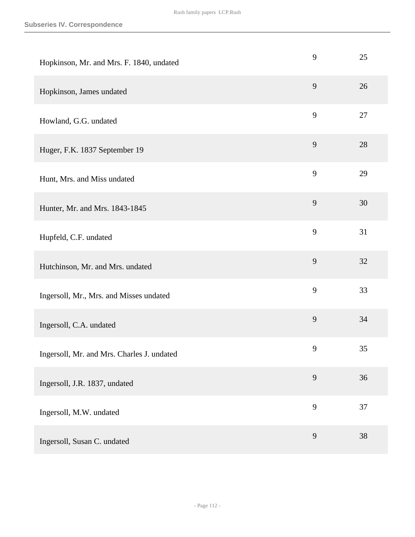| Hopkinson, Mr. and Mrs. F. 1840, undated   | 9 | 25 |
|--------------------------------------------|---|----|
| Hopkinson, James undated                   | 9 | 26 |
| Howland, G.G. undated                      | 9 | 27 |
| Huger, F.K. 1837 September 19              | 9 | 28 |
| Hunt, Mrs. and Miss undated                | 9 | 29 |
| Hunter, Mr. and Mrs. 1843-1845             | 9 | 30 |
| Hupfeld, C.F. undated                      | 9 | 31 |
| Hutchinson, Mr. and Mrs. undated           | 9 | 32 |
| Ingersoll, Mr., Mrs. and Misses undated    | 9 | 33 |
| Ingersoll, C.A. undated                    | 9 | 34 |
| Ingersoll, Mr. and Mrs. Charles J. undated | 9 | 35 |
| Ingersoll, J.R. 1837, undated              | 9 | 36 |
| Ingersoll, M.W. undated                    | 9 | 37 |
| Ingersoll, Susan C. undated                | 9 | 38 |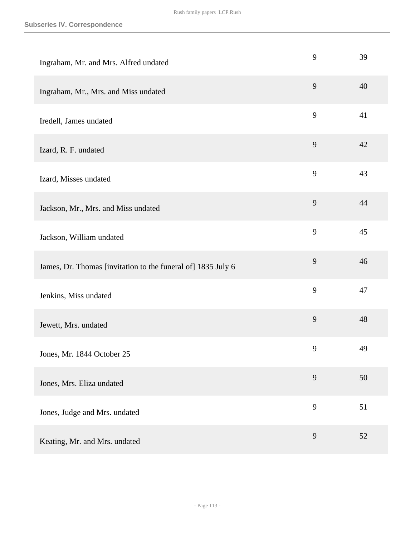| Ingraham, Mr. and Mrs. Alfred undated                        | 9 | 39 |
|--------------------------------------------------------------|---|----|
| Ingraham, Mr., Mrs. and Miss undated                         | 9 | 40 |
| Iredell, James undated                                       | 9 | 41 |
| Izard, R. F. undated                                         | 9 | 42 |
| Izard, Misses undated                                        | 9 | 43 |
| Jackson, Mr., Mrs. and Miss undated                          | 9 | 44 |
| Jackson, William undated                                     | 9 | 45 |
| James, Dr. Thomas [invitation to the funeral of] 1835 July 6 | 9 | 46 |
| Jenkins, Miss undated                                        | 9 | 47 |
| Jewett, Mrs. undated                                         | 9 | 48 |
| Jones, Mr. 1844 October 25                                   | 9 | 49 |
| Jones, Mrs. Eliza undated                                    | 9 | 50 |
| Jones, Judge and Mrs. undated                                | 9 | 51 |
| Keating, Mr. and Mrs. undated                                | 9 | 52 |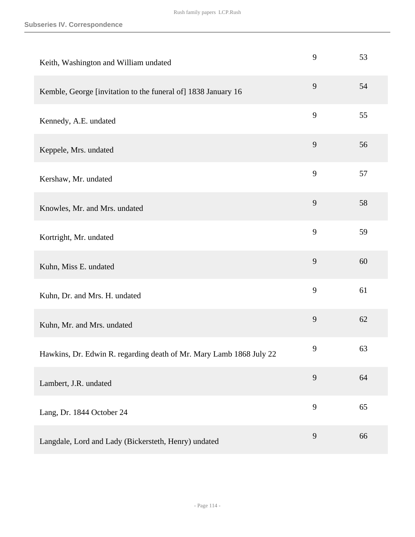| Keith, Washington and William undated                               | 9 | 53 |
|---------------------------------------------------------------------|---|----|
| Kemble, George [invitation to the funeral of] 1838 January 16       | 9 | 54 |
| Kennedy, A.E. undated                                               | 9 | 55 |
| Keppele, Mrs. undated                                               | 9 | 56 |
| Kershaw, Mr. undated                                                | 9 | 57 |
| Knowles, Mr. and Mrs. undated                                       | 9 | 58 |
| Kortright, Mr. undated                                              | 9 | 59 |
| Kuhn, Miss E. undated                                               | 9 | 60 |
| Kuhn, Dr. and Mrs. H. undated                                       | 9 | 61 |
| Kuhn, Mr. and Mrs. undated                                          | 9 | 62 |
| Hawkins, Dr. Edwin R. regarding death of Mr. Mary Lamb 1868 July 22 | 9 | 63 |
| Lambert, J.R. undated                                               | 9 | 64 |
| Lang, Dr. 1844 October 24                                           | 9 | 65 |
| Langdale, Lord and Lady (Bickersteth, Henry) undated                | 9 | 66 |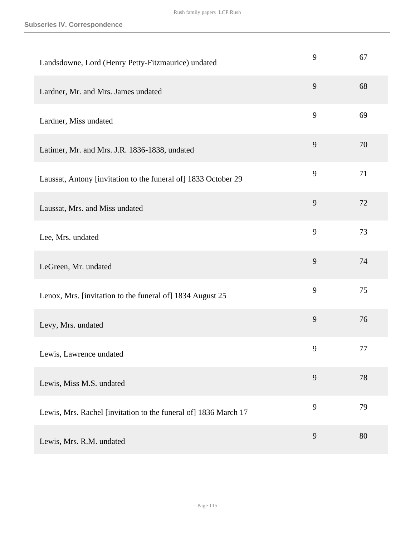| Landsdowne, Lord (Henry Petty-Fitzmaurice) undated              | 9 | 67 |
|-----------------------------------------------------------------|---|----|
| Lardner, Mr. and Mrs. James undated                             | 9 | 68 |
| Lardner, Miss undated                                           | 9 | 69 |
| Latimer, Mr. and Mrs. J.R. 1836-1838, undated                   | 9 | 70 |
| Laussat, Antony [invitation to the funeral of] 1833 October 29  | 9 | 71 |
| Laussat, Mrs. and Miss undated                                  | 9 | 72 |
| Lee, Mrs. undated                                               | 9 | 73 |
| LeGreen, Mr. undated                                            | 9 | 74 |
| Lenox, Mrs. [invitation to the funeral of] 1834 August 25       | 9 | 75 |
| Levy, Mrs. undated                                              | 9 | 76 |
| Lewis, Lawrence undated                                         | 9 | 77 |
| Lewis, Miss M.S. undated                                        | 9 | 78 |
| Lewis, Mrs. Rachel [invitation to the funeral of] 1836 March 17 | 9 | 79 |
| Lewis, Mrs. R.M. undated                                        | 9 | 80 |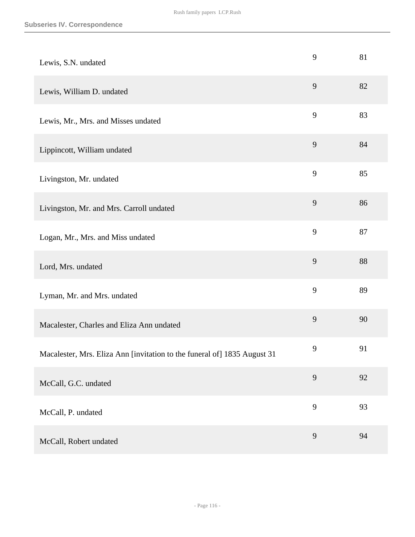| Lewis, S.N. undated                                                      | 9 | 81 |
|--------------------------------------------------------------------------|---|----|
| Lewis, William D. undated                                                | 9 | 82 |
| Lewis, Mr., Mrs. and Misses undated                                      | 9 | 83 |
| Lippincott, William undated                                              | 9 | 84 |
| Livingston, Mr. undated                                                  | 9 | 85 |
| Livingston, Mr. and Mrs. Carroll undated                                 | 9 | 86 |
| Logan, Mr., Mrs. and Miss undated                                        | 9 | 87 |
| Lord, Mrs. undated                                                       | 9 | 88 |
| Lyman, Mr. and Mrs. undated                                              | 9 | 89 |
| Macalester, Charles and Eliza Ann undated                                | 9 | 90 |
| Macalester, Mrs. Eliza Ann [invitation to the funeral of] 1835 August 31 | 9 | 91 |
| McCall, G.C. undated                                                     | 9 | 92 |
| McCall, P. undated                                                       | 9 | 93 |
| McCall, Robert undated                                                   | 9 | 94 |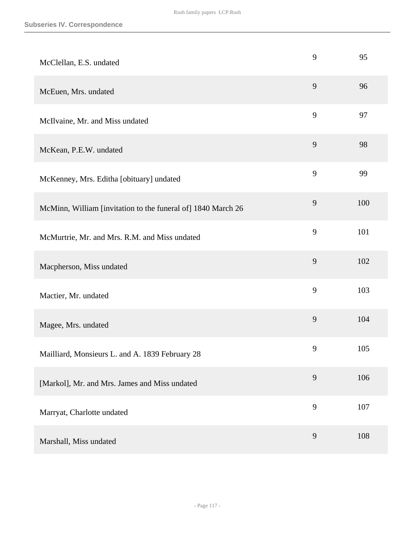| McClellan, E.S. undated                                      | 9 | 95  |
|--------------------------------------------------------------|---|-----|
| McEuen, Mrs. undated                                         | 9 | 96  |
| McIlvaine, Mr. and Miss undated                              | 9 | 97  |
| McKean, P.E.W. undated                                       | 9 | 98  |
| McKenney, Mrs. Editha [obituary] undated                     | 9 | 99  |
| McMinn, William [invitation to the funeral of] 1840 March 26 | 9 | 100 |
| McMurtrie, Mr. and Mrs. R.M. and Miss undated                | 9 | 101 |
| Macpherson, Miss undated                                     | 9 | 102 |
| Mactier, Mr. undated                                         | 9 | 103 |
| Magee, Mrs. undated                                          | 9 | 104 |
| Mailliard, Monsieurs L. and A. 1839 February 28              | 9 | 105 |
| [Markol], Mr. and Mrs. James and Miss undated                | 9 | 106 |
| Marryat, Charlotte undated                                   | 9 | 107 |
| Marshall, Miss undated                                       | 9 | 108 |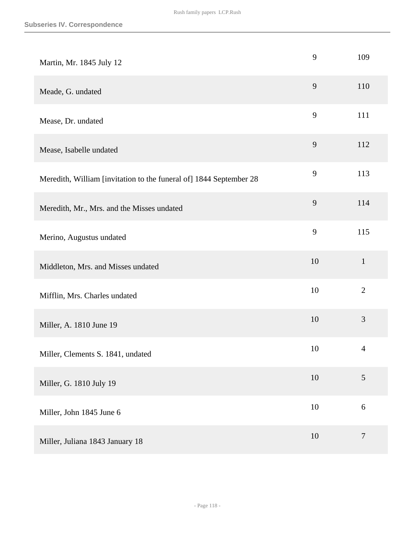| Martin, Mr. 1845 July 12                                           | 9  | 109              |
|--------------------------------------------------------------------|----|------------------|
| Meade, G. undated                                                  | 9  | 110              |
| Mease, Dr. undated                                                 | 9  | 111              |
| Mease, Isabelle undated                                            | 9  | 112              |
| Meredith, William [invitation to the funeral of] 1844 September 28 | 9  | 113              |
| Meredith, Mr., Mrs. and the Misses undated                         | 9  | 114              |
| Merino, Augustus undated                                           | 9  | 115              |
| Middleton, Mrs. and Misses undated                                 | 10 | $\mathbf{1}$     |
| Mifflin, Mrs. Charles undated                                      | 10 | $\overline{2}$   |
| Miller, A. 1810 June 19                                            | 10 | 3                |
| Miller, Clements S. 1841, undated                                  | 10 | $\overline{4}$   |
| Miller, G. 1810 July 19                                            | 10 | 5                |
| Miller, John 1845 June 6                                           | 10 | $\boldsymbol{6}$ |
| Miller, Juliana 1843 January 18                                    | 10 | $\tau$           |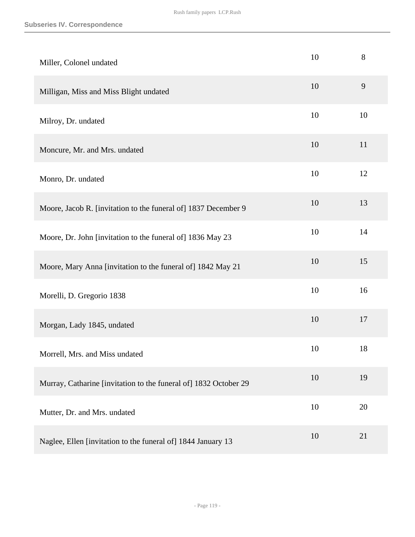| Miller, Colonel undated                                          | 10 | 8  |
|------------------------------------------------------------------|----|----|
| Milligan, Miss and Miss Blight undated                           | 10 | 9  |
| Milroy, Dr. undated                                              | 10 | 10 |
| Moncure, Mr. and Mrs. undated                                    | 10 | 11 |
| Monro, Dr. undated                                               | 10 | 12 |
| Moore, Jacob R. [invitation to the funeral of] 1837 December 9   | 10 | 13 |
| Moore, Dr. John [invitation to the funeral of] 1836 May 23       | 10 | 14 |
| Moore, Mary Anna [invitation to the funeral of] 1842 May 21      | 10 | 15 |
| Morelli, D. Gregorio 1838                                        | 10 | 16 |
| Morgan, Lady 1845, undated                                       | 10 | 17 |
| Morrell, Mrs. and Miss undated                                   | 10 | 18 |
| Murray, Catharine [invitation to the funeral of] 1832 October 29 | 10 | 19 |
| Mutter, Dr. and Mrs. undated                                     | 10 | 20 |
| Naglee, Ellen [invitation to the funeral of] 1844 January 13     | 10 | 21 |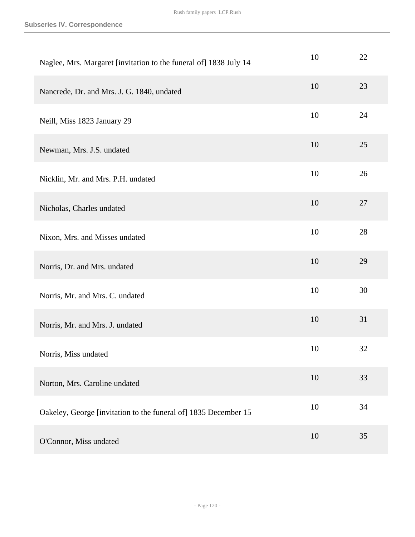| Naglee, Mrs. Margaret [invitation to the funeral of] 1838 July 14 | 10 | 22 |
|-------------------------------------------------------------------|----|----|
| Nancrede, Dr. and Mrs. J. G. 1840, undated                        | 10 | 23 |
| Neill, Miss 1823 January 29                                       | 10 | 24 |
| Newman, Mrs. J.S. undated                                         | 10 | 25 |
| Nicklin, Mr. and Mrs. P.H. undated                                | 10 | 26 |
| Nicholas, Charles undated                                         | 10 | 27 |
| Nixon, Mrs. and Misses undated                                    | 10 | 28 |
| Norris, Dr. and Mrs. undated                                      | 10 | 29 |
| Norris, Mr. and Mrs. C. undated                                   | 10 | 30 |
| Norris, Mr. and Mrs. J. undated                                   | 10 | 31 |
| Norris, Miss undated                                              | 10 | 32 |
| Norton, Mrs. Caroline undated                                     | 10 | 33 |
| Oakeley, George [invitation to the funeral of] 1835 December 15   | 10 | 34 |
| O'Connor, Miss undated                                            | 10 | 35 |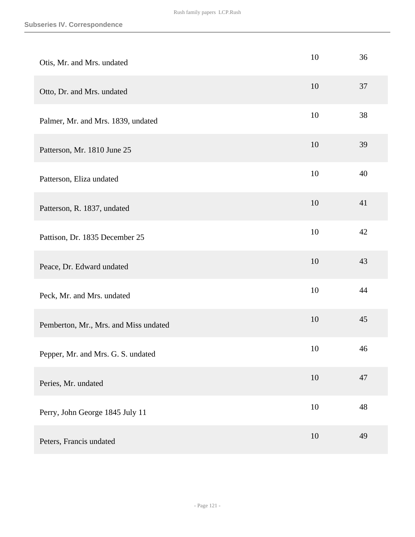| Otis, Mr. and Mrs. undated            | 10     | 36 |
|---------------------------------------|--------|----|
| Otto, Dr. and Mrs. undated            | 10     | 37 |
| Palmer, Mr. and Mrs. 1839, undated    | 10     | 38 |
| Patterson, Mr. 1810 June 25           | 10     | 39 |
| Patterson, Eliza undated              | 10     | 40 |
| Patterson, R. 1837, undated           | 10     | 41 |
| Pattison, Dr. 1835 December 25        | 10     | 42 |
| Peace, Dr. Edward undated             | 10     | 43 |
| Peck, Mr. and Mrs. undated            | 10     | 44 |
| Pemberton, Mr., Mrs. and Miss undated | 10     | 45 |
| Pepper, Mr. and Mrs. G. S. undated    | 10     | 46 |
| Peries, Mr. undated                   | $10\,$ | 47 |
| Perry, John George 1845 July 11       | $10\,$ | 48 |
| Peters, Francis undated               | $10\,$ | 49 |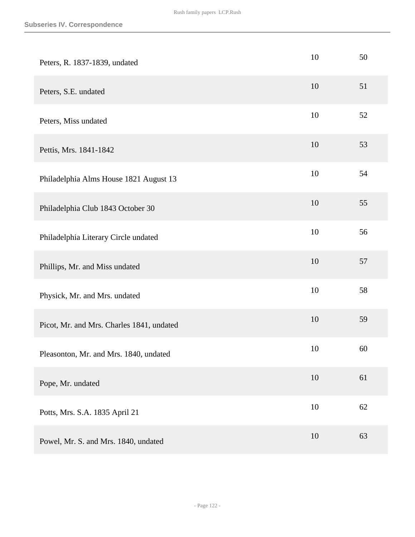| Peters, R. 1837-1839, undated             | 10     | 50 |
|-------------------------------------------|--------|----|
| Peters, S.E. undated                      | 10     | 51 |
| Peters, Miss undated                      | 10     | 52 |
| Pettis, Mrs. 1841-1842                    | 10     | 53 |
| Philadelphia Alms House 1821 August 13    | 10     | 54 |
| Philadelphia Club 1843 October 30         | 10     | 55 |
| Philadelphia Literary Circle undated      | 10     | 56 |
| Phillips, Mr. and Miss undated            | 10     | 57 |
| Physick, Mr. and Mrs. undated             | 10     | 58 |
| Picot, Mr. and Mrs. Charles 1841, undated | 10     | 59 |
| Pleasonton, Mr. and Mrs. 1840, undated    | 10     | 60 |
| Pope, Mr. undated                         | $10\,$ | 61 |
| Potts, Mrs. S.A. 1835 April 21            | $10\,$ | 62 |
| Powel, Mr. S. and Mrs. 1840, undated      | 10     | 63 |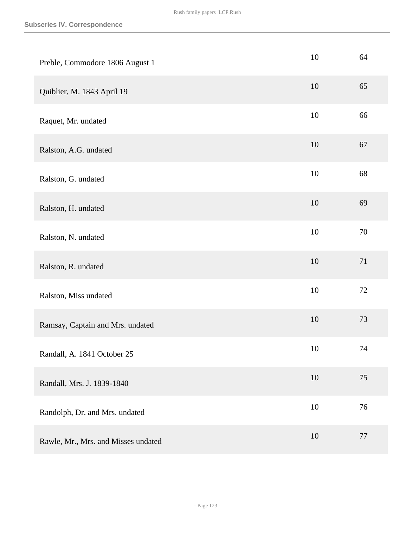| Preble, Commodore 1806 August 1     | 10     | 64 |
|-------------------------------------|--------|----|
| Quiblier, M. 1843 April 19          | 10     | 65 |
| Raquet, Mr. undated                 | 10     | 66 |
| Ralston, A.G. undated               | 10     | 67 |
| Ralston, G. undated                 | 10     | 68 |
| Ralston, H. undated                 | 10     | 69 |
| Ralston, N. undated                 | 10     | 70 |
| Ralston, R. undated                 | 10     | 71 |
| Ralston, Miss undated               | 10     | 72 |
| Ramsay, Captain and Mrs. undated    | 10     | 73 |
| Randall, A. 1841 October 25         | 10     | 74 |
| Randall, Mrs. J. 1839-1840          | $10\,$ | 75 |
| Randolph, Dr. and Mrs. undated      | $10\,$ | 76 |
| Rawle, Mr., Mrs. and Misses undated | $10\,$ | 77 |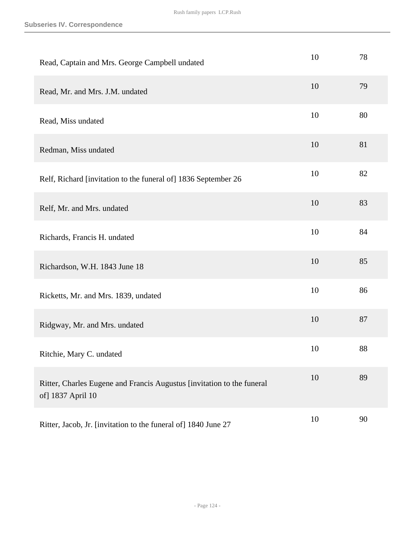| Read, Captain and Mrs. George Campbell undated                                              | 10 | 78 |
|---------------------------------------------------------------------------------------------|----|----|
| Read, Mr. and Mrs. J.M. undated                                                             | 10 | 79 |
| Read, Miss undated                                                                          | 10 | 80 |
| Redman, Miss undated                                                                        | 10 | 81 |
| Relf, Richard [invitation to the funeral of] 1836 September 26                              | 10 | 82 |
| Relf, Mr. and Mrs. undated                                                                  | 10 | 83 |
| Richards, Francis H. undated                                                                | 10 | 84 |
| Richardson, W.H. 1843 June 18                                                               | 10 | 85 |
| Ricketts, Mr. and Mrs. 1839, undated                                                        | 10 | 86 |
| Ridgway, Mr. and Mrs. undated                                                               | 10 | 87 |
| Ritchie, Mary C. undated                                                                    | 10 | 88 |
| Ritter, Charles Eugene and Francis Augustus [invitation to the funeral<br>of] 1837 April 10 | 10 | 89 |
| Ritter, Jacob, Jr. [invitation to the funeral of] 1840 June 27                              | 10 | 90 |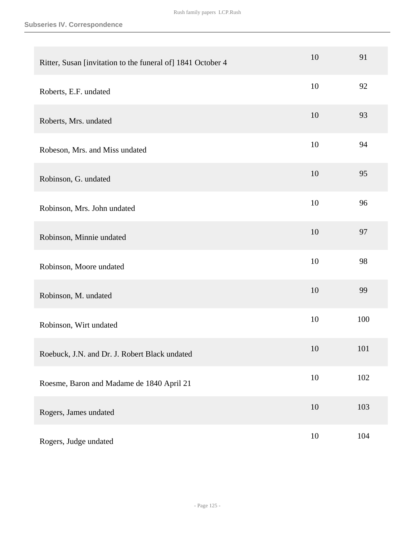| Ritter, Susan [invitation to the funeral of] 1841 October 4 | 10     | 91  |
|-------------------------------------------------------------|--------|-----|
| Roberts, E.F. undated                                       | 10     | 92  |
| Roberts, Mrs. undated                                       | 10     | 93  |
| Robeson, Mrs. and Miss undated                              | 10     | 94  |
| Robinson, G. undated                                        | 10     | 95  |
| Robinson, Mrs. John undated                                 | 10     | 96  |
| Robinson, Minnie undated                                    | 10     | 97  |
| Robinson, Moore undated                                     | 10     | 98  |
| Robinson, M. undated                                        | 10     | 99  |
| Robinson, Wirt undated                                      | 10     | 100 |
| Roebuck, J.N. and Dr. J. Robert Black undated               | 10     | 101 |
| Roesme, Baron and Madame de 1840 April 21                   | $10\,$ | 102 |
| Rogers, James undated                                       | 10     | 103 |
| Rogers, Judge undated                                       | 10     | 104 |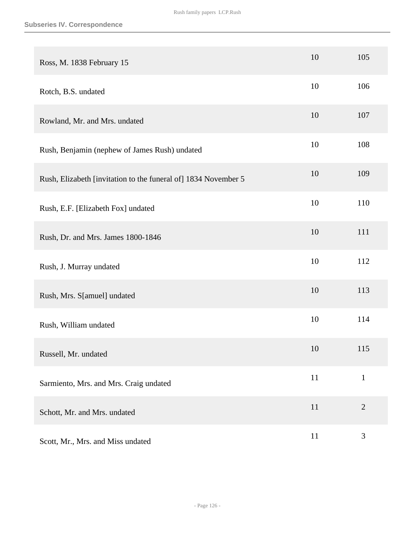| Ross, M. 1838 February 15                                      | 10 | 105            |
|----------------------------------------------------------------|----|----------------|
| Rotch, B.S. undated                                            | 10 | 106            |
| Rowland, Mr. and Mrs. undated                                  | 10 | 107            |
| Rush, Benjamin (nephew of James Rush) undated                  | 10 | 108            |
| Rush, Elizabeth [invitation to the funeral of] 1834 November 5 | 10 | 109            |
| Rush, E.F. [Elizabeth Fox] undated                             | 10 | 110            |
| Rush, Dr. and Mrs. James 1800-1846                             | 10 | 111            |
| Rush, J. Murray undated                                        | 10 | 112            |
| Rush, Mrs. S[amuel] undated                                    | 10 | 113            |
| Rush, William undated                                          | 10 | 114            |
| Russell, Mr. undated                                           | 10 | 115            |
| Sarmiento, Mrs. and Mrs. Craig undated                         | 11 | $\mathbf{1}$   |
| Schott, Mr. and Mrs. undated                                   | 11 | $\overline{2}$ |
| Scott, Mr., Mrs. and Miss undated                              | 11 | $\mathfrak{Z}$ |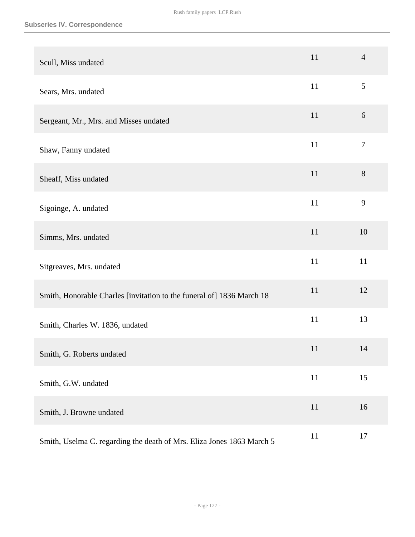| Scull, Miss undated                                                   | 11     | $\overline{4}$ |
|-----------------------------------------------------------------------|--------|----------------|
| Sears, Mrs. undated                                                   | 11     | 5              |
| Sergeant, Mr., Mrs. and Misses undated                                | 11     | 6              |
| Shaw, Fanny undated                                                   | 11     | $\overline{7}$ |
| Sheaff, Miss undated                                                  | 11     | 8              |
| Sigoinge, A. undated                                                  | 11     | 9              |
| Simms, Mrs. undated                                                   | 11     | 10             |
| Sitgreaves, Mrs. undated                                              | 11     | 11             |
| Smith, Honorable Charles [invitation to the funeral of] 1836 March 18 | 11     | 12             |
| Smith, Charles W. 1836, undated                                       | 11     | 13             |
| Smith, G. Roberts undated                                             | 11     | 14             |
| Smith, G.W. undated                                                   | $11\,$ | 15             |
| Smith, J. Browne undated                                              | 11     | 16             |
| Smith, Uselma C. regarding the death of Mrs. Eliza Jones 1863 March 5 | 11     | 17             |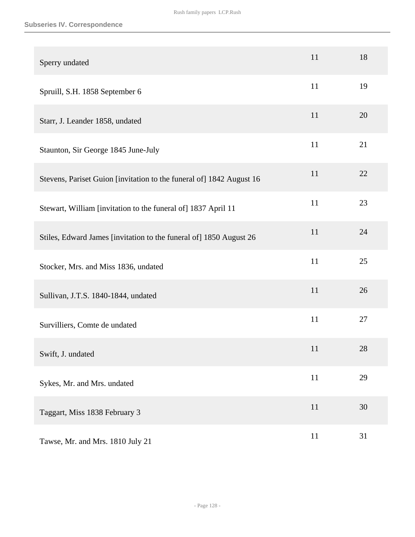| Sperry undated                                                       | 11 | 18 |
|----------------------------------------------------------------------|----|----|
| Spruill, S.H. 1858 September 6                                       | 11 | 19 |
| Starr, J. Leander 1858, undated                                      | 11 | 20 |
| Staunton, Sir George 1845 June-July                                  | 11 | 21 |
| Stevens, Pariset Guion [invitation to the funeral of] 1842 August 16 | 11 | 22 |
| Stewart, William [invitation to the funeral of] 1837 April 11        | 11 | 23 |
| Stiles, Edward James [invitation to the funeral of] 1850 August 26   | 11 | 24 |
| Stocker, Mrs. and Miss 1836, undated                                 | 11 | 25 |
| Sullivan, J.T.S. 1840-1844, undated                                  | 11 | 26 |
| Survilliers, Comte de undated                                        | 11 | 27 |
| Swift, J. undated                                                    | 11 | 28 |
| Sykes, Mr. and Mrs. undated                                          | 11 | 29 |
| Taggart, Miss 1838 February 3                                        | 11 | 30 |
| Tawse, Mr. and Mrs. 1810 July 21                                     | 11 | 31 |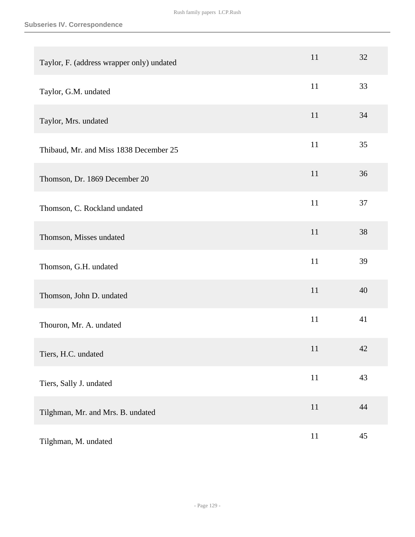| Taylor, F. (address wrapper only) undated | 11     | 32 |
|-------------------------------------------|--------|----|
| Taylor, G.M. undated                      | 11     | 33 |
| Taylor, Mrs. undated                      | 11     | 34 |
| Thibaud, Mr. and Miss 1838 December 25    | 11     | 35 |
| Thomson, Dr. 1869 December 20             | 11     | 36 |
| Thomson, C. Rockland undated              | 11     | 37 |
| Thomson, Misses undated                   | 11     | 38 |
| Thomson, G.H. undated                     | 11     | 39 |
| Thomson, John D. undated                  | 11     | 40 |
| Thouron, Mr. A. undated                   | 11     | 41 |
| Tiers, H.C. undated                       | 11     | 42 |
| Tiers, Sally J. undated                   | $11\,$ | 43 |
| Tilghman, Mr. and Mrs. B. undated         | $11\,$ | 44 |
| Tilghman, M. undated                      | 11     | 45 |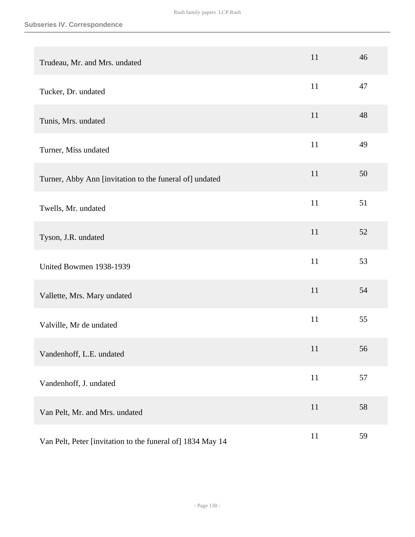| Trudeau, Mr. and Mrs. undated                              | 11     | 46 |
|------------------------------------------------------------|--------|----|
| Tucker, Dr. undated                                        | 11     | 47 |
| Tunis, Mrs. undated                                        | 11     | 48 |
| Turner, Miss undated                                       | 11     | 49 |
| Turner, Abby Ann [invitation to the funeral of] undated    | 11     | 50 |
| Twells, Mr. undated                                        | 11     | 51 |
| Tyson, J.R. undated                                        | 11     | 52 |
| United Bowmen 1938-1939                                    | 11     | 53 |
| Vallette, Mrs. Mary undated                                | 11     | 54 |
| Valville, Mr de undated                                    | 11     | 55 |
| Vandenhoff, L.E. undated                                   | 11     | 56 |
| Vandenhoff, J. undated                                     | $11\,$ | 57 |
| Van Pelt, Mr. and Mrs. undated                             | $11\,$ | 58 |
| Van Pelt, Peter [invitation to the funeral of] 1834 May 14 | $11\,$ | 59 |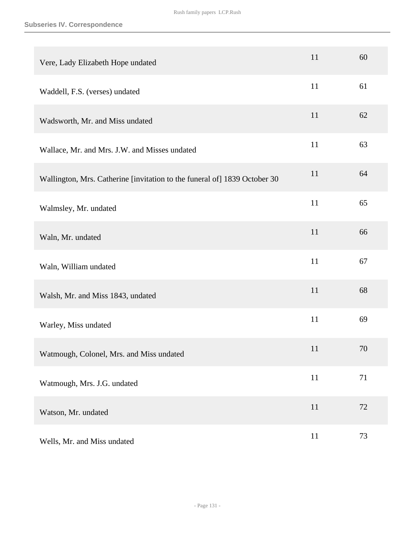| Vere, Lady Elizabeth Hope undated                                         | 11     | 60 |
|---------------------------------------------------------------------------|--------|----|
| Waddell, F.S. (verses) undated                                            | 11     | 61 |
| Wadsworth, Mr. and Miss undated                                           | 11     | 62 |
| Wallace, Mr. and Mrs. J.W. and Misses undated                             | 11     | 63 |
| Wallington, Mrs. Catherine [invitation to the funeral of] 1839 October 30 | 11     | 64 |
| Walmsley, Mr. undated                                                     | 11     | 65 |
| Waln, Mr. undated                                                         | 11     | 66 |
| Waln, William undated                                                     | 11     | 67 |
| Walsh, Mr. and Miss 1843, undated                                         | 11     | 68 |
| Warley, Miss undated                                                      | 11     | 69 |
| Watmough, Colonel, Mrs. and Miss undated                                  | 11     | 70 |
| Watmough, Mrs. J.G. undated                                               | $11\,$ | 71 |
| Watson, Mr. undated                                                       | $11\,$ | 72 |
| Wells, Mr. and Miss undated                                               | $11\,$ | 73 |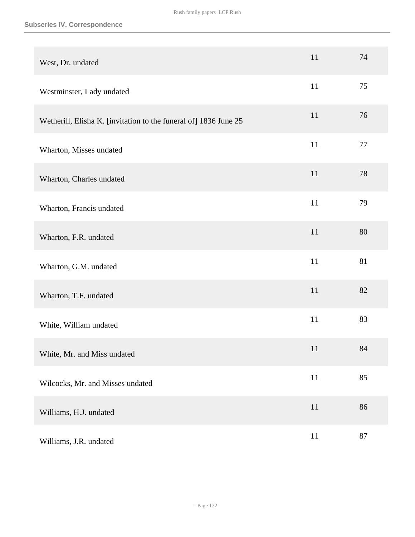## **Subseries IV. Correspondence**

| West, Dr. undated                                                | 11 | 74     |
|------------------------------------------------------------------|----|--------|
| Westminster, Lady undated                                        | 11 | 75     |
| Wetherill, Elisha K. [invitation to the funeral of] 1836 June 25 | 11 | 76     |
| Wharton, Misses undated                                          | 11 | 77     |
| Wharton, Charles undated                                         | 11 | 78     |
| Wharton, Francis undated                                         | 11 | 79     |
| Wharton, F.R. undated                                            | 11 | 80     |
| Wharton, G.M. undated                                            | 11 | 81     |
| Wharton, T.F. undated                                            | 11 | 82     |
| White, William undated                                           | 11 | 83     |
| White, Mr. and Miss undated                                      | 11 | $84\,$ |
| Wilcocks, Mr. and Misses undated                                 | 11 | 85     |
| Williams, H.J. undated                                           | 11 | 86     |
| Williams, J.R. undated                                           | 11 | 87     |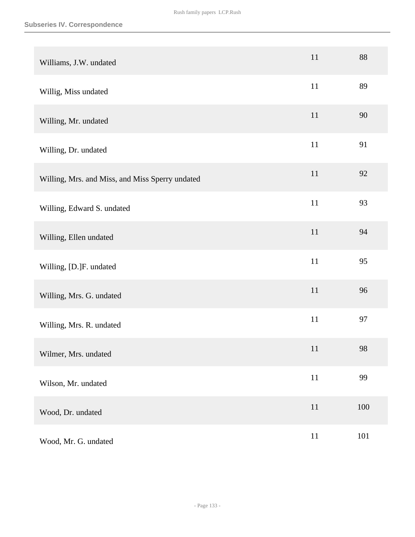| Williams, J.W. undated                          | 11     | 88  |
|-------------------------------------------------|--------|-----|
| Willig, Miss undated                            | 11     | 89  |
| Willing, Mr. undated                            | 11     | 90  |
| Willing, Dr. undated                            | 11     | 91  |
| Willing, Mrs. and Miss, and Miss Sperry undated | 11     | 92  |
| Willing, Edward S. undated                      | $11\,$ | 93  |
| Willing, Ellen undated                          | 11     | 94  |
| Willing, [D.]F. undated                         | 11     | 95  |
| Willing, Mrs. G. undated                        | 11     | 96  |
| Willing, Mrs. R. undated                        | $11\,$ | 97  |
| Wilmer, Mrs. undated                            | 11     | 98  |
| Wilson, Mr. undated                             | $11\,$ | 99  |
| Wood, Dr. undated                               | $11\,$ | 100 |
| Wood, Mr. G. undated                            | $11\,$ | 101 |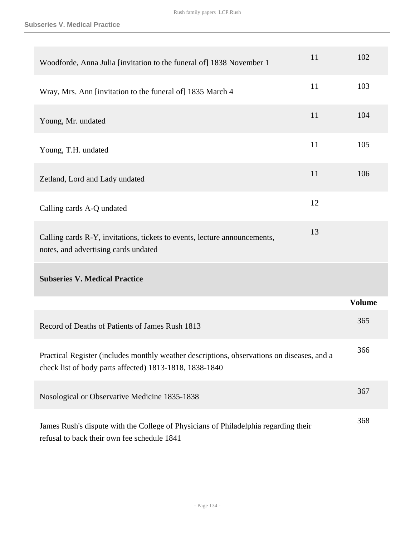| Woodforde, Anna Julia [invitation to the funeral of] 1838 November 1                                                                                  | 11 | 102           |
|-------------------------------------------------------------------------------------------------------------------------------------------------------|----|---------------|
| Wray, Mrs. Ann [invitation to the funeral of] 1835 March 4                                                                                            | 11 | 103           |
| Young, Mr. undated                                                                                                                                    | 11 | 104           |
| Young, T.H. undated                                                                                                                                   | 11 | 105           |
| Zetland, Lord and Lady undated                                                                                                                        | 11 | 106           |
| Calling cards A-Q undated                                                                                                                             | 12 |               |
| Calling cards R-Y, invitations, tickets to events, lecture announcements,<br>notes, and advertising cards undated                                     | 13 |               |
| <b>Subseries V. Medical Practice</b>                                                                                                                  |    |               |
|                                                                                                                                                       |    | <b>Volume</b> |
| Record of Deaths of Patients of James Rush 1813                                                                                                       |    | 365           |
| Practical Register (includes monthly weather descriptions, observations on diseases, and a<br>check list of body parts affected) 1813-1818, 1838-1840 |    | 366           |
| Nosological or Observative Medicine 1835-1838                                                                                                         |    | 367           |
| James Rush's dispute with the College of Physicians of Philadelphia regarding their<br>refusal to back their own fee schedule 1841                    |    | 368           |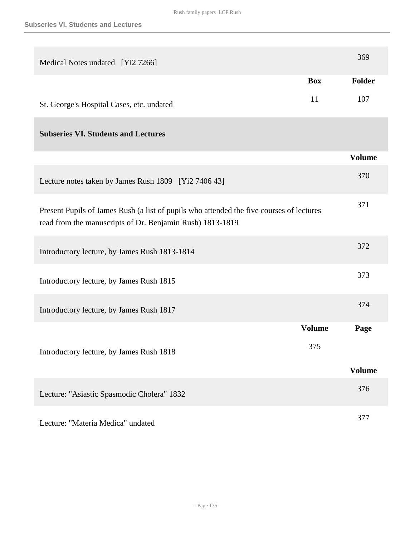| Medical Notes undated [Yi2 7266]                                                                                                                      |               | 369           |
|-------------------------------------------------------------------------------------------------------------------------------------------------------|---------------|---------------|
|                                                                                                                                                       | <b>Box</b>    | Folder        |
| St. George's Hospital Cases, etc. undated                                                                                                             | 11            | 107           |
| <b>Subseries VI. Students and Lectures</b>                                                                                                            |               |               |
|                                                                                                                                                       |               | <b>Volume</b> |
| Lecture notes taken by James Rush 1809 [Yi2 7406 43]                                                                                                  |               | 370           |
| Present Pupils of James Rush (a list of pupils who attended the five courses of lectures<br>read from the manuscripts of Dr. Benjamin Rush) 1813-1819 |               | 371           |
| Introductory lecture, by James Rush 1813-1814                                                                                                         |               | 372           |
| Introductory lecture, by James Rush 1815                                                                                                              |               | 373           |
| Introductory lecture, by James Rush 1817                                                                                                              |               | 374           |
|                                                                                                                                                       | <b>Volume</b> | Page          |
| Introductory lecture, by James Rush 1818                                                                                                              | 375           |               |
|                                                                                                                                                       |               | <b>Volume</b> |
| Lecture: "Asiastic Spasmodic Cholera" 1832                                                                                                            |               | 376           |
| Lecture: "Materia Medica" undated                                                                                                                     |               | 377           |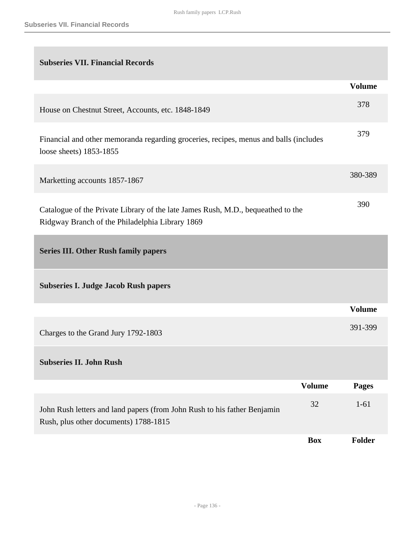| <b>Subseries VII. Financial Records</b>                                                                                             |               |               |
|-------------------------------------------------------------------------------------------------------------------------------------|---------------|---------------|
|                                                                                                                                     |               | <b>Volume</b> |
| House on Chestnut Street, Accounts, etc. 1848-1849                                                                                  |               | 378           |
| Financial and other memoranda regarding groceries, recipes, menus and balls (includes<br>loose sheets) 1853-1855                    |               | 379           |
| Marketting accounts 1857-1867                                                                                                       |               | 380-389       |
| Catalogue of the Private Library of the late James Rush, M.D., bequeathed to the<br>Ridgway Branch of the Philadelphia Library 1869 |               | 390           |
| <b>Series III. Other Rush family papers</b>                                                                                         |               |               |
| <b>Subseries I. Judge Jacob Rush papers</b>                                                                                         |               |               |
|                                                                                                                                     |               | <b>Volume</b> |
| Charges to the Grand Jury 1792-1803                                                                                                 |               | 391-399       |
| <b>Subseries II. John Rush</b>                                                                                                      |               |               |
|                                                                                                                                     | <b>Volume</b> | Pages         |
| John Rush letters and land papers (from John Rush to his father Benjamin<br>Rush, plus other documents) 1788-1815                   | 32            | $1 - 61$      |
|                                                                                                                                     | <b>Box</b>    | Folder        |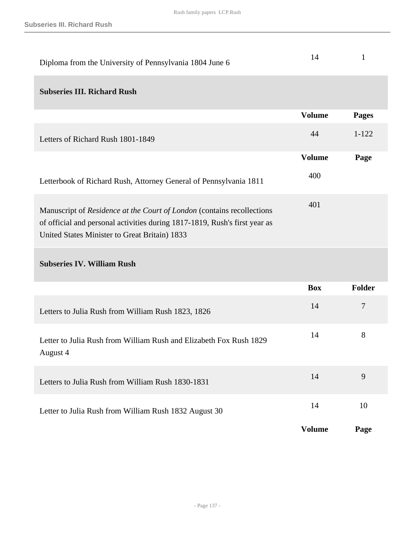| Diploma from the University of Pennsylvania 1804 June 6                                                                                                                                               | 14            | $\mathbf{1}$ |
|-------------------------------------------------------------------------------------------------------------------------------------------------------------------------------------------------------|---------------|--------------|
| <b>Subseries III. Richard Rush</b>                                                                                                                                                                    |               |              |
|                                                                                                                                                                                                       | <b>Volume</b> | <b>Pages</b> |
| Letters of Richard Rush 1801-1849                                                                                                                                                                     | 44            | $1 - 122$    |
|                                                                                                                                                                                                       | <b>Volume</b> | Page         |
| Letterbook of Richard Rush, Attorney General of Pennsylvania 1811                                                                                                                                     | 400           |              |
| Manuscript of Residence at the Court of London (contains recollections<br>of official and personal activities during 1817-1819, Rush's first year as<br>United States Minister to Great Britain) 1833 | 401           |              |
| <b>Subseries IV. William Rush</b>                                                                                                                                                                     |               |              |
|                                                                                                                                                                                                       | <b>Box</b>    | Folder       |
| Letters to Julia Rush from William Rush 1823, 1826                                                                                                                                                    | 14            | $\tau$       |
| Letter to Julia Rush from William Rush and Elizabeth Fox Rush 1829<br>August 4                                                                                                                        | 14            | 8            |
| Letters to Julia Rush from William Rush 1830-1831                                                                                                                                                     | 14            | 9            |
| Letter to Julia Rush from William Rush 1832 August 30                                                                                                                                                 | 14            | 10           |
|                                                                                                                                                                                                       | <b>Volume</b> | Page         |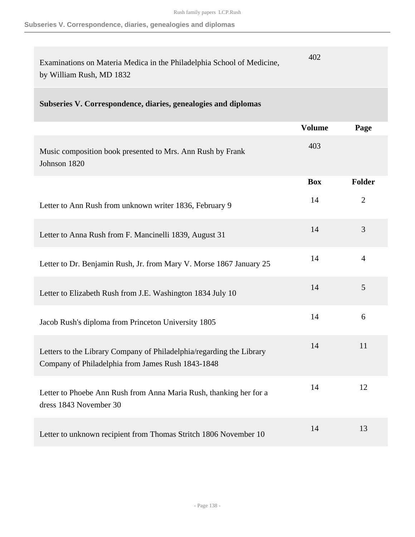## **Subseries V. Correspondence, diaries, genealogies and diplomas**

| Examinations on Materia Medica in the Philadelphia School of Medicine,<br>by William Rush, MD 1832                        | 402           |                |
|---------------------------------------------------------------------------------------------------------------------------|---------------|----------------|
| Subseries V. Correspondence, diaries, genealogies and diplomas                                                            |               |                |
|                                                                                                                           | <b>Volume</b> | Page           |
| Music composition book presented to Mrs. Ann Rush by Frank<br>Johnson 1820                                                | 403           |                |
|                                                                                                                           | <b>Box</b>    | Folder         |
| Letter to Ann Rush from unknown writer 1836, February 9                                                                   | 14            | $\overline{2}$ |
| Letter to Anna Rush from F. Mancinelli 1839, August 31                                                                    | 14            | 3              |
| Letter to Dr. Benjamin Rush, Jr. from Mary V. Morse 1867 January 25                                                       | 14            | 4              |
| Letter to Elizabeth Rush from J.E. Washington 1834 July 10                                                                | 14            | 5              |
| Jacob Rush's diploma from Princeton University 1805                                                                       | 14            | 6              |
| Letters to the Library Company of Philadelphia/regarding the Library<br>Company of Philadelphia from James Rush 1843-1848 | 14            | 11             |
| Letter to Phoebe Ann Rush from Anna Maria Rush, thanking her for a<br>dress 1843 November 30                              | 14            | 12             |
| Letter to unknown recipient from Thomas Stritch 1806 November 10                                                          | 14            | 13             |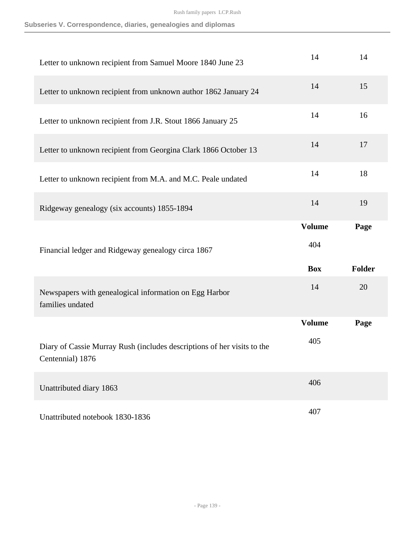|  | Subseries V. Correspondence, diaries, genealogies and diplomas |  |  |  |  |
|--|----------------------------------------------------------------|--|--|--|--|
|--|----------------------------------------------------------------|--|--|--|--|

| Letter to unknown recipient from Samuel Moore 1840 June 23                                  | 14            | 14            |
|---------------------------------------------------------------------------------------------|---------------|---------------|
| Letter to unknown recipient from unknown author 1862 January 24                             | 14            | 15            |
| Letter to unknown recipient from J.R. Stout 1866 January 25                                 | 14            | 16            |
| Letter to unknown recipient from Georgina Clark 1866 October 13                             | 14            | 17            |
| Letter to unknown recipient from M.A. and M.C. Peale undated                                | 14            | 18            |
| Ridgeway genealogy (six accounts) 1855-1894                                                 | 14            | 19            |
|                                                                                             | <b>Volume</b> | Page          |
| Financial ledger and Ridgeway genealogy circa 1867                                          | 404           |               |
|                                                                                             | <b>Box</b>    | <b>Folder</b> |
| Newspapers with genealogical information on Egg Harbor                                      | 14            | 20            |
| families undated                                                                            |               |               |
|                                                                                             | <b>Volume</b> | Page          |
| Diary of Cassie Murray Rush (includes descriptions of her visits to the<br>Centennial) 1876 | 405           |               |
| Unattributed diary 1863                                                                     | 406           |               |